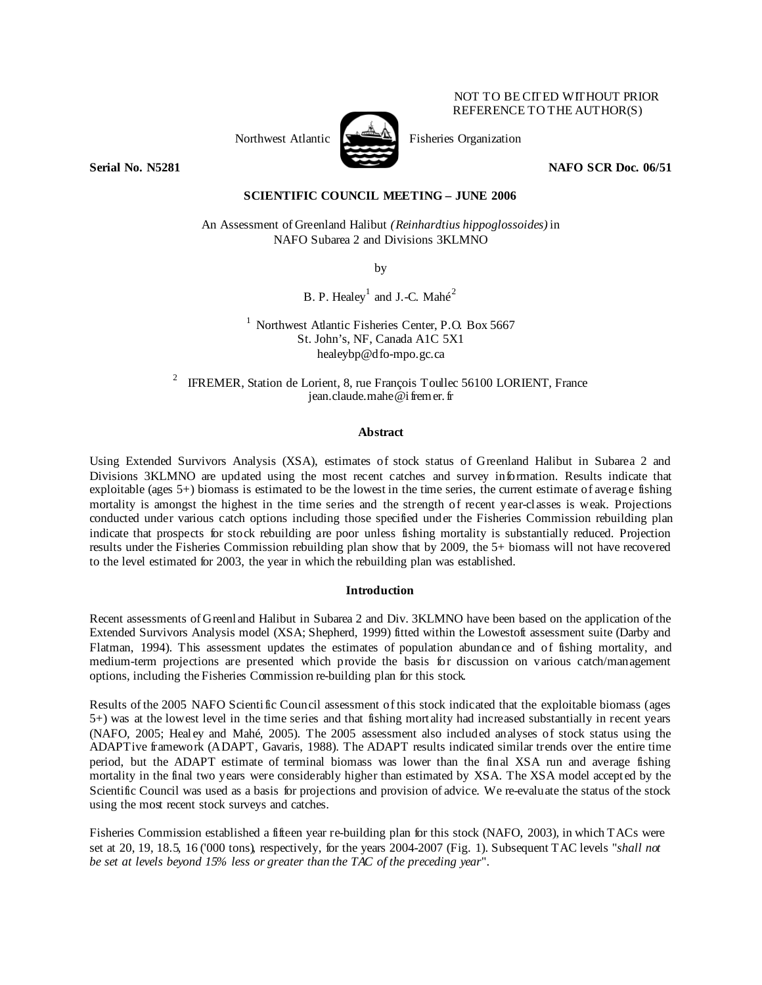# NOT TO BE CITED WITHOUT PRIOR REFERENCE TO THE AUTHOR(S)

Northwest Atlantic  $\begin{bmatrix} 1 & 1 \\ 1 & 1 \end{bmatrix}$  Fisheries Organization



**Serial No. N5281 NAFO SCR Doc. 06/51 NAFO SCR Doc. 06/51** 

# **SCIENTIFIC COUNCIL MEETING – JUNE 2006**

An Assessment of Greenland Halibut *(Reinhardtius hippoglossoides)* in NAFO Subarea 2 and Divisions 3KLMNO

by

B. P. Healey<sup>1</sup> and J.-C. Mahé<sup>2</sup>

<sup>1</sup> Northwest Atlantic Fisheries Center, P.O. Box 5667 St. John's, NF, Canada A1C 5X1 healeybp@dfo-mpo.gc.ca

2 IFREMER, Station de Lorient, 8, rue François Toullec 56100 LORIENT, France jean.claude.mahe@ifremer. fr

### **Abstract**

Using Extended Survivors Analysis (XSA), estimates of stock status of Greenland Halibut in Subarea 2 and Divisions 3KLMNO are updated using the most recent catches and survey information. Results indicate that exploitable (ages  $5+$ ) biomass is estimated to be the lowest in the time series, the current estimate of average fishing mortality is amongst the highest in the time series and the strength of recent year-classes is weak. Projections conducted under various catch options including those specified under the Fisheries Commission rebuilding plan indicate that prospects for stock rebuilding are poor unless fishing mortality is substantially reduced. Projection results under the Fisheries Commission rebuilding plan show that by 2009, the 5+ biomass will not have recovered to the level estimated for 2003, the year in which the rebuilding plan was established.

#### **Introduction**

Recent assessments of Greenland Halibut in Subarea 2 and Div. 3KLMNO have been based on the application of the Extended Survivors Analysis model (XSA; Shepherd, 1999) fitted within the Lowestoft assessment suite (Darby and Flatman, 1994). This assessment updates the estimates of population abundance and of fishing mortality, and medium-term projections are presented which provide the basis for discussion on various catch/management options, including the Fisheries Commission re-building plan for this stock.

Results of the 2005 NAFO Scientific Council assessment of this stock indicated that the exploitable biomass (ages 5+) was at the lowest level in the time series and that fishing mortality had increased substantially in recent years (NAFO, 2005; Healey and Mahé, 2005). The 2005 assessment also included analyses of stock status using the ADAPTive framework (ADAPT, Gavaris, 1988). The ADAPT results indicated similar trends over the entire time period, but the ADAPT estimate of terminal biomass was lower than the final XSA run and average fishing mortality in the final two years were considerably higher than estimated by XSA. The XSA model accepted by the Scientific Council was used as a basis for projections and provision of advice. We re-evaluate the status of the stock using the most recent stock surveys and catches.

Fisheries Commission established a fifteen year re-building plan for this stock (NAFO, 2003), in which TACs were set at 20, 19, 18.5, 16 ('000 tons), respectively, for the years 2004-2007 (Fig. 1). Subsequent TAC levels "*shall not be set at levels beyond 15% less or greater than the TAC of the preceding year*".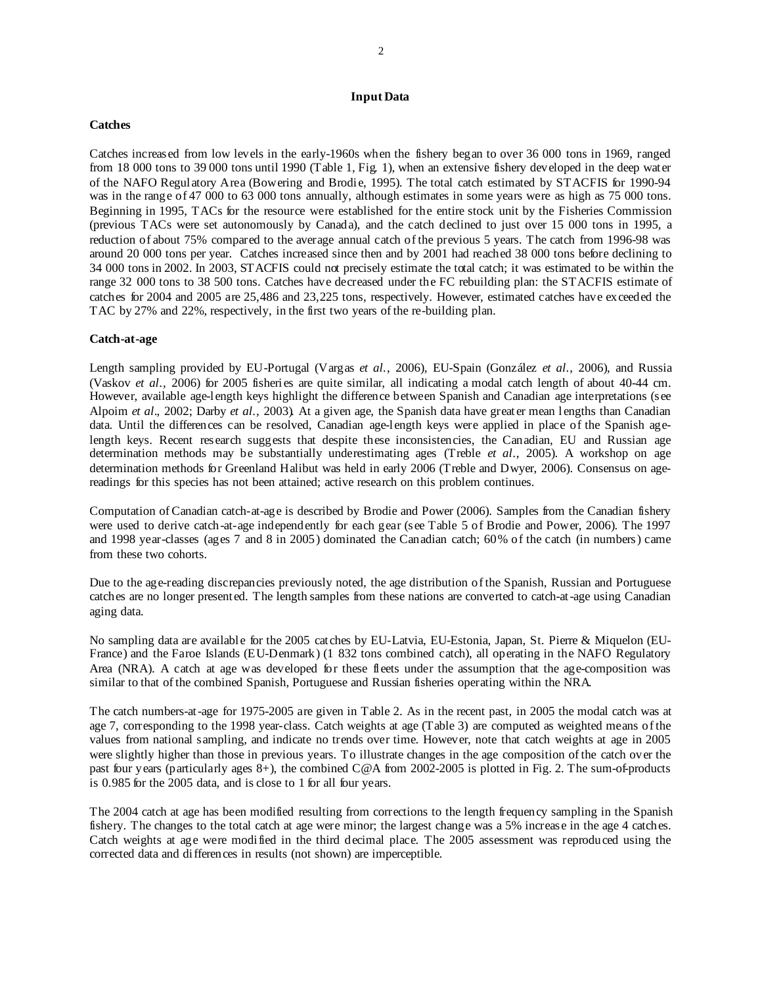# **Input Data**

### **Catches**

Catches increased from low levels in the early-1960s when the fishery began to over 36 000 tons in 1969, ranged from 18 000 tons to 39 000 tons until 1990 (Table 1, Fig. 1), when an extensive fishery developed in the deep water of the NAFO Regulatory Area (Bowering and Brodie, 1995). The total catch estimated by STACFIS for 1990-94 was in the range of 47 000 to 63 000 tons annually, although estimates in some years were as high as 75 000 tons. Beginning in 1995, TACs for the resource were established for the entire stock unit by the Fisheries Commission (previous TACs were set autonomously by Canada), and the catch declined to just over 15 000 tons in 1995, a reduction of about 75% compared to the average annual catch of the previous 5 years. The catch from 1996-98 was around 20 000 tons per year. Catches increased since then and by 2001 had reached 38 000 tons before declining to 34 000 tons in 2002. In 2003, STACFIS could not precisely estimate the total catch; it was estimated to be within the range 32 000 tons to 38 500 tons. Catches have decreased under the FC rebuilding plan: the STACFIS estimate of catches for 2004 and 2005 are 25,486 and 23,225 tons, respectively. However, estimated catches have exceeded the TAC by 27% and 22%, respectively, in the first two years of the re-building plan.

## **Catch-at-age**

Length sampling provided by EU-Portugal (Vargas *et al.*, 2006), EU-Spain (González *et al*., 2006), and Russia (Vaskov *et al*., 2006) for 2005 fisheries are quite similar, all indicating a modal catch length of about 40-44 cm. However, available age-length keys highlight the difference between Spanish and Canadian age interpretations (see Alpoim *et al*., 2002; Darby *et al*., 2003). At a given age, the Spanish data have greater mean lengths than Canadian data. Until the differences can be resolved, Canadian age-length keys were applied in place of the Spanish agelength keys. Recent research suggests that despite these inconsistencies, the Canadian, EU and Russian age determination methods may be substantially underestimating ages (Treble *et al*., 2005). A workshop on age determination methods for Greenland Halibut was held in early 2006 (Treble and Dwyer, 2006). Consensus on agereadings for this species has not been attained; active research on this problem continues.

Computation of Canadian catch-at-age is described by Brodie and Power (2006). Samples from the Canadian fishery were used to derive catch-at-age independently for each gear (see Table 5 of Brodie and Power, 2006). The 1997 and 1998 year-classes (ages 7 and 8 in 2005) dominated the Canadian catch; 60% of the catch (in numbers) came from these two cohorts.

Due to the age-reading discrepancies previously noted, the age distribution of the Spanish, Russian and Portuguese catches are no longer presented. The length samples from these nations are converted to catch-at-age using Canadian aging data.

No sampling data are available for the 2005 catches by EU-Latvia, EU-Estonia, Japan, St. Pierre & Miquelon (EU-France) and the Faroe Islands (EU-Denmark) (1 832 tons combined catch), all operating in the NAFO Regulatory Area (NRA). A catch at age was developed for these fleets under the assumption that the age-composition was similar to that of the combined Spanish, Portuguese and Russian fisheries operating within the NRA.

The catch numbers-at-age for 1975-2005 are given in Table 2. As in the recent past, in 2005 the modal catch was at age 7, corresponding to the 1998 year-class. Catch weights at age (Table 3) are computed as weighted means of the values from national sampling, and indicate no trends over time. However, note that catch weights at age in 2005 were slightly higher than those in previous years. To illustrate changes in the age composition of the catch over the past four years (particularly ages 8+), the combined C@A from 2002-2005 is plotted in Fig. 2. The sum-of-products is 0.985 for the 2005 data, and is close to 1 for all four years.

The 2004 catch at age has been modified resulting from corrections to the length frequency sampling in the Spanish fishery. The changes to the total catch at age were minor; the largest change was a 5% increase in the age 4 catches. Catch weights at age were modified in the third decimal place. The 2005 assessment was reproduced using the corrected data and differences in results (not shown) are imperceptible.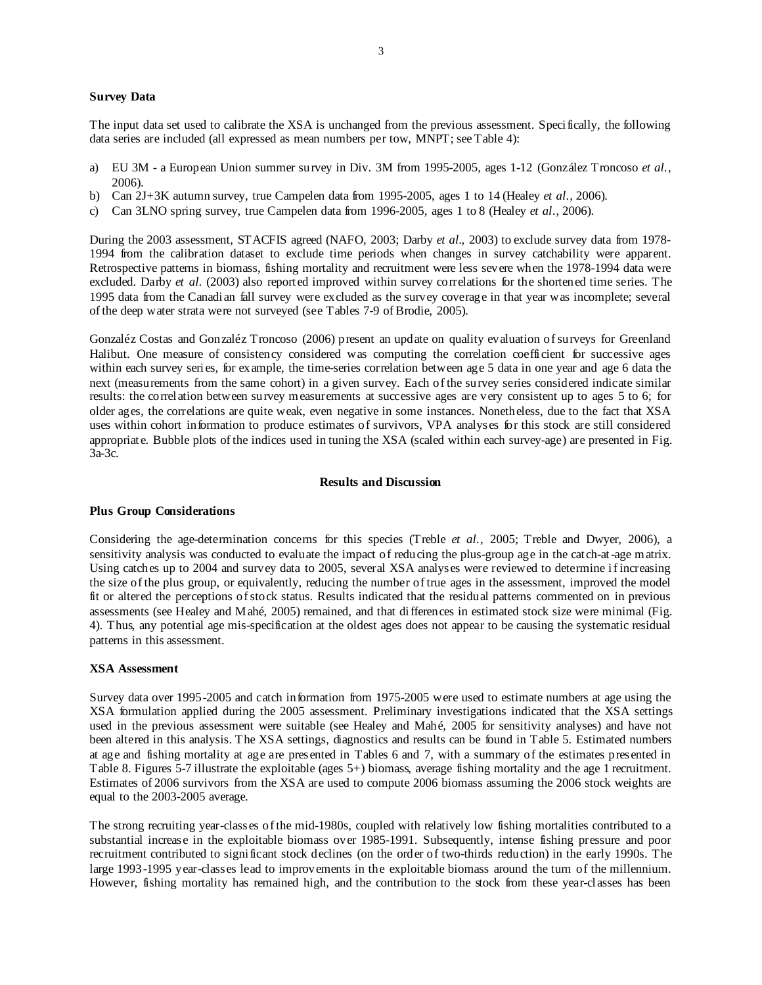## **Survey Data**

The input data set used to calibrate the XSA is unchanged from the previous assessment. Specifically, the following data series are included (all expressed as mean numbers per tow, MNPT; see Table 4):

- a) EU 3M a European Union summer survey in Div. 3M from 1995-2005, ages 1-12 (González Troncoso *et al.*, 2006).
- b) Can 2J+3K autumn survey, true Campelen data from 1995-2005, ages 1 to 14 (Healey *et al*., 2006).
- c) Can 3LNO spring survey, true Campelen data from 1996-2005, ages 1 to 8 (Healey *et al*., 2006).

During the 2003 assessment, STACFIS agreed (NAFO, 2003; Darby *et al.*, 2003) to exclude survey data from 1978- 1994 from the calibration dataset to exclude time periods when changes in survey catchability were apparent. Retrospective patterns in biomass, fishing mortality and recruitment were less severe when the 1978-1994 data were excluded. Darby *et al.* (2003) also reported improved within survey correlations for the shortened time series. The 1995 data from the Canadian fall survey were excluded as the survey coverage in that year was incomplete; several of the deep water strata were not surveyed (see Tables 7-9 of Brodie, 2005).

Gonzaléz Costas and Gonzaléz Troncoso (2006) present an update on quality evaluation of surveys for Greenland Halibut. One measure of consistency considered was computing the correlation coefficient for successive ages within each survey series, for example, the time-series correlation between age 5 data in one year and age 6 data the next (measurements from the same cohort) in a given survey. Each of the survey series considered indicate similar results: the correlation between survey measurements at successive ages are very consistent up to ages 5 to 6; for older ages, the correlations are quite weak, even negative in some instances. Nonetheless, due to the fact that XSA uses within cohort information to produce estimates of survivors, VPA analyses for this stock are still considered appropriate. Bubble plots of the indices used in tuning the XSA (scaled within each survey-age) are presented in Fig. 3a-3c.

#### **Results and Discussion**

#### **Plus Group Considerations**

Considering the age-determination concerns for this species (Treble *et al.*, 2005; Treble and Dwyer, 2006), a sensitivity analysis was conducted to evaluate the impact of reducing the plus-group age in the catch-at-age matrix. Using catches up to 2004 and survey data to 2005, several XSA analyses were reviewed to determine if increasing the size of the plus group, or equivalently, reducing the number of true ages in the assessment, improved the model fit or altered the perceptions of stock status. Results indicated that the residual patterns commented on in previous assessments (see Healey and Mahé, 2005) remained, and that differences in estimated stock size were minimal (Fig. 4). Thus, any potential age mis-specification at the oldest ages does not appear to be causing the systematic residual patterns in this assessment.

#### **XSA Assessment**

Survey data over 1995-2005 and catch information from 1975-2005 were used to estimate numbers at age using the XSA formulation applied during the 2005 assessment. Preliminary investigations indicated that the XSA settings used in the previous assessment were suitable (see Healey and Mahé, 2005 for sensitivity analyses) and have not been altered in this analysis. The XSA settings, diagnostics and results can be found in Table 5. Estimated numbers at age and fishing mortality at age are presented in Tables 6 and 7, with a summary of the estimates presented in Table 8. Figures 5-7 illustrate the exploitable (ages 5+) biomass, average fishing mortality and the age 1 recruitment. Estimates of 2006 survivors from the XSA are used to compute 2006 biomass assuming the 2006 stock weights are equal to the 2003-2005 average.

The strong recruiting year-classes of the mid-1980s, coupled with relatively low fishing mortalities contributed to a substantial increase in the exploitable biomass over 1985-1991. Subsequently, intense fishing pressure and poor recruitment contributed to significant stock declines (on the order of two-thirds reduction) in the early 1990s. The large 1993-1995 year-classes lead to improvements in the exploitable biomass around the turn of the millennium. However, fishing mortality has remained high, and the contribution to the stock from these year-classes has been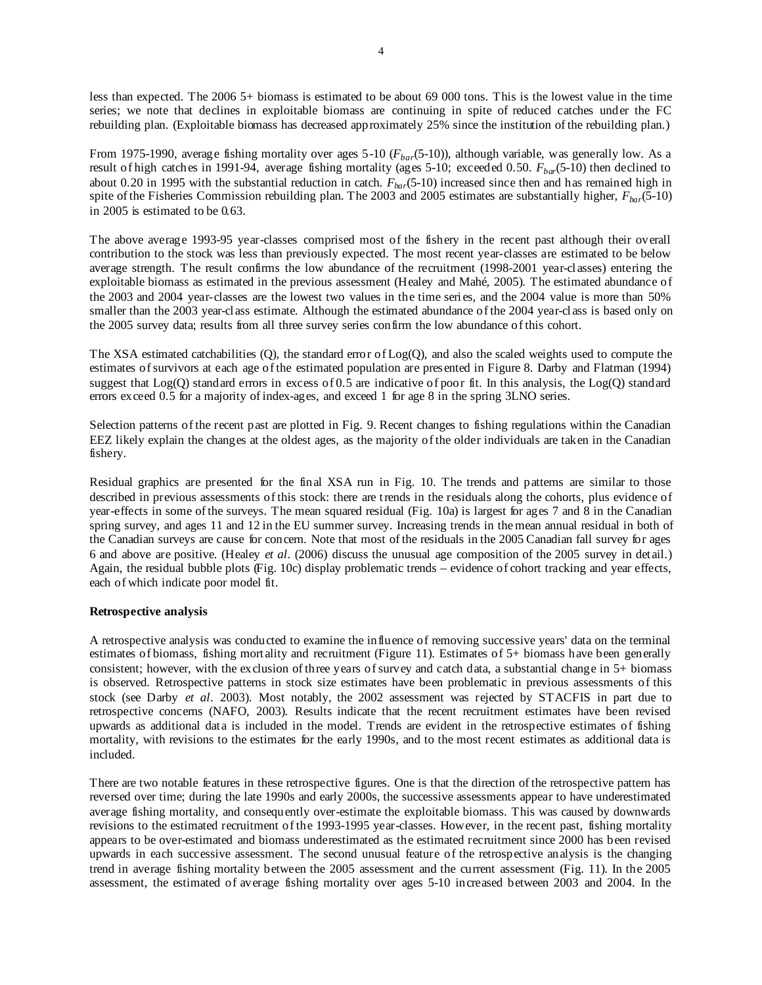less than expected. The 2006 5+ biomass is estimated to be about 69 000 tons. This is the lowest value in the time series; we note that declines in exploitable biomass are continuing in spite of reduced catches under the FC rebuilding plan. (Exploitable biomass has decreased approximately 25% since the institution of the rebuilding plan.)

From 1975-1990, average fishing mortality over ages 5-10 (*Fbar*(5-10)), although variable, was generally low. As a result of high catches in 1991-94, average fishing mortality (ages 5-10; exceeded 0.50. *Fbar*(5-10) then declined to about 0.20 in 1995 with the substantial reduction in catch. *Fbar*(5-10) increased since then and has remained high in spite of the Fisheries Commission rebuilding plan. The 2003 and 2005 estimates are substantially higher,  $F_{bar}$ (5-10) in 2005 is estimated to be 0.63.

The above average 1993-95 year-classes comprised most of the fishery in the recent past although their overall contribution to the stock was less than previously expected. The most recent year-classes are estimated to be below average strength. The result confirms the low abundance of the recruitment (1998-2001 year-classes) entering the exploitable biomass as estimated in the previous assessment (Healey and Mahé, 2005). The estimated abundance of the 2003 and 2004 year-classes are the lowest two values in the time series, and the 2004 value is more than 50% smaller than the 2003 year-class estimate. Although the estimated abundance of the 2004 year-class is based only on the 2005 survey data; results from all three survey series confirm the low abundance of this cohort.

The XSA estimated catchabilities (Q), the standard error of Log(Q), and also the scaled weights used to compute the estimates of survivors at each age of the estimated population are presented in Figure 8. Darby and Flatman (1994) suggest that Log(Q) standard errors in excess of 0.5 are indicative of poor fit. In this analysis, the Log(Q) standard errors exceed 0.5 for a majority of index-ages, and exceed 1 for age 8 in the spring 3LNO series.

Selection patterns of the recent past are plotted in Fig. 9. Recent changes to fishing regulations within the Canadian EEZ likely explain the changes at the oldest ages, as the majority of the older individuals are taken in the Canadian fishery.

Residual graphics are presented for the final XSA run in Fig. 10. The trends and patterns are similar to those described in previous assessments of this stock: there are trends in the residuals along the cohorts, plus evidence of year-effects in some of the surveys. The mean squared residual (Fig. 10a) is largest for ages 7 and 8 in the Canadian spring survey, and ages 11 and 12 in the EU summer survey. Increasing trends in the mean annual residual in both of the Canadian surveys are cause for concern. Note that most of the residuals in the 2005 Canadian fall survey for ages 6 and above are positive. (Healey *et al*. (2006) discuss the unusual age composition of the 2005 survey in detail.) Again, the residual bubble plots (Fig. 10c) display problematic trends – evidence of cohort tracking and year effects, each of which indicate poor model fit.

## **Retrospective analysis**

A retrospective analysis was conducted to examine the influence of removing successive years' data on the terminal estimates of biomass, fishing mortality and recruitment (Figure 11). Estimates of 5+ biomass have been generally consistent; however, with the exclusion of three years of survey and catch data, a substantial change in 5+ biomass is observed. Retrospective patterns in stock size estimates have been problematic in previous assessments of this stock (see Darby *et al*. 2003). Most notably, the 2002 assessment was rejected by STACFIS in part due to retrospective concerns (NAFO, 2003). Results indicate that the recent recruitment estimates have been revised upwards as additional data is included in the model. Trends are evident in the retrospective estimates of fishing mortality, with revisions to the estimates for the early 1990s, and to the most recent estimates as additional data is included.

There are two notable features in these retrospective figures. One is that the direction of the retrospective pattern has reversed over time; during the late 1990s and early 2000s, the successive assessments appear to have underestimated average fishing mortality, and consequently over-estimate the exploitable biomass. This was caused by downwards revisions to the estimated recruitment of the 1993-1995 year-classes. However, in the recent past, fishing mortality appears to be over-estimated and biomass underestimated as the estimated recruitment since 2000 has been revised upwards in each successive assessment. The second unusual feature of the retrospective analysis is the changing trend in average fishing mortality between the 2005 assessment and the current assessment (Fig. 11). In the 2005 assessment, the estimated of average fishing mortality over ages 5-10 increased between 2003 and 2004. In the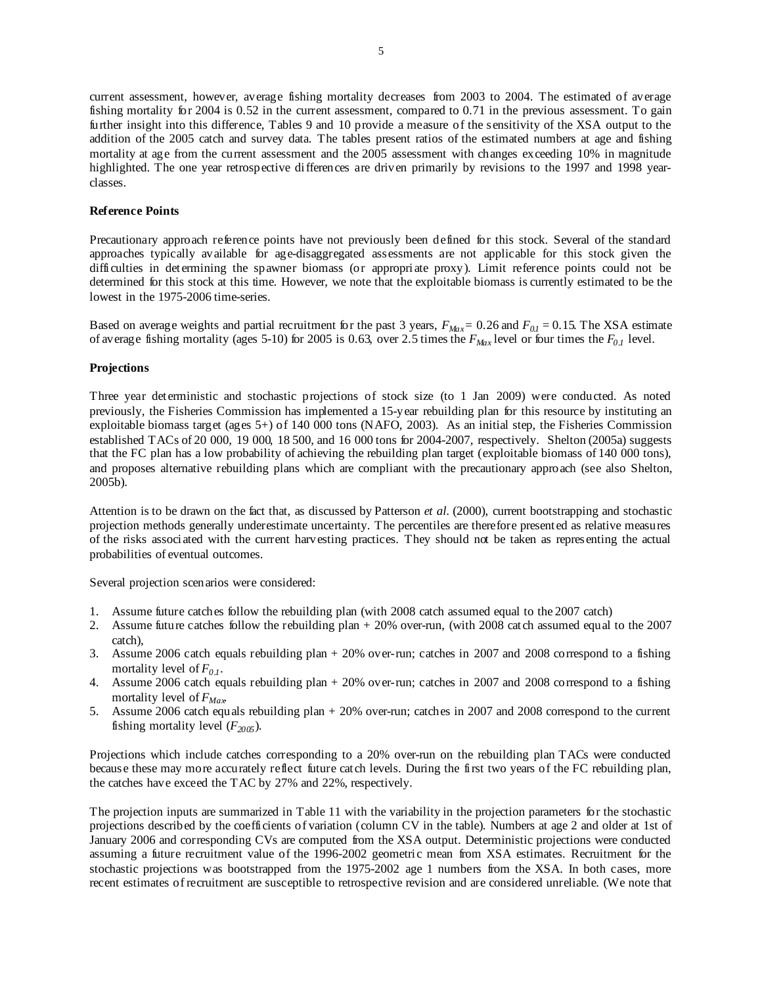current assessment, however, average fishing mortality decreases from 2003 to 2004. The estimated of average fishing mortality for 2004 is 0.52 in the current assessment, compared to 0.71 in the previous assessment. To gain further insight into this difference, Tables 9 and 10 provide a measure of the sensitivity of the XSA output to the addition of the 2005 catch and survey data. The tables present ratios of the estimated numbers at age and fishing mortality at age from the current assessment and the 2005 assessment with changes exceeding 10% in magnitude highlighted. The one year retrospective differences are driven primarily by revisions to the 1997 and 1998 yearclasses.

# **Reference Points**

Precautionary approach reference points have not previously been defined for this stock. Several of the standard approaches typically available for age-disaggregated assessments are not applicable for this stock given the difficulties in determining the spawner biomass (or appropriate proxy). Limit reference points could not be determined for this stock at this time. However, we note that the exploitable biomass is currently estimated to be the lowest in the 1975-2006 time-series.

Based on average weights and partial recruitment for the past 3 years,  $F_{Max} = 0.26$  and  $F_{0,I} = 0.15$ . The XSA estimate of average fishing mortality (ages 5-10) for 2005 is 0.63, over 2.5 times the  $F_{Max}$  level or four times the  $F_{0,I}$  level.

### **Projections**

Three year deterministic and stochastic projections of stock size (to 1 Jan 2009) were conducted. As noted previously, the Fisheries Commission has implemented a 15-year rebuilding plan for this resource by instituting an exploitable biomass target (ages 5+) of 140 000 tons (NAFO, 2003). As an initial step, the Fisheries Commission established TACs of 20 000, 19 000, 18 500, and 16 000 tons for 2004-2007, respectively. Shelton (2005a) suggests that the FC plan has a low probability of achieving the rebuilding plan target (exploitable biomass of 140 000 tons), and proposes alternative rebuilding plans which are compliant with the precautionary approach (see also Shelton, 2005b).

Attention is to be drawn on the fact that, as discussed by Patterson *et al.* (2000), current bootstrapping and stochastic projection methods generally underestimate uncertainty. The percentiles are therefore presented as relative measures of the risks associated with the current harvesting practices. They should not be taken as representing the actual probabilities of eventual outcomes.

Several projection scenarios were considered:

- 1. Assume future catches follow the rebuilding plan (with 2008 catch assumed equal to the 2007 catch)
- 2. Assume future catches follow the rebuilding plan + 20% over-run, (with 2008 catch assumed equal to the 2007 catch),
- 3. Assume 2006 catch equals rebuilding plan + 20% over-run; catches in 2007 and 2008 correspond to a fishing mortality level of  $F_{0,1}$ .
- 4. Assume 2006 catch equals rebuilding plan + 20% over-run; catches in 2007 and 2008 correspond to a fishing mortality level of *FMax*.
- 5. Assume 2006 catch equals rebuilding plan + 20% over-run; catches in 2007 and 2008 correspond to the current fishing mortality level  $(F_{2005})$ .

Projections which include catches corresponding to a 20% over-run on the rebuilding plan TACs were conducted because these may more accurately reflect future catch levels. During the first two years of the FC rebuilding plan, the catches have exceed the TAC by 27% and 22%, respectively.

The projection inputs are summarized in Table 11 with the variability in the projection parameters for the stochastic projections described by the coefficients of variation (column CV in the table). Numbers at age 2 and older at 1st of January 2006 and corresponding CVs are computed from the XSA output. Deterministic projections were conducted assuming a future recruitment value of the 1996-2002 geometric mean from XSA estimates. Recruitment for the stochastic projections was bootstrapped from the 1975-2002 age 1 numbers from the XSA. In both cases, more recent estimates of recruitment are susceptible to retrospective revision and are considered unreliable. (We note that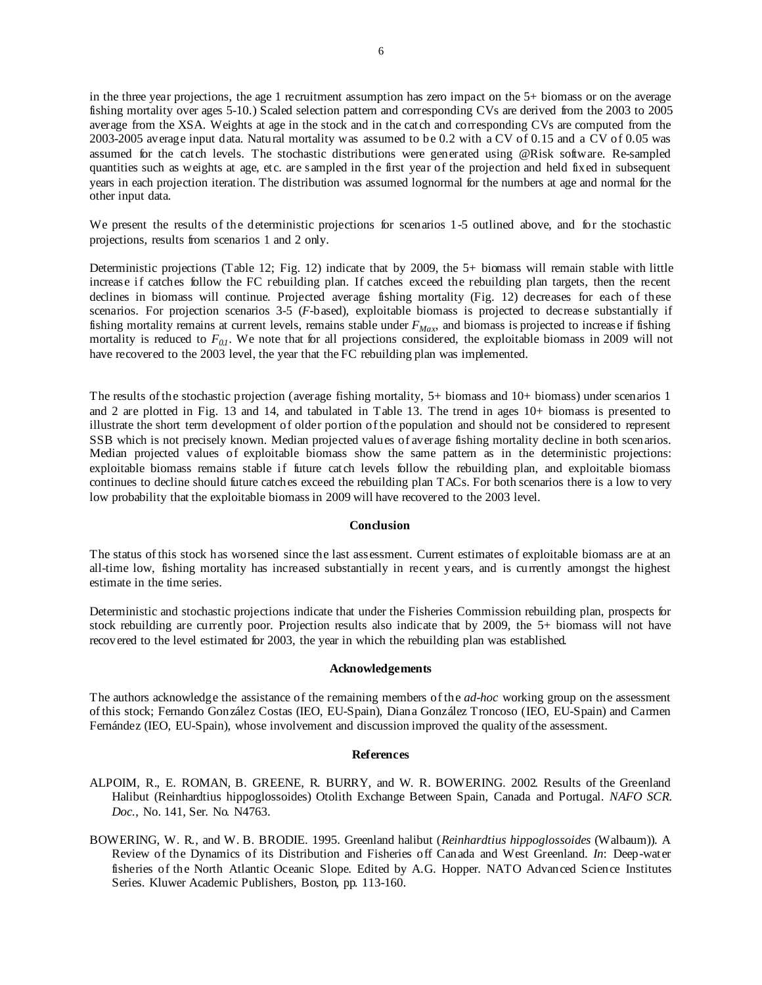in the three year projections, the age 1 recruitment assumption has zero impact on the 5+ biomass or on the average fishing mortality over ages 5-10.) Scaled selection pattern and corresponding CVs are derived from the 2003 to 2005 average from the XSA. Weights at age in the stock and in the catch and corresponding CVs are computed from the 2003-2005 average input data. Natural mortality was assumed to be 0.2 with a CV of 0.15 and a CV of 0.05 was assumed for the catch levels. The stochastic distributions were generated using @Risk software. Re-sampled quantities such as weights at age, etc. are sampled in the first year of the projection and held fixed in subsequent years in each projection iteration. The distribution was assumed lognormal for the numbers at age and normal for the other input data.

We present the results of the deterministic projections for scenarios 1-5 outlined above, and for the stochastic projections, results from scenarios 1 and 2 only.

Deterministic projections (Table 12; Fig. 12) indicate that by 2009, the 5+ biomass will remain stable with little increase if catches follow the FC rebuilding plan. If catches exceed the rebuilding plan targets, then the recent declines in biomass will continue. Projected average fishing mortality (Fig. 12) decreases for each of these scenarios. For projection scenarios 3-5 (*F*-based), exploitable biomass is projected to decrease substantially if fishing mortality remains at current levels, remains stable under  $F_{Max}$ , and biomass is projected to increase if fishing mortality is reduced to  $F_{0,I}$ . We note that for all projections considered, the exploitable biomass in 2009 will not have recovered to the 2003 level, the year that the FC rebuilding plan was implemented.

The results of the stochastic projection (average fishing mortality, 5+ biomass and 10+ biomass) under scenarios 1 and 2 are plotted in Fig. 13 and 14, and tabulated in Table 13. The trend in ages 10+ biomass is presented to illustrate the short term development of older portion of the population and should not be considered to represent SSB which is not precisely known. Median projected values of average fishing mortality decline in both scenarios. Median projected values of exploitable biomass show the same pattern as in the deterministic projections: exploitable biomass remains stable if future catch levels follow the rebuilding plan, and exploitable biomass continues to decline should future catches exceed the rebuilding plan TACs. For both scenarios there is a low to very low probability that the exploitable biomass in 2009 will have recovered to the 2003 level.

### **Conclusion**

The status of this stock has worsened since the last assessment. Current estimates of exploitable biomass are at an all-time low, fishing mortality has increased substantially in recent years, and is currently amongst the highest estimate in the time series.

Deterministic and stochastic projections indicate that under the Fisheries Commission rebuilding plan, prospects for stock rebuilding are currently poor. Projection results also indicate that by 2009, the 5+ biomass will not have recovered to the level estimated for 2003, the year in which the rebuilding plan was established.

#### **Acknowledgements**

The authors acknowledge the assistance of the remaining members of the *ad-hoc* working group on the assessment of this stock; Fernando González Costas (IEO, EU-Spain), Diana González Troncoso (IEO, EU-Spain) and Carmen Fernández (IEO, EU-Spain), whose involvement and discussion improved the quality of the assessment.

#### **References**

- ALPOIM, R., E. ROMAN, B. GREENE, R. BURRY, and W. R. BOWERING. 2002. Results of the Greenland Halibut (Reinhardtius hippoglossoides) Otolith Exchange Between Spain, Canada and Portugal. *NAFO SCR. Doc*., No. 141, Ser. No. N4763.
- BOWERING, W. R., and W. B. BRODIE. 1995. Greenland halibut (*Reinhardtius hippoglossoides* (Walbaum)). A Review of the Dynamics of its Distribution and Fisheries off Canada and West Greenland. *In*: Deep-water fisheries of the North Atlantic Oceanic Slope. Edited by A.G. Hopper. NATO Advanced Science Institutes Series. Kluwer Academic Publishers, Boston, pp. 113-160.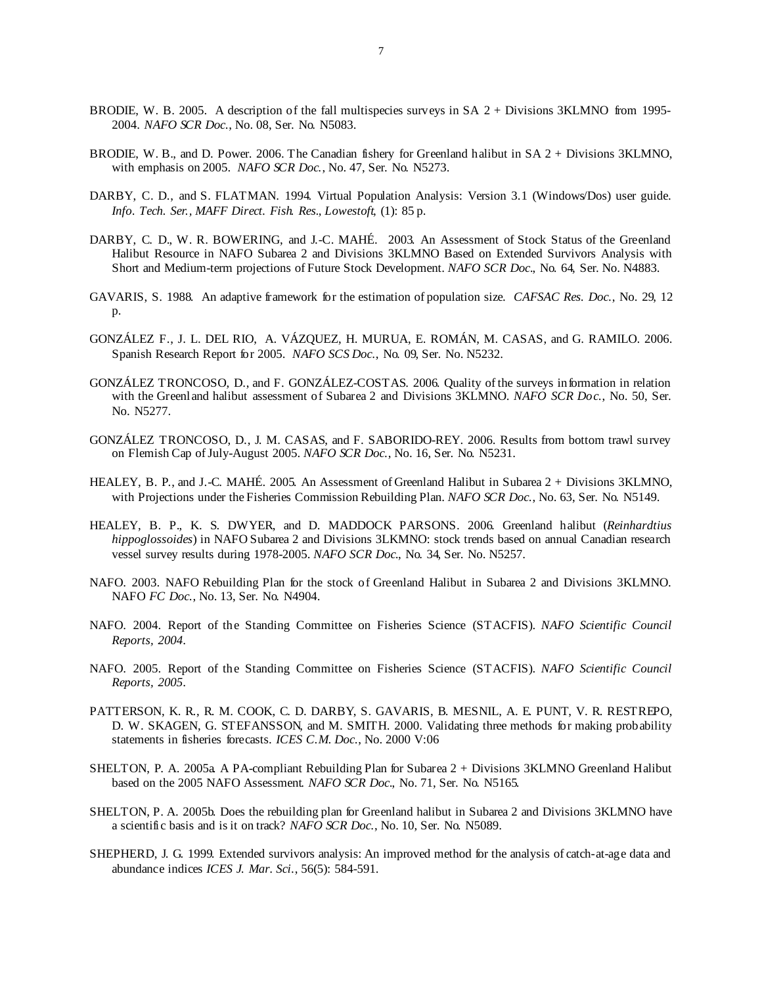- BRODIE, W. B. 2005. A description of the fall multispecies surveys in SA 2 + Divisions 3KLMNO from 1995-2004. *NAFO SCR Doc*., No. 08, Ser. No. N5083.
- BRODIE, W. B., and D. Power. 2006. The Canadian fishery for Greenland halibut in SA 2 + Divisions 3KLMNO, with emphasis on 2005. *NAFO SCR Doc.*, No. 47, Ser. No. N5273.
- DARBY, C. D., and S. FLATMAN. 1994. Virtual Population Analysis: Version 3.1 (Windows/Dos) user guide. *Info*. *Tech. Ser., MAFF Direct. Fish. Res., Lowestoft*, (1): 85 p.
- DARBY, C. D., W. R. BOWERING, and J.-C. MAHÉ. 2003. An Assessment of Stock Status of the Greenland Halibut Resource in NAFO Subarea 2 and Divisions 3KLMNO Based on Extended Survivors Analysis with Short and Medium-term projections of Future Stock Development. *NAFO SCR Doc*., No. 64, Ser. No. N4883.
- GAVARIS, S. 1988. An adaptive framework for the estimation of population size. *CAFSAC Res. Doc*., No. 29, 12 p.
- GONZÁLEZ F., J. L. DEL RIO, A. VÁZQUEZ, H. MURUA, E. ROMÁN, M. CASAS, and G. RAMILO. 2006. Spanish Research Report for 2005. *NAFO SCS Doc*., No. 09, Ser. No. N5232.
- GONZÁLEZ TRONCOSO, D., and F. GONZÁLEZ-COSTAS. 2006. Quality of the surveys information in relation with the Greenland halibut assessment of Subarea 2 and Divisions 3KLMNO. *NAFO SCR Doc*., No. 50, Ser. No. N5277.
- GONZÁLEZ TRONCOSO, D., J. M. CASAS, and F. SABORIDO-REY. 2006. Results from bottom trawl survey on Flemish Cap of July-August 2005. *NAFO SCR Doc*., No. 16, Ser. No. N5231.
- HEALEY, B. P., and J.-C. MAHÉ. 2005. An Assessment of Greenland Halibut in Subarea 2 + Divisions 3KLMNO, with Projections under the Fisheries Commission Rebuilding Plan. *NAFO SCR Doc*., No. 63, Ser. No. N5149.
- HEALEY, B. P., K. S. DWYER, and D. MADDOCK PARSONS. 2006. Greenland halibut (*Reinhardtius hippoglossoides*) in NAFO Subarea 2 and Divisions 3LKMNO: stock trends based on annual Canadian research vessel survey results during 1978-2005. *NAFO SCR Doc.*, No. 34, Ser. No. N5257.
- NAFO. 2003. NAFO Rebuilding Plan for the stock of Greenland Halibut in Subarea 2 and Divisions 3KLMNO. NAFO *FC Doc*., No. 13, Ser. No. N4904.
- NAFO. 2004. Report of the Standing Committee on Fisheries Science (STACFIS). *NAFO Scientific Council Reports, 2004*.
- NAFO. 2005. Report of the Standing Committee on Fisheries Science (STACFIS). *NAFO Scientific Council Reports, 2005*.
- PATTERSON, K. R., R. M. COOK, C. D. DARBY, S. GAVARIS, B. MESNIL, A. E. PUNT, V. R. RESTREPO, D. W. SKAGEN, G. STEFANSSON, and M. SMITH. 2000. Validating three methods for making probability statements in fisheries forecasts. *ICES C.M. Doc*., No. 2000 V:06
- SHELTON, P. A. 2005a. A PA-compliant Rebuilding Plan for Subarea 2 + Divisions 3KLMNO Greenland Halibut based on the 2005 NAFO Assessment. *NAFO SCR Doc*., No. 71, Ser. No. N5165.
- SHELTON, P. A. 2005b. Does the rebuilding plan for Greenland halibut in Subarea 2 and Divisions 3KLMNO have a scientific basis and is it on track? *NAFO SCR Doc*., No. 10, Ser. No. N5089.
- SHEPHERD, J. G. 1999. Extended survivors analysis: An improved method for the analysis of catch-at-age data and abundance indices *ICES J. Mar. Sci*., 56(5): 584-591.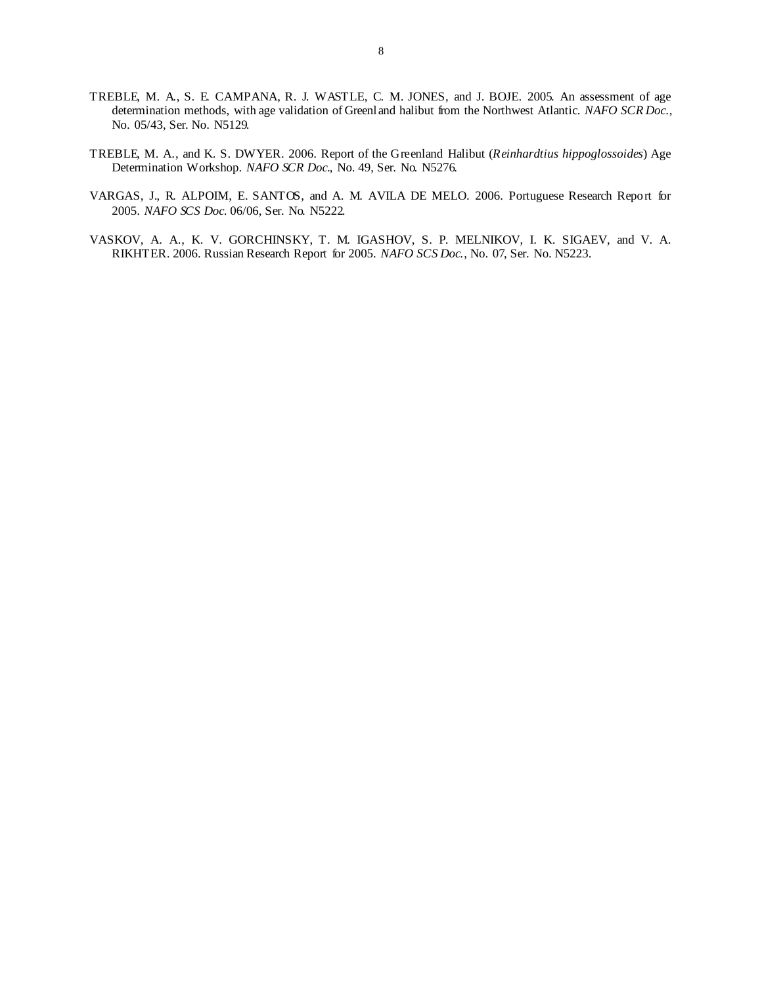- TREBLE, M. A., S. E. CAMPANA, R. J. WASTLE, C. M. JONES, and J. BOJE. 2005. An assessment of age determination methods, with age validation of Greenland halibut from the Northwest Atlantic. *NAFO SCR Doc*., No. 05/43, Ser. No. N5129.
- TREBLE, M. A., and K. S. DWYER. 2006. Report of the Greenland Halibut (*Reinhardtius hippoglossoides*) Age Determination Workshop. *NAFO SCR Doc*., No. 49, Ser. No. N5276.
- VARGAS, J., R. ALPOIM, E. SANTOS, and A. M. AVILA DE MELO. 2006. Portuguese Research Report for 2005. *NAFO SCS Doc*. 06/06, Ser. No. N5222.
- VASKOV, A. A., K. V. GORCHINSKY, T. M. IGASHOV, S. P. MELNIKOV, I. K. SIGAEV, and V. A. RIKHTER. 2006. Russian Research Report for 2005. *NAFO SCS Doc.*, No. 07, Ser. No. N5223.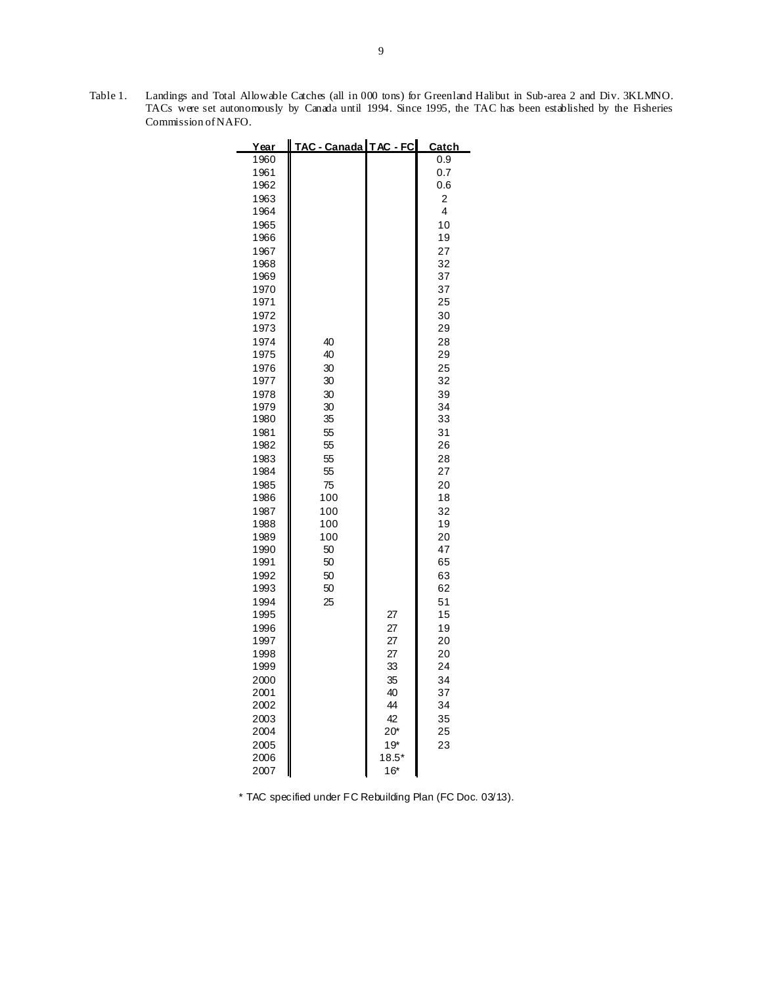Table 1. Landings and Total Allowable Catches (all in 000 tons) for Greenland Halibut in Sub-area 2 and Div. 3KLMNO. TACs were set autonomously by Canada until 1994. Since 1995, the TAC has been established by the Fisheries Commission of NAFO.

-

| Year         | <b>TAC - Canada TAC - FC</b> |         | <u>Catch</u> |
|--------------|------------------------------|---------|--------------|
| 1960         |                              |         | 0.9          |
| 1961         |                              |         | 0.7          |
| 1962         |                              |         | 0.6          |
| 1963         |                              |         | 2            |
| 1964         |                              |         | 4            |
| 1965         |                              |         | 10           |
| 1966         |                              |         | 19           |
| 1967         |                              |         | 27           |
| 1968         |                              |         | 32           |
| 1969         |                              |         | 37           |
| 1970         |                              |         | 37           |
| 1971         |                              |         | 25           |
| 1972         |                              |         | 30           |
| 1973         |                              |         | 29           |
| 1974         | 40                           |         | 28           |
| 1975         | 40                           |         | 29           |
| 1976         | 30                           |         | 25           |
| 1977         | 30                           |         | 32           |
| 1978<br>1979 | 30<br>30                     |         | 39<br>34     |
| 1980         | 35                           |         | 33           |
| 1981         | 55                           |         | 31           |
| 1982         | 55                           |         | 26           |
| 1983         | 55                           |         | 28           |
| 1984         | 55                           |         | 27           |
| 1985         | 75                           |         | 20           |
| 1986         | 100                          |         | 18           |
| 1987         | 100                          |         | 32           |
| 1988         | 100                          |         | 19           |
| 1989         | 100                          |         | 20           |
| 1990         | 50                           |         | 47           |
| 1991         | 50                           |         | 65           |
| 1992         | 50                           |         | 63           |
| 1993         | 50                           |         | 62           |
| 1994         | 25                           |         | 51           |
| 1995         |                              | 27      | 15           |
| 1996         |                              | 27      | 19           |
| 1997         |                              | 27      | 20           |
| 1998         |                              | 27      | 20           |
| 1999         |                              | 33      | 24           |
| 2000         |                              | 35      | 34           |
| 2001         |                              | 40      | 37           |
| 2002         |                              | 44      | 34           |
| 2003         |                              | 42      | 35           |
| 2004         |                              | $20*$   | 25           |
| 2005         |                              | $19*$   | 23           |
| 2006         |                              | $18.5*$ |              |
| 2007         |                              | $16*$   |              |

\* TAC specified under FC Rebuilding Plan (FC Doc. 03/13).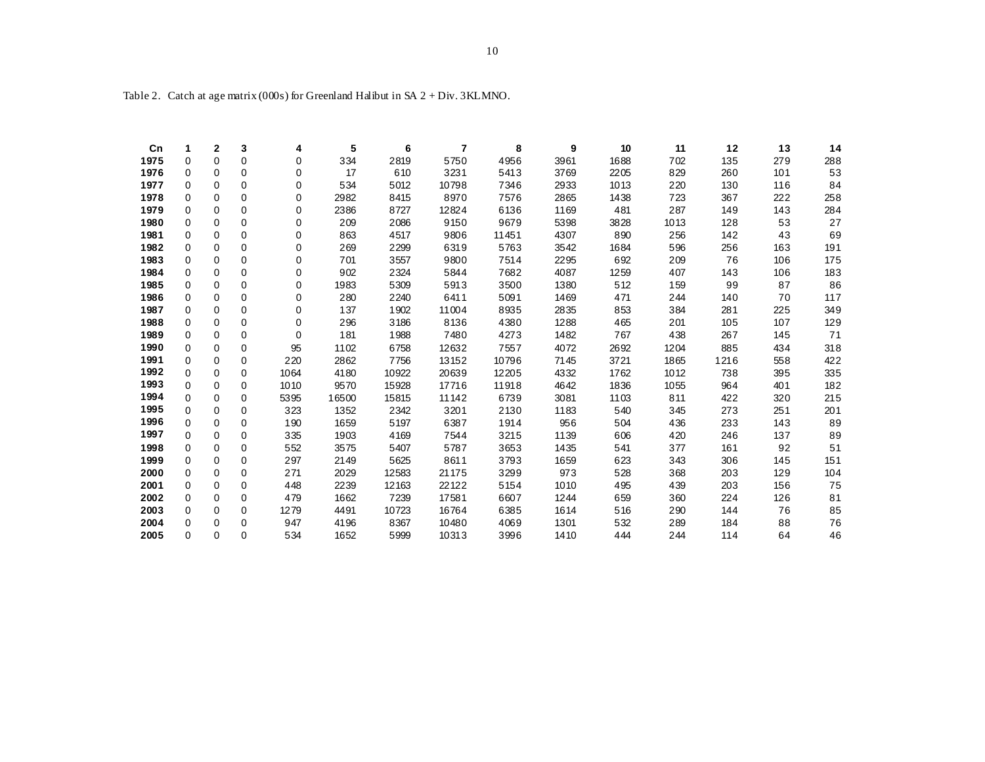| Cn   | 1        | 2           | 3        | 4        | 5     | 6     | 7     | 8     | 9    | 10   | 11   | 12   | 13  | 14  |
|------|----------|-------------|----------|----------|-------|-------|-------|-------|------|------|------|------|-----|-----|
| 1975 | 0        | 0           | 0        | 0        | 334   | 2819  | 5750  | 4956  | 3961 | 1688 | 702  | 135  | 279 | 288 |
| 1976 | $\Omega$ | 0           | $\Omega$ | 0        | 17    | 610   | 3231  | 5413  | 3769 | 2205 | 829  | 260  | 101 | 53  |
| 1977 | 0        | 0           | $\Omega$ | 0        | 534   | 5012  | 10798 | 7346  | 2933 | 1013 | 220  | 130  | 116 | 84  |
| 1978 | 0        | 0           | $\Omega$ | 0        | 2982  | 8415  | 8970  | 7576  | 2865 | 1438 | 723  | 367  | 222 | 258 |
| 1979 | 0        | 0           | 0        | 0        | 2386  | 8727  | 12824 | 6136  | 1169 | 481  | 287  | 149  | 143 | 284 |
| 1980 | $\Omega$ | $\Omega$    | $\Omega$ | 0        | 209   | 2086  | 9150  | 9679  | 5398 | 3828 | 1013 | 128  | 53  | 27  |
| 1981 | 0        | 0           | 0        | 0        | 863   | 4517  | 9806  | 11451 | 4307 | 890  | 256  | 142  | 43  | 69  |
| 1982 | 0        | 0           | 0        | 0        | 269   | 2299  | 6319  | 5763  | 3542 | 1684 | 596  | 256  | 163 | 191 |
| 1983 | 0        | 0           | $\Omega$ | 0        | 701   | 3557  | 9800  | 7514  | 2295 | 692  | 209  | 76   | 106 | 175 |
| 1984 | 0        | 0           | $\Omega$ | 0        | 902   | 2324  | 5844  | 7682  | 4087 | 1259 | 407  | 143  | 106 | 183 |
| 1985 | 0        | 0           | $\Omega$ | 0        | 1983  | 5309  | 5913  | 3500  | 1380 | 512  | 159  | 99   | 87  | 86  |
| 1986 | $\Omega$ | 0           | $\Omega$ | 0        | 280   | 2240  | 6411  | 5091  | 1469 | 471  | 244  | 140  | 70  | 117 |
| 1987 | $\Omega$ | 0           | $\Omega$ | 0        | 137   | 1902  | 11004 | 8935  | 2835 | 853  | 384  | 281  | 225 | 349 |
| 1988 | 0        | 0           | 0        | 0        | 296   | 3186  | 8136  | 4380  | 1288 | 465  | 201  | 105  | 107 | 129 |
| 1989 | $\Omega$ | $\Omega$    | $\Omega$ | $\Omega$ | 181   | 1988  | 7480  | 4273  | 1482 | 767  | 438  | 267  | 145 | 71  |
| 1990 | 0        | $\mathbf 0$ | 0        | 95       | 1102  | 6758  | 12632 | 7557  | 4072 | 2692 | 1204 | 885  | 434 | 318 |
| 1991 | $\Omega$ | $\Omega$    | $\Omega$ | 220      | 2862  | 7756  | 13152 | 10796 | 7145 | 3721 | 1865 | 1216 | 558 | 422 |
| 1992 | 0        | 0           | 0        | 1064     | 4180  | 10922 | 20639 | 12205 | 4332 | 1762 | 1012 | 738  | 395 | 335 |
| 1993 | $\Omega$ | $\mathbf 0$ | 0        | 1010     | 9570  | 15928 | 17716 | 11918 | 4642 | 1836 | 1055 | 964  | 401 | 182 |
| 1994 | 0        | 0           | $\Omega$ | 5395     | 16500 | 15815 | 11142 | 6739  | 3081 | 1103 | 811  | 422  | 320 | 215 |
| 1995 | 0        | 0           | $\Omega$ | 323      | 1352  | 2342  | 3201  | 2130  | 1183 | 540  | 345  | 273  | 251 | 201 |
| 1996 | $\Omega$ | 0           | 0        | 190      | 1659  | 5197  | 6387  | 1914  | 956  | 504  | 436  | 233  | 143 | 89  |
| 1997 | $\Omega$ | $\mathbf 0$ | $\Omega$ | 335      | 1903  | 4169  | 7544  | 3215  | 1139 | 606  | 420  | 246  | 137 | 89  |
| 1998 | 0        | 0           | $\Omega$ | 552      | 3575  | 5407  | 5787  | 3653  | 1435 | 541  | 377  | 161  | 92  | 51  |
| 1999 | 0        | 0           | 0        | 297      | 2149  | 5625  | 8611  | 3793  | 1659 | 623  | 343  | 306  | 145 | 151 |
| 2000 | $\Omega$ | $\Omega$    | $\Omega$ | 271      | 2029  | 12583 | 21175 | 3299  | 973  | 528  | 368  | 203  | 129 | 104 |
| 2001 | 0        | 0           | 0        | 448      | 2239  | 12163 | 22122 | 5154  | 1010 | 495  | 439  | 203  | 156 | 75  |
| 2002 | 0        | 0           | 0        | 479      | 1662  | 7239  | 17581 | 6607  | 1244 | 659  | 360  | 224  | 126 | 81  |
| 2003 | 0        | 0           | $\Omega$ | 1279     | 4491  | 10723 | 16764 | 6385  | 1614 | 516  | 290  | 144  | 76  | 85  |
| 2004 | 0        | 0           | 0        | 947      | 4196  | 8367  | 10480 | 4069  | 1301 | 532  | 289  | 184  | 88  | 76  |
| 2005 | $\Omega$ | $\Omega$    | 0        | 534      | 1652  | 5999  | 10313 | 3996  | 1410 | 444  | 244  | 114  | 64  | 46  |

Table 2. Catch at age matrix (000s) for Greenland Halibut in SA 2 + Div. 3KLMNO.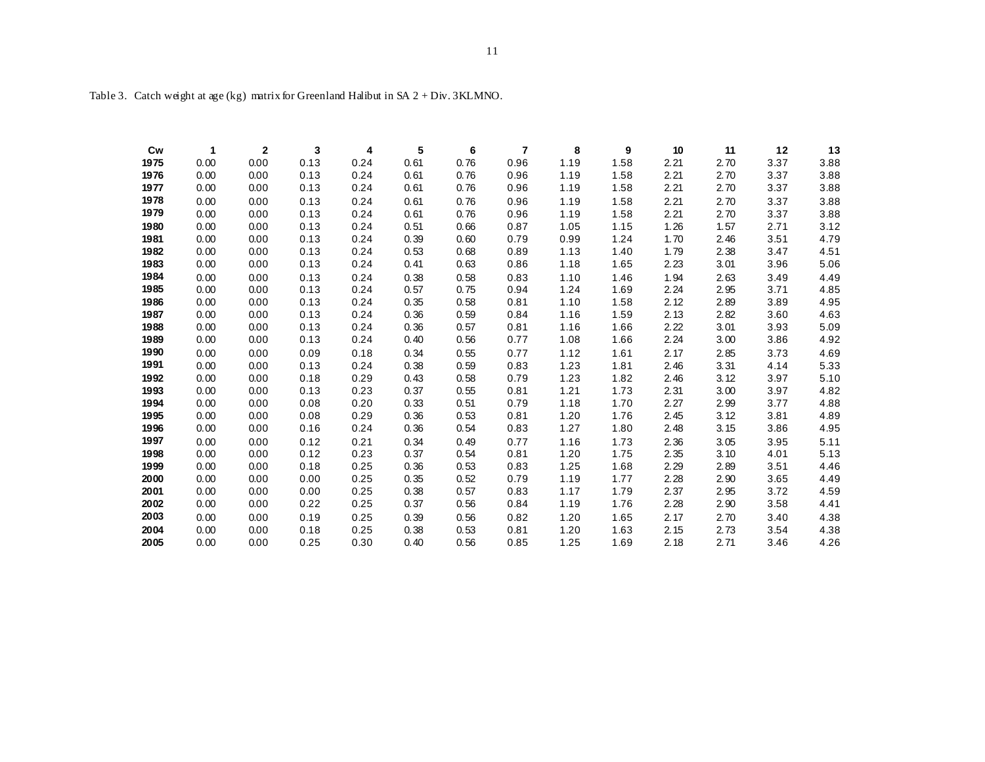| Cw   | 1    | $\mathbf{2}$ | 3    | 4    | 5    | 6    | 7    | 8    | 9    | 10   | 11   | 12   | 13   |
|------|------|--------------|------|------|------|------|------|------|------|------|------|------|------|
| 1975 | 0.00 | 0.00         | 0.13 | 0.24 | 0.61 | 0.76 | 0.96 | 1.19 | 1.58 | 2.21 | 2.70 | 3.37 | 3.88 |
| 1976 | 0.00 | 0.00         | 0.13 | 0.24 | 0.61 | 0.76 | 0.96 | 1.19 | 1.58 | 2.21 | 2.70 | 3.37 | 3.88 |
| 1977 | 0.00 | 0.00         | 0.13 | 0.24 | 0.61 | 0.76 | 0.96 | 1.19 | 1.58 | 2.21 | 2.70 | 3.37 | 3.88 |
| 1978 | 0.00 | 0.00         | 0.13 | 0.24 | 0.61 | 0.76 | 0.96 | 1.19 | 1.58 | 2.21 | 2.70 | 3.37 | 3.88 |
| 1979 | 0.00 | 0.00         | 0.13 | 0.24 | 0.61 | 0.76 | 0.96 | 1.19 | 1.58 | 2.21 | 2.70 | 3.37 | 3.88 |
| 1980 | 0.00 | 0.00         | 0.13 | 0.24 | 0.51 | 0.66 | 0.87 | 1.05 | 1.15 | 1.26 | 1.57 | 2.71 | 3.12 |
| 1981 | 0.00 | 0.00         | 0.13 | 0.24 | 0.39 | 0.60 | 0.79 | 0.99 | 1.24 | 1.70 | 2.46 | 3.51 | 4.79 |
| 1982 | 0.00 | 0.00         | 0.13 | 0.24 | 0.53 | 0.68 | 0.89 | 1.13 | 1.40 | 1.79 | 2.38 | 3.47 | 4.51 |
| 1983 | 0.00 | 0.00         | 0.13 | 0.24 | 0.41 | 0.63 | 0.86 | 1.18 | 1.65 | 2.23 | 3.01 | 3.96 | 5.06 |
| 1984 | 0.00 | 0.00         | 0.13 | 0.24 | 0.38 | 0.58 | 0.83 | 1.10 | 1.46 | 1.94 | 2.63 | 3.49 | 4.49 |
| 1985 | 0.00 | 0.00         | 0.13 | 0.24 | 0.57 | 0.75 | 0.94 | 1.24 | 1.69 | 2.24 | 2.95 | 3.71 | 4.85 |
| 1986 | 0.00 | 0.00         | 0.13 | 0.24 | 0.35 | 0.58 | 0.81 | 1.10 | 1.58 | 2.12 | 2.89 | 3.89 | 4.95 |
| 1987 | 0.00 | 0.00         | 0.13 | 0.24 | 0.36 | 0.59 | 0.84 | 1.16 | 1.59 | 2.13 | 2.82 | 3.60 | 4.63 |
| 1988 | 0.00 | 0.00         | 0.13 | 0.24 | 0.36 | 0.57 | 0.81 | 1.16 | 1.66 | 2.22 | 3.01 | 3.93 | 5.09 |
| 1989 | 0.00 | 0.00         | 0.13 | 0.24 | 0.40 | 0.56 | 0.77 | 1.08 | 1.66 | 2.24 | 3.00 | 3.86 | 4.92 |
| 1990 | 0.00 | 0.00         | 0.09 | 0.18 | 0.34 | 0.55 | 0.77 | 1.12 | 1.61 | 2.17 | 2.85 | 3.73 | 4.69 |
| 1991 | 0.00 | 0.00         | 0.13 | 0.24 | 0.38 | 0.59 | 0.83 | 1.23 | 1.81 | 2.46 | 3.31 | 4.14 | 5.33 |
| 1992 | 0.00 | 0.00         | 0.18 | 0.29 | 0.43 | 0.58 | 0.79 | 1.23 | 1.82 | 2.46 | 3.12 | 3.97 | 5.10 |
| 1993 | 0.00 | 0.00         | 0.13 | 0.23 | 0.37 | 0.55 | 0.81 | 1.21 | 1.73 | 2.31 | 3.00 | 3.97 | 4.82 |
| 1994 | 0.00 | 0.00         | 0.08 | 0.20 | 0.33 | 0.51 | 0.79 | 1.18 | 1.70 | 2.27 | 2.99 | 3.77 | 4.88 |
| 1995 | 0.00 | 0.00         | 0.08 | 0.29 | 0.36 | 0.53 | 0.81 | 1.20 | 1.76 | 2.45 | 3.12 | 3.81 | 4.89 |
| 1996 | 0.00 | 0.00         | 0.16 | 0.24 | 0.36 | 0.54 | 0.83 | 1.27 | 1.80 | 2.48 | 3.15 | 3.86 | 4.95 |
| 1997 | 0.00 | 0.00         | 0.12 | 0.21 | 0.34 | 0.49 | 0.77 | 1.16 | 1.73 | 2.36 | 3.05 | 3.95 | 5.11 |
| 1998 | 0.00 | 0.00         | 0.12 | 0.23 | 0.37 | 0.54 | 0.81 | 1.20 | 1.75 | 2.35 | 3.10 | 4.01 | 5.13 |
| 1999 | 0.00 | 0.00         | 0.18 | 0.25 | 0.36 | 0.53 | 0.83 | 1.25 | 1.68 | 2.29 | 2.89 | 3.51 | 4.46 |
| 2000 | 0.00 | 0.00         | 0.00 | 0.25 | 0.35 | 0.52 | 0.79 | 1.19 | 1.77 | 2.28 | 2.90 | 3.65 | 4.49 |
| 2001 | 0.00 | 0.00         | 0.00 | 0.25 | 0.38 | 0.57 | 0.83 | 1.17 | 1.79 | 2.37 | 2.95 | 3.72 | 4.59 |
| 2002 | 0.00 | 0.00         | 0.22 | 0.25 | 0.37 | 0.56 | 0.84 | 1.19 | 1.76 | 2.28 | 2.90 | 3.58 | 4.41 |
| 2003 | 0.00 | 0.00         | 0.19 | 0.25 | 0.39 | 0.56 | 0.82 | 1.20 | 1.65 | 2.17 | 2.70 | 3.40 | 4.38 |
| 2004 | 0.00 | 0.00         | 0.18 | 0.25 | 0.38 | 0.53 | 0.81 | 1.20 | 1.63 | 2.15 | 2.73 | 3.54 | 4.38 |
| 2005 | 0.00 | 0.00         | 0.25 | 0.30 | 0.40 | 0.56 | 0.85 | 1.25 | 1.69 | 2.18 | 2.71 | 3.46 | 4.26 |

Table 3. Catch weight at age (kg) matrix for Greenland Halibut in SA 2 + Div. 3KLMNO.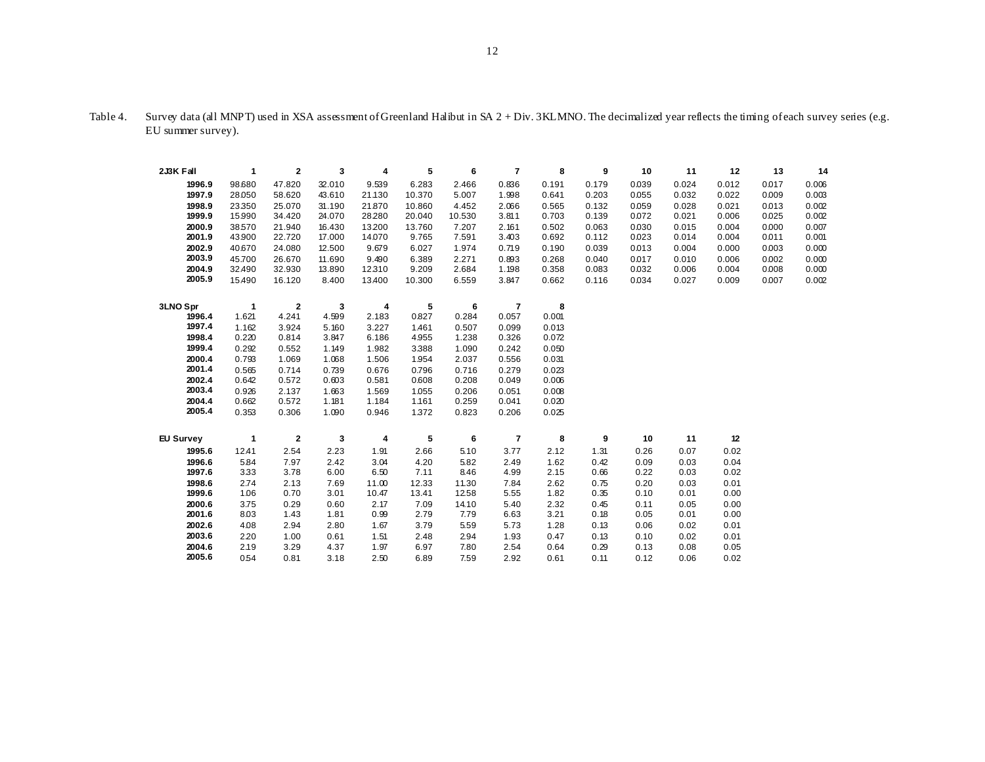| 2J3K Fall        | 1            | $\mathbf 2$  | 3      | 4      | 5      | 6      | $\overline{\mathbf{r}}$  | 8     | 9     | 10    | 11    | 12    | 13    | 14    |
|------------------|--------------|--------------|--------|--------|--------|--------|--------------------------|-------|-------|-------|-------|-------|-------|-------|
| 1996.9           | 98.680       | 47.820       | 32.010 | 9.539  | 6.283  | 2.466  | 0.836                    | 0.191 | 0.179 | 0.039 | 0.024 | 0.012 | 0.017 | 0.006 |
| 1997.9           | 28.050       | 58.620       | 43.610 | 21.130 | 10.370 | 5.007  | 1.998                    | 0.641 | 0.203 | 0.055 | 0.032 | 0.022 | 0.009 | 0.003 |
| 1998.9           | 23.350       | 25.070       | 31.190 | 21.870 | 10.860 | 4.452  | 2.066                    | 0.565 | 0.132 | 0.059 | 0.028 | 0.021 | 0.013 | 0.002 |
| 1999.9           | 15.990       | 34.420       | 24.070 | 28280  | 20.040 | 10.530 | 3.811                    | 0.703 | 0.139 | 0.072 | 0.021 | 0.006 | 0.025 | 0.002 |
| 2000.9           | 38.570       | 21.940       | 16.430 | 13200  | 13.760 | 7.207  | 2.161                    | 0.502 | 0.063 | 0.030 | 0.015 | 0.004 | 0.000 | 0.007 |
| 2001.9           | 43.900       | 22.720       | 17.000 | 14.070 | 9.765  | 7.591  | 3.403                    | 0.692 | 0.112 | 0.023 | 0.014 | 0.004 | 0.011 | 0.001 |
| 2002.9           | 40.670       | 24.080       | 12.500 | 9.679  | 6.027  | 1.974  | 0.719                    | 0.190 | 0.039 | 0.013 | 0.004 | 0.000 | 0.003 | 0.000 |
| 2003.9           | 45.700       | 26.670       | 11.690 | 9.490  | 6.389  | 2.271  | 0.893                    | 0.268 | 0.040 | 0.017 | 0.010 | 0.006 | 0.002 | 0.000 |
| 2004.9           | 32.490       | 32.930       | 13.890 | 12.310 | 9.209  | 2.684  | 1.198                    | 0.358 | 0.083 | 0.032 | 0.006 | 0.004 | 0.008 | 0.000 |
| 2005.9           | 15.490       | 16.120       | 8.400  | 13.400 | 10.300 | 6.559  | 3.847                    | 0.662 | 0.116 | 0.034 | 0.027 | 0.009 | 0.007 | 0.002 |
| 3LNO Spr         | $\mathbf{1}$ | $\mathbf 2$  | 3      | 4      | 5      | 6      | $\overline{\phantom{a}}$ | 8     |       |       |       |       |       |       |
| 1996.4           | 1.621        | 4.241        | 4.599  | 2.183  | 0.827  | 0.284  | 0.057                    | 0.001 |       |       |       |       |       |       |
| 1997.4           | 1.162        | 3.924        | 5.160  | 3.227  | 1.461  | 0.507  | 0.099                    | 0.013 |       |       |       |       |       |       |
| 1998.4           | 0.220        | 0.814        | 3.847  | 6.186  | 4.955  | 1.238  | 0.326                    | 0.072 |       |       |       |       |       |       |
| 1999.4           | 0.292        | 0.552        | 1.149  | 1.982  | 3.388  | 1.090  | 0.242                    | 0.050 |       |       |       |       |       |       |
| 2000.4           | 0.793        | 1.069        | 1.068  | 1.506  | 1.954  | 2.037  | 0.556                    | 0.031 |       |       |       |       |       |       |
| 2001.4           | 0.565        | 0.714        | 0.739  | 0.676  | 0.796  | 0.716  | 0.279                    | 0.023 |       |       |       |       |       |       |
| 2002.4           | 0.642        | 0.572        | 0.603  | 0.581  | 0.608  | 0.208  | 0.049                    | 0.006 |       |       |       |       |       |       |
| 2003.4           | 0.926        | 2.137        | 1.663  | 1.569  | 1.055  | 0.206  | 0.051                    | 0.008 |       |       |       |       |       |       |
| 2004.4           | 0.662        | 0.572        | 1.181  | 1.184  | 1.161  | 0.259  | 0.041                    | 0.020 |       |       |       |       |       |       |
| 2005.4           | 0.353        | 0.306        | 1.090  | 0.946  | 1.372  | 0.823  | 0.206                    | 0.025 |       |       |       |       |       |       |
| <b>EU Survey</b> | $\mathbf 1$  | $\mathbf{2}$ | 3      | 4      | 5      | 6      | $\overline{\phantom{a}}$ | 8     | 9     | 10    | 11    | 12    |       |       |
| 1995.6           | 12.41        | 2.54         | 2.23   | 1.91   | 2.66   | 5.10   | 3.77                     | 2.12  | 1.31  | 0.26  | 0.07  | 0.02  |       |       |
| 1996.6           | 5.84         | 7.97         | 2.42   | 3.04   | 4.20   | 5.82   | 2.49                     | 1.62  | 0.42  | 0.09  | 0.03  | 0.04  |       |       |
| 1997.6           | 3.33         | 3.78         | 6.00   | 6.50   | 7.11   | 8.46   | 4.99                     | 2.15  | 0.66  | 0.22  | 0.03  | 0.02  |       |       |
| 1998.6           | 2.74         | 2.13         | 7.69   | 11.00  | 12.33  | 11.30  | 7.84                     | 2.62  | 0.75  | 0.20  | 0.03  | 0.01  |       |       |
| 1999.6           | 1.06         | 0.70         | 3.01   | 10.47  | 13.41  | 1258   | 5.55                     | 1.82  | 0.35  | 0.10  | 0.01  | 0.00  |       |       |
| 2000.6           | 3.75         | 0.29         | 0.60   | 2.17   | 7.09   | 14.10  | 5.40                     | 2.32  | 0.45  | 0.11  | 0.05  | 0.00  |       |       |
| 2001.6           | 8.03         | 1.43         | 1.81   | 0.99   | 2.79   | 7.79   | 6.63                     | 3.21  | 0.18  | 0.05  | 0.01  | 0.00  |       |       |
| 2002.6           | 4.08         | 2.94         | 2.80   | 1.67   | 3.79   | 5.59   | 5.73                     | 1.28  | 0.13  | 0.06  | 0.02  | 0.01  |       |       |
| 2003.6           | 220          | 1.00         | 0.61   | 1.51   | 2.48   | 294    | 1.93                     | 0.47  | 0.13  | 0.10  | 0.02  | 0.01  |       |       |
| 2004.6           | 2.19         | 3.29         | 4.37   | 1.97   | 6.97   | 7.80   | 2.54                     | 0.64  | 0.29  | 0.13  | 0.08  | 0.05  |       |       |
| 2005.6           | 0.54         | 0.81         | 3.18   | 2.50   | 6.89   | 7.59   | 2.92                     | 0.61  | 0.11  | 0.12  | 0.06  | 0.02  |       |       |

Table 4. Survey data (all MNPT) used in XSA assessment of Greenland Halibut in SA 2 + Div. 3KLMNO. The decimalized year reflects the timing of each survey series (e.g. EU summer survey).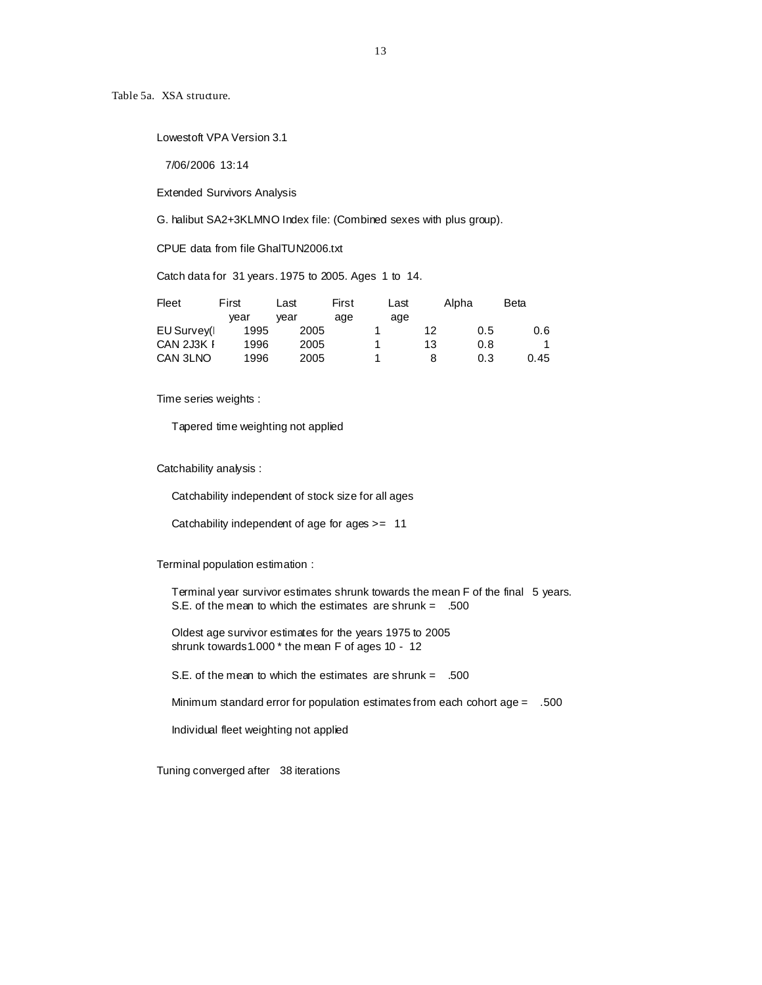Table 5a. XSA structure.

Lowestoft VPA Version 3.1

7/06/2006 13:14

Extended Survivors Analysis

G. halibut SA2+3KLMNO Index file: (Combined sexes with plus group).

CPUE data from file GhalTUN2006.txt

Catch data for 31 years. 1975 to 2005. Ages 1 to 14.

| Fleet       | First | Last | First | Last |    | Alpha | Beta |
|-------------|-------|------|-------|------|----|-------|------|
|             | vear  | vear | age   | age  |    |       |      |
| EU Survey(I | 1995  | 2005 |       |      | 12 | 0.5   | 0.6  |
| CAN 2J3K I  | 1996  | 2005 |       |      | 13 | 0.8   |      |
| CAN 3LNO    | 1996  | 2005 |       |      | 8  | 0.3   | 0.45 |

Time series weights :

Tapered time weighting not applied

Catchability analysis :

Catchability independent of stock size for all ages

Catchability independent of age for ages >= 11

Terminal population estimation :

 Terminal year survivor estimates shrunk towards the mean F of the final 5 years. S.E. of the mean to which the estimates are shrunk =  $.500$ 

 Oldest age survivor estimates for the years 1975 to 2005 shrunk towards1.000 \* the mean F of ages 10 - 12

S.E. of the mean to which the estimates are shrunk = .500

Minimum standard error for population estimates from each cohort age = .500

Individual fleet weighting not applied

Tuning converged after 38 iterations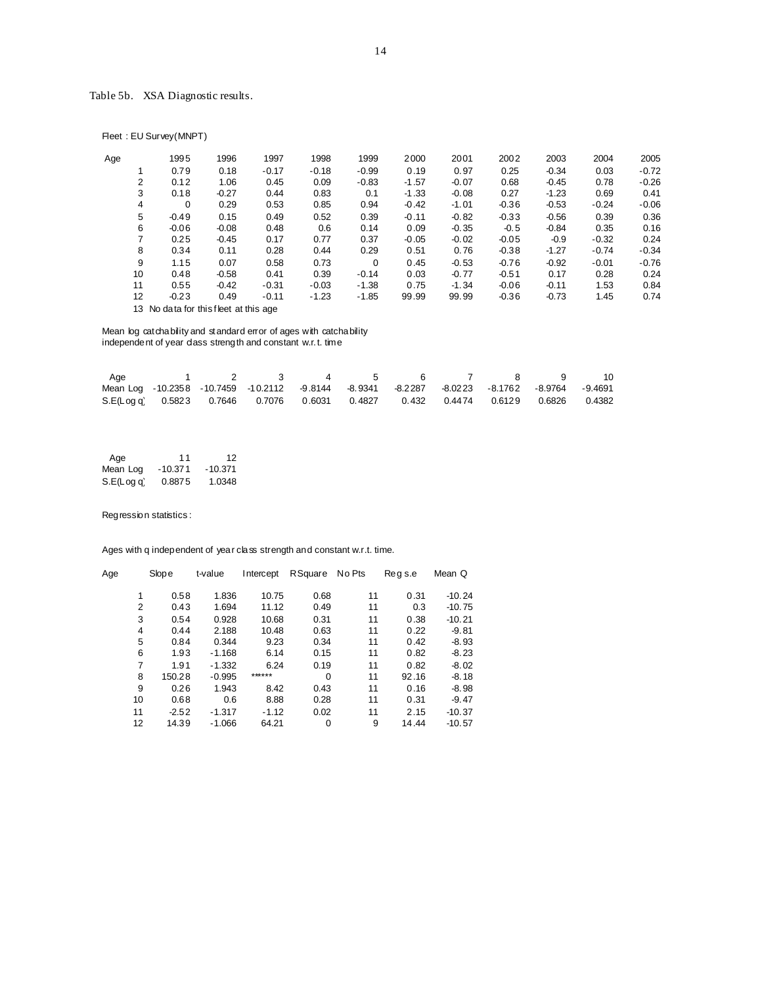# Table 5b. XSA Diagnostic results.

Fleet : EU Survey(MNPT)

| Age | 1995    | 1996    | 1997    | 1998    | 1999     | 2000    | 2001    | 2002    | 2003    | 2004    | 2005    |
|-----|---------|---------|---------|---------|----------|---------|---------|---------|---------|---------|---------|
|     | 0.79    | 0.18    | $-0.17$ | $-0.18$ | $-0.99$  | 0.19    | 0.97    | 0.25    | $-0.34$ | 0.03    | $-0.72$ |
| 2   | 0.12    | 1.06    | 0.45    | 0.09    | $-0.83$  | $-1.57$ | $-0.07$ | 0.68    | $-0.45$ | 0.78    | $-0.26$ |
| 3   | 0.18    | $-0.27$ | 0.44    | 0.83    | 0.1      | $-1.33$ | $-0.08$ | 0.27    | $-1.23$ | 0.69    | 0.41    |
| 4   | 0       | 0.29    | 0.53    | 0.85    | 0.94     | $-0.42$ | $-1.01$ | $-0.36$ | $-0.53$ | $-0.24$ | $-0.06$ |
| 5   | $-0.49$ | 0.15    | 0.49    | 0.52    | 0.39     | $-0.11$ | $-0.82$ | $-0.33$ | $-0.56$ | 0.39    | 0.36    |
| 6   | $-0.06$ | $-0.08$ | 0.48    | 0.6     | 0.14     | 0.09    | $-0.35$ | $-0.5$  | $-0.84$ | 0.35    | 0.16    |
| 7   | 0.25    | $-0.45$ | 0.17    | 0.77    | 0.37     | $-0.05$ | $-0.02$ | $-0.05$ | $-0.9$  | $-0.32$ | 0.24    |
| 8   | 0.34    | 0.11    | 0.28    | 0.44    | 0.29     | 0.51    | 0.76    | $-0.38$ | $-1.27$ | $-0.74$ | $-0.34$ |
| 9   | 1.15    | 0.07    | 0.58    | 0.73    | $\Omega$ | 0.45    | $-0.53$ | $-0.76$ | $-0.92$ | $-0.01$ | $-0.76$ |
| 10  | 0.48    | $-0.58$ | 0.41    | 0.39    | $-0.14$  | 0.03    | $-0.77$ | $-0.51$ | 0.17    | 0.28    | 0.24    |
| 11  | 0.55    | $-0.42$ | $-0.31$ | $-0.03$ | $-1.38$  | 0.75    | $-1.34$ | $-0.06$ | $-0.11$ | 1.53    | 0.84    |
| 12  | $-0.23$ | 0.49    | $-0.11$ | $-1.23$ | $-1.85$  | 99.99   | 99.99   | $-0.36$ | $-0.73$ | 1.45    | 0.74    |
|     |         |         |         |         |          |         |         |         |         |         |         |

13 No data for this fleet at this age

Mean log catchability and standard error of ages with catchability independent of year dass strength and constant w.r.t. time

| Age |  |                                                                                             | $4\quad 5$ |  |  | - 10 |
|-----|--|---------------------------------------------------------------------------------------------|------------|--|--|------|
|     |  | Mean Log -10.2358 -10.7459 -10.2112 -9.8144 -8.9341 -8.2287 -8.0223 -8.1762 -8.9764 -9.4691 |            |  |  |      |
|     |  | S.E(Log q) 0.5823 0.7646 0.7076 0.6031 0.4827 0.432 0.4474 0.6129 0.6826 0.4382             |            |  |  |      |

| Age        | 11        | 12        |
|------------|-----------|-----------|
| Mean Log   | $-10.371$ | $-10.371$ |
| S.E(Log q) | 0.8875    | 1.0348    |

Regression statistics :

Ages with q independent of year class strength and constant w.r.t. time.

| Age | Slope   | t-value  | Intercept | <b>R</b> Square | No Pts | Regs.e | Mean Q   |
|-----|---------|----------|-----------|-----------------|--------|--------|----------|
| 1   | 0.58    | 1.836    | 10.75     | 0.68            | 11     | 0.31   | $-10.24$ |
| 2   | 0.43    | 1.694    | 11.12     | 0.49            | 11     | 0.3    | $-10.75$ |
| 3   | 0.54    | 0.928    | 10.68     | 0.31            | 11     | 0.38   | $-10.21$ |
| 4   | 0.44    | 2.188    | 10.48     | 0.63            | 11     | 0.22   | $-9.81$  |
| 5   | 0.84    | 0.344    | 9.23      | 0.34            | 11     | 0.42   | $-8.93$  |
| 6   | 1.93    | $-1.168$ | 6.14      | 0.15            | 11     | 0.82   | $-8.23$  |
| 7   | 1.91    | $-1.332$ | 6.24      | 0.19            | 11     | 0.82   | $-8.02$  |
| 8   | 150.28  | $-0.995$ | ******    | $\Omega$        | 11     | 92.16  | $-8.18$  |
| 9   | 0.26    | 1.943    | 8.42      | 0.43            | 11     | 0.16   | $-8.98$  |
| 10  | 0.68    | 0.6      | 8.88      | 0.28            | 11     | 0.31   | $-9.47$  |
| 11  | $-2.52$ | $-1.317$ | $-1.12$   | 0.02            | 11     | 2.15   | $-10.37$ |
| 12  | 14.39   | $-1.066$ | 64.21     | 0               | 9      | 14.44  | $-10.57$ |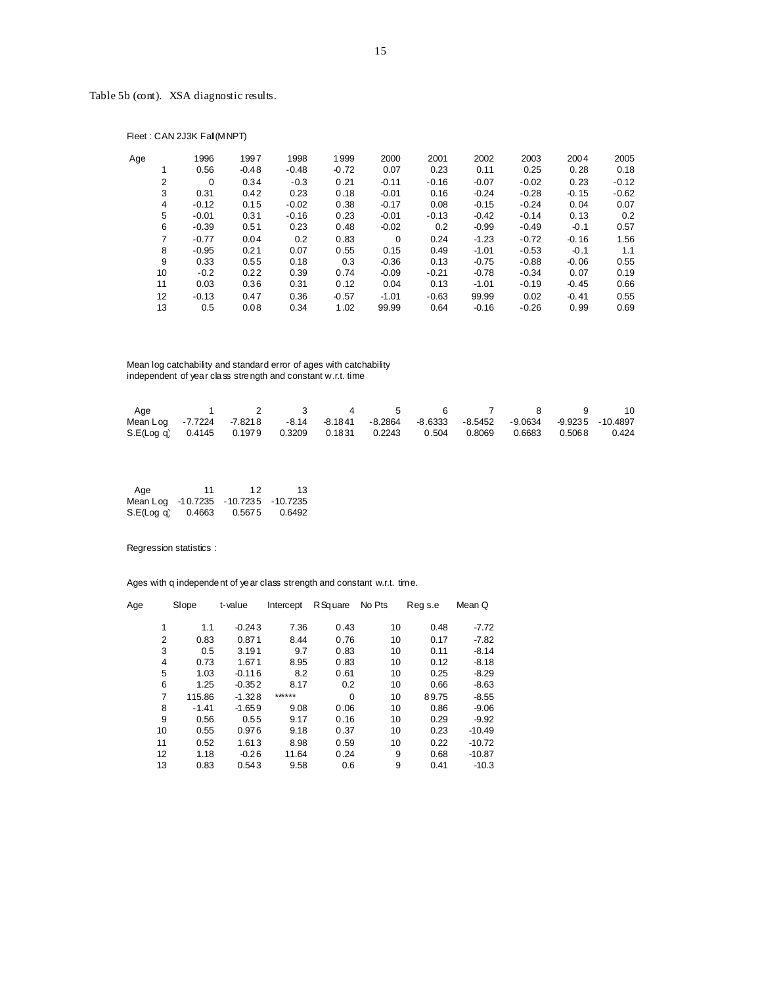Fleet : CAN 2J3K Fall(MNPT)

| Age |    | 1996        | 1997    | 1998    | 1999    | 2000     | 2001    | 2002    | 2003    | 2004    | 2005    |
|-----|----|-------------|---------|---------|---------|----------|---------|---------|---------|---------|---------|
|     |    | 0.56        | $-0.48$ | $-0.48$ | $-0.72$ | 0.07     | 0.23    | 0.11    | 0.25    | 0.28    | 0.18    |
|     | 2  | $\mathbf 0$ | 0.34    | $-0.3$  | 0.21    | $-0.11$  | $-0.16$ | $-0.07$ | $-0.02$ | 0.23    | $-0.12$ |
|     | 3  | 0.31        | 0.42    | 0.23    | 0.18    | $-0.01$  | 0.16    | $-0.24$ | $-0.28$ | $-0.15$ | $-0.62$ |
|     | 4  | $-0.12$     | 0.15    | $-0.02$ | 0.38    | $-0.17$  | 0.08    | $-0.15$ | $-0.24$ | 0.04    | 0.07    |
|     | 5  | $-0.01$     | 0.31    | $-0.16$ | 0.23    | $-0.01$  | $-0.13$ | $-0.42$ | $-0.14$ | 0.13    | 0.2     |
|     | 6  | $-0.39$     | 0.51    | 0.23    | 0.48    | $-0.02$  | 0.2     | $-0.99$ | $-0.49$ | $-0.1$  | 0.57    |
|     | 7  | $-0.77$     | 0.04    | 0.2     | 0.83    | $\Omega$ | 0.24    | $-1.23$ | $-0.72$ | $-0.16$ | 1.56    |
|     | 8  | $-0.95$     | 0.21    | 0.07    | 0.55    | 0.15     | 0.49    | $-1.01$ | $-0.53$ | $-0.1$  | 1.1     |
|     | 9  | 0.33        | 0.55    | 0.18    | 0.3     | $-0.36$  | 0.13    | $-0.75$ | $-0.88$ | $-0.06$ | 0.55    |
|     | 10 | $-0.2$      | 0.22    | 0.39    | 0.74    | $-0.09$  | $-0.21$ | $-0.78$ | $-0.34$ | 0.07    | 0.19    |
|     | 11 | 0.03        | 0.36    | 0.31    | 0.12    | 0.04     | 0.13    | $-1.01$ | $-0.19$ | $-0.45$ | 0.66    |
|     | 12 | $-0.13$     | 0.47    | 0.36    | $-0.57$ | $-1.01$  | $-0.63$ | 99.99   | 0.02    | $-0.41$ | 0.55    |
|     | 13 | 0.5         | 0.08    | 0.34    | 1.02    | 99.99    | 0.64    | $-0.16$ | $-0.26$ | 0.99    | 0.69    |

 Mean log catchability and standard error of ages with catchability independent of year class strength and constant w.r.t. time

| Age                                                                                     | 1 2 3 4 5 6 7 8 9 10 |  |  |  |  |
|-----------------------------------------------------------------------------------------|----------------------|--|--|--|--|
| Mean Log -7.7224 -7.8218 -8.14 -8.1841 -8.2864 -8.6333 -8.5452 -9.0634 -9.9235 -10.4897 |                      |  |  |  |  |
| S.E(Log a) 0.4145 0.1979 0.3209 0.1831 0.2243 0.504 0.8069 0.6683 0.5068 0.424          |                      |  |  |  |  |

| Age                                 | 11     | 12     | 13     |
|-------------------------------------|--------|--------|--------|
| Mean Log -10.7235 -10.7235 -10.7235 |        |        |        |
| S.E(Log q)                          | 0.4663 | 0.5675 | 0.6492 |

Regression statistics :

Ages with q independent of year class strength and constant w.r.t. time.

| Age |    | Slope   | t-value  | Intercept | R Square | No Pts | Reg s.e | Mean Q   |
|-----|----|---------|----------|-----------|----------|--------|---------|----------|
|     | 1  | 1.1     | $-0.243$ | 7.36      | 0.43     | 10     | 0.48    | $-7.72$  |
|     | 2  | 0.83    | 0.871    | 8.44      | 0.76     | 10     | 0.17    | $-7.82$  |
|     | 3  | 0.5     | 3.191    | 9.7       | 0.83     | 10     | 0.11    | $-8.14$  |
|     | 4  | 0.73    | 1.671    | 8.95      | 0.83     | 10     | 0.12    | $-8.18$  |
|     | 5  | 1.03    | $-0.116$ | 8.2       | 0.61     | 10     | 0.25    | $-8.29$  |
|     | 6  | 1.25    | $-0.352$ | 8.17      | 0.2      | 10     | 0.66    | $-8.63$  |
|     | 7  | 115.86  | $-1.328$ | ******    | $\Omega$ | 10     | 89.75   | $-8.55$  |
|     | 8  | $-1.41$ | $-1.659$ | 9.08      | 0.06     | 10     | 0.86    | $-9.06$  |
|     | 9  | 0.56    | 0.55     | 9.17      | 0.16     | 10     | 0.29    | $-9.92$  |
|     | 10 | 0.55    | 0.976    | 9.18      | 0.37     | 10     | 0.23    | $-10.49$ |
|     | 11 | 0.52    | 1.613    | 8.98      | 0.59     | 10     | 0.22    | $-10.72$ |
|     | 12 | 1.18    | $-0.26$  | 11.64     | 0.24     | 9      | 0.68    | $-10.87$ |
|     | 13 | 0.83    | 0.543    | 9.58      | 0.6      | 9      | 0.41    | $-10.3$  |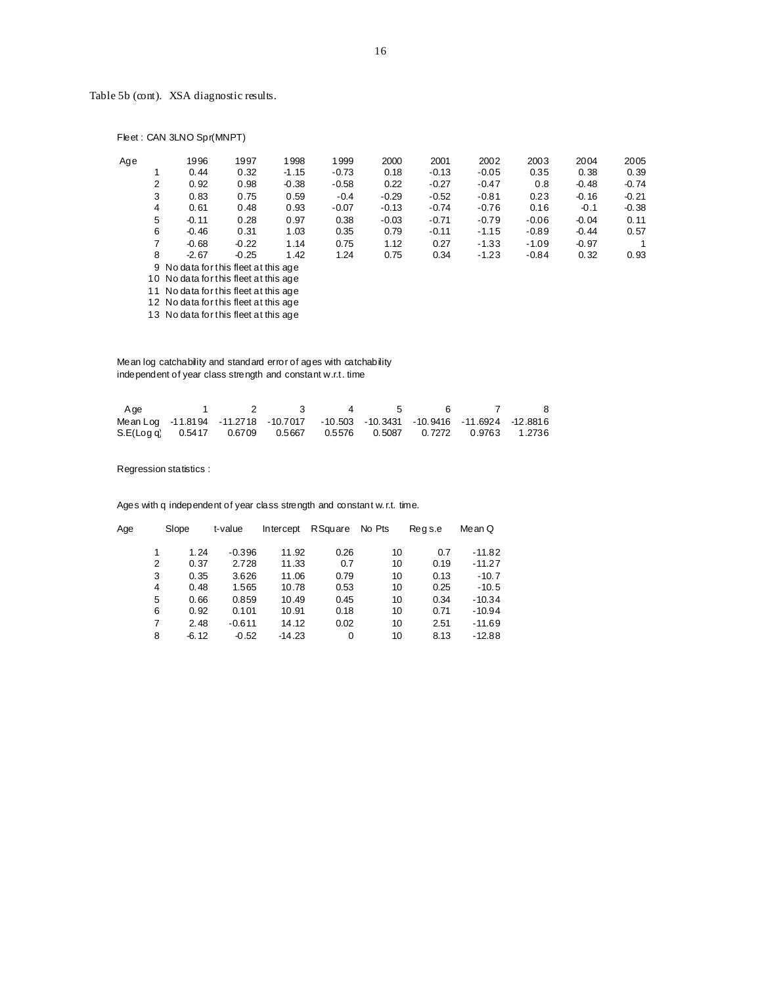| Age |                | 1996                                  | 1997    | 1998    | 1999    | 2000    | 2001    | 2002    | 2003    | 2004    | 2005    |
|-----|----------------|---------------------------------------|---------|---------|---------|---------|---------|---------|---------|---------|---------|
|     |                | 0.44                                  | 0.32    | $-1.15$ | $-0.73$ | 0.18    | $-0.13$ | $-0.05$ | 0.35    | 0.38    | 0.39    |
|     | $\overline{2}$ | 0.92                                  | 0.98    | $-0.38$ | $-0.58$ | 0.22    | $-0.27$ | $-0.47$ | 0.8     | $-0.48$ | $-0.74$ |
|     | 3              | 0.83                                  | 0.75    | 0.59    | $-0.4$  | $-0.29$ | $-0.52$ | $-0.81$ | 0.23    | $-0.16$ | $-0.21$ |
|     | 4              | 0.61                                  | 0.48    | 0.93    | $-0.07$ | $-0.13$ | $-0.74$ | $-0.76$ | 0.16    | $-0.1$  | $-0.38$ |
|     | 5              | $-0.11$                               | 0.28    | 0.97    | 0.38    | $-0.03$ | $-0.71$ | $-0.79$ | $-0.06$ | $-0.04$ | 0.11    |
|     | 6              | $-0.46$                               | 0.31    | 1.03    | 0.35    | 0.79    | $-0.11$ | $-1.15$ | $-0.89$ | $-0.44$ | 0.57    |
|     | 7              | $-0.68$                               | $-0.22$ | 1.14    | 0.75    | 1.12    | 0.27    | $-1.33$ | $-1.09$ | $-0.97$ | 1       |
|     | 8              | $-2.67$                               | $-0.25$ | 1.42    | 1.24    | 0.75    | 0.34    | $-1.23$ | $-0.84$ | 0.32    | 0.93    |
|     |                | 9 No data for this fleet at this age  |         |         |         |         |         |         |         |         |         |
|     |                | 10 No data for this fleet at this age |         |         |         |         |         |         |         |         |         |

Fleet : CAN 3LNO Spr(MNPT)

11 No data for this fleet at this age

12 No data for this fleet at this age 13 No data for this fleet at this age

 Mean log catchability and standard error of ages with catchability independent of year class strength and constant w.r.t. time

| Age                                                                                                                     | 1 $\sqrt{2}$ | $\mathbf{R}$ | $\sim$ 4 | - 5 - | $6 \rightarrow$ | $\sim$ 7 | - 8 |
|-------------------------------------------------------------------------------------------------------------------------|--------------|--------------|----------|-------|-----------------|----------|-----|
| Mean Log         -11.8194         -11.2718         -10.7017         -10.503   -10.3431   -10.9416   -11.6924   -12.8816 |              |              |          |       |                 |          |     |
| S.E(Log a) 0.5417 0.6709 0.5667 0.5576 0.5087 0.7272 0.9763 1.2736                                                      |              |              |          |       |                 |          |     |

Regression statistics :

Ages with q independent of year class strength and constant w.r.t. time.

| Age | Slope   | t-value  | Intercept | RSquare | No Pts | Regs.e | Me an Q  |
|-----|---------|----------|-----------|---------|--------|--------|----------|
|     |         |          |           |         |        |        |          |
|     | 1.24    | $-0.396$ | 11.92     | 0.26    | 10     | 0.7    | $-11.82$ |
| 2   | 0.37    | 2.728    | 11.33     | 0.7     | 10     | 0.19   | $-11.27$ |
| 3   | 0.35    | 3.626    | 11.06     | 0.79    | 10     | 0.13   | $-10.7$  |
| 4   | 0.48    | 1.565    | 10.78     | 0.53    | 10     | 0.25   | $-10.5$  |
| 5   | 0.66    | 0.859    | 10.49     | 0.45    | 10     | 0.34   | $-10.34$ |
| 6   | 0.92    | 0.101    | 10.91     | 0.18    | 10     | 0.71   | $-10.94$ |
| 7   | 2.48    | $-0.611$ | 14.12     | 0.02    | 10     | 2.51   | $-11.69$ |
| 8   | $-6.12$ | $-0.52$  | $-14.23$  | 0       | 10     | 8.13   | $-12.88$ |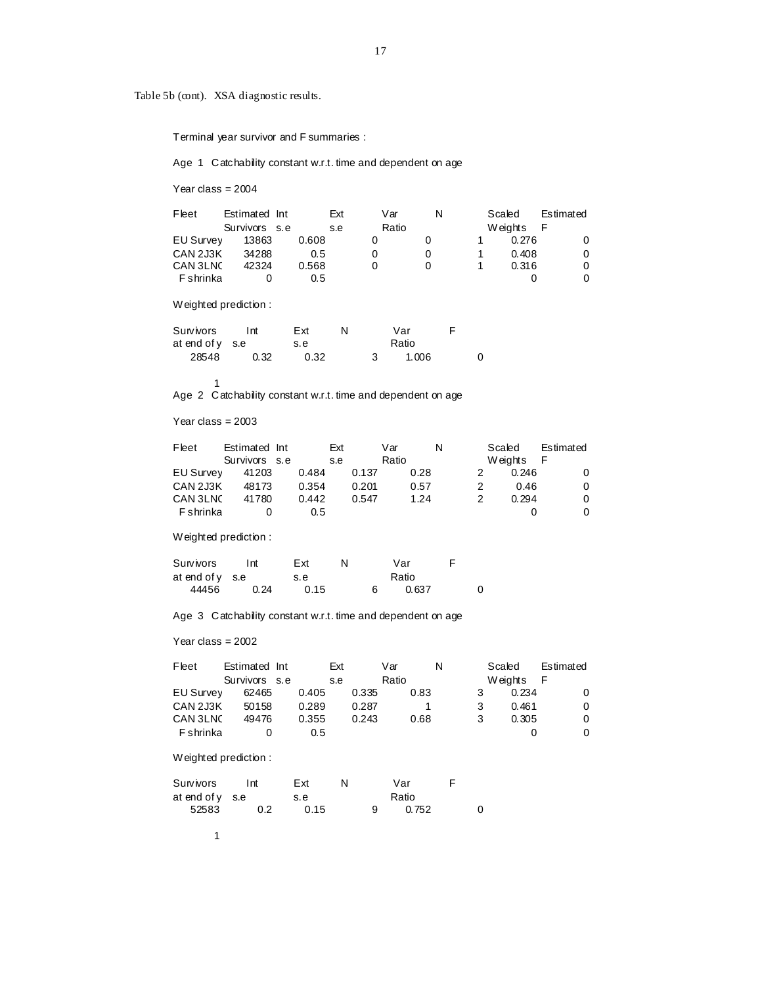Terminal year survivor and F summaries :

Age 1 Catchability constant w.r.t. time and dependent on age

Year class = 2004

| Fleet            | Estimated Int |       | Ext | Var   | N | Scaled  | Estimated |
|------------------|---------------|-------|-----|-------|---|---------|-----------|
|                  | Survivors s.e |       | s.e | Ratio |   | Weights | F         |
| <b>EU Survey</b> | 13863         | 0.608 |     |       |   | 0.276   |           |
| CAN 2J3K         | 34288         | 0.5   |     |       |   | 0.408   |           |
| CAN 3LNC         | 42324         | 0.568 |     |       |   | 0.316   |           |
| F shrinka        |               | 0.5   |     |       |   |         |           |

Weighted prediction :

| Survivors       | Int  | Ext  |  | Var   |  |
|-----------------|------|------|--|-------|--|
| at end of y s.e |      | s.e  |  | Ratio |  |
| 28548           | 0.32 | 0.32 |  | 1.006 |  |

Age 2 Catchability constant w.r.t. time and dependent on age

Year class = 2003

1

| Fleet     | Estimated Int | Ext   |       | Var   | N | Scaled  | Estimated |
|-----------|---------------|-------|-------|-------|---|---------|-----------|
|           | Survivors s.e | s.e   |       | Ratio |   | Weights | F         |
| EU Survey | 41203         | 0.484 | 0.137 | 0.28  |   | 0.246   | 0         |
| CAN 2J3K  | 48173         | 0.354 | 0.201 | 0.57  |   | 0.46    | 0         |
| CAN 3LNC  | 41780         | 0.442 | 0.547 | 1.24  |   | 0.294   | 0         |
| F shrinka |               | 0.5   |       |       |   |         | 0         |

Weighted prediction :

| Survivors       | Int  | Ext  | N | Var   |   |
|-----------------|------|------|---|-------|---|
| at end of v s.e |      | s.e  |   | Ratio |   |
| 44456           | 0.24 | 0.15 |   | 0.637 | 0 |

Age 3 Catchability constant w.r.t. time and dependent on age

Year class = 2002

| Fleet            | Estimated Int |       | Ext |       | Var   |      | N |   | Scaled  |     | Estimated |
|------------------|---------------|-------|-----|-------|-------|------|---|---|---------|-----|-----------|
|                  | Survivors s.e |       | s.e |       | Ratio |      |   |   | Weights | - F |           |
| <b>EU Survey</b> | 62465         | 0.405 |     | 0.335 |       | 0.83 |   |   | 0.234   |     |           |
| CAN 2J3K         | 50158         | 0.289 |     | 0.287 |       |      |   |   | 0.461   |     | 0         |
| CAN 3LNC         | 49476         | 0.355 |     | 0.243 |       | 0.68 |   | 3 | 0.305   |     | 0         |
| F shrinka        |               | 0.5   |     |       |       |      |   |   |         |     | 0         |

Weighted prediction :

| Survivors         | l nt | Ext  |  | Var   |  |
|-------------------|------|------|--|-------|--|
| at end of $y$ s.e |      | s.e  |  | Ratio |  |
| 52583             | 0.2  | 0.15 |  | 0.752 |  |

1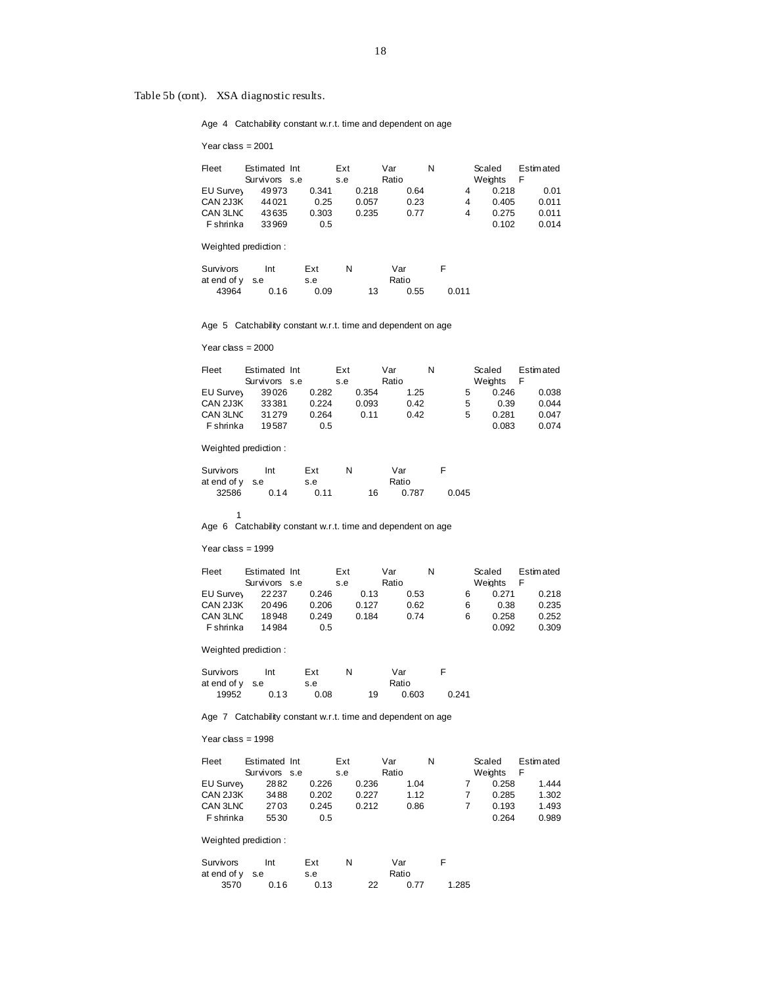Age 4 Catchability constant w.r.t. time and dependent on age

Year class = 2001

| Fleet            | Estimated Int<br>Survivors s.e |               | Ext<br>s.e |       | Var<br>Ratio |      | N |   | Scaled<br>Weights | <b>Estimated</b><br>F |
|------------------|--------------------------------|---------------|------------|-------|--------------|------|---|---|-------------------|-----------------------|
| EU Survey        | 49973                          | 0.341         |            | 0.218 |              | 0.64 |   | 4 | 0.218             | 0.01                  |
| CAN 2J3K         | 44021                          | 0.25          |            | 0.057 |              | 0.23 |   | 4 | 0.405             | 0.011                 |
| CAN 3LNC         | 43635                          | 0.303         |            | 0.235 |              | 0.77 |   | 4 | 0.275             | 0.011                 |
| <b>F</b> shrinka | 33969                          | $0.5^{\circ}$ |            |       |              |      |   |   | 0.102             | 0.014                 |

Weighted prediction :

| Survivors       | Int  | Ext  | N |    | Var   |       |
|-----------------|------|------|---|----|-------|-------|
| at end of v s.e |      | s.e  |   |    | Ratio |       |
| 43964           | 0.16 | 0.09 |   | 13 | 0.55  | 0.011 |

Age 5 Catchability constant w.r.t. time and dependent on age

Year class = 2000

| Fleet            | Estimated Int |       | Ext |       | Var   |      | N |   | Scaled  | <b>Estimated</b> |
|------------------|---------------|-------|-----|-------|-------|------|---|---|---------|------------------|
|                  | Survivors s.e |       | s.e |       | Ratio |      |   |   | Weights |                  |
| EU Survey        | 39026         | 0.282 |     | 0.354 |       | 1.25 |   | 5 | 0.246   | 0.038            |
| CAN 2J3K         | 33381         | 0.224 |     | 0.093 |       | 0.42 |   | 5 | 0.39    | 0.044            |
| CAN 3LNC         | 31279         | 0.264 |     | 0.11  |       | 0.42 |   | 5 | 0.281   | 0.047            |
| <b>F</b> shrinka | 19587         | 0.5   |     |       |       |      |   |   | 0.083   | 0.074            |

Weighted prediction :

| Survivors       | Int  | Ext  |    | Var   |       |
|-----------------|------|------|----|-------|-------|
| at end of v s.e |      | s.e  |    | Ratio |       |
| 32586           | 0.14 | 0.11 | 16 | 0.787 | 0.045 |

1 Age 6 Catchability constant w.r.t. time and dependent on age

Year class = 1999

| Fleet            | Estimated Int |       | Ext   | Var   |      | N |   | Scaled  | <b>Estimated</b> |
|------------------|---------------|-------|-------|-------|------|---|---|---------|------------------|
|                  | Survivors s.e |       | s.e   | Ratio |      |   |   | Weights | F                |
| EU Survey        | 22237         | 0.246 | 0.13  |       | 0.53 |   | 6 | 0.271   | 0.218            |
| CAN 2J3K         | 20496         | 0.206 | 0.127 |       | 0.62 |   | 6 | 0.38    | 0.235            |
| CAN 3LNC         | 18948         | 0.249 | 0.184 |       | 0.74 |   | 6 | 0.258   | 0.252            |
| <b>F</b> shrinka | 14984         | 0.5   |       |       |      |   |   | 0.092   | 0.309            |

Weighted prediction :

| Survivors       | Int  | Ext  | N |    | Var   | F     |
|-----------------|------|------|---|----|-------|-------|
| at end of v s.e |      | s.e  |   |    | Ratio |       |
| 19952           | 0.13 | 0.08 |   | 19 | 0.603 | 0.241 |

Age 7 Catchability constant w.r.t. time and dependent on age

Year class = 1998

| Fleet            | Estimated Int |       | Ext |       | Var   |      | N | Scaled  | <b>Estimated</b> |
|------------------|---------------|-------|-----|-------|-------|------|---|---------|------------------|
|                  | Survivors s.e |       | s.e |       | Ratio |      |   | Weights | F                |
| EU Survey        | 2882          | 0.226 |     | 0.236 |       | 1.04 |   | 0.258   | 1.444            |
| CAN 2J3K         | 3488          | 0.202 |     | 0.227 |       | 1.12 |   | 0.285   | 1.302            |
| CAN 3LNC         | 2703          | 0.245 |     | 0.212 |       | 0.86 |   | 0.193   | 1.493            |
| <b>F</b> shrinka | 5530          | 0.5   |     |       |       |      |   | 0.264   | 0.989            |

Weighted prediction :

| Survivors       | Int  | Ext  | N |    | Var   |       |
|-----------------|------|------|---|----|-------|-------|
| at end of v s.e |      | s.e  |   |    | Ratio |       |
| 3570            | 0.16 | 0.13 |   | 22 | 0.77  | 1.285 |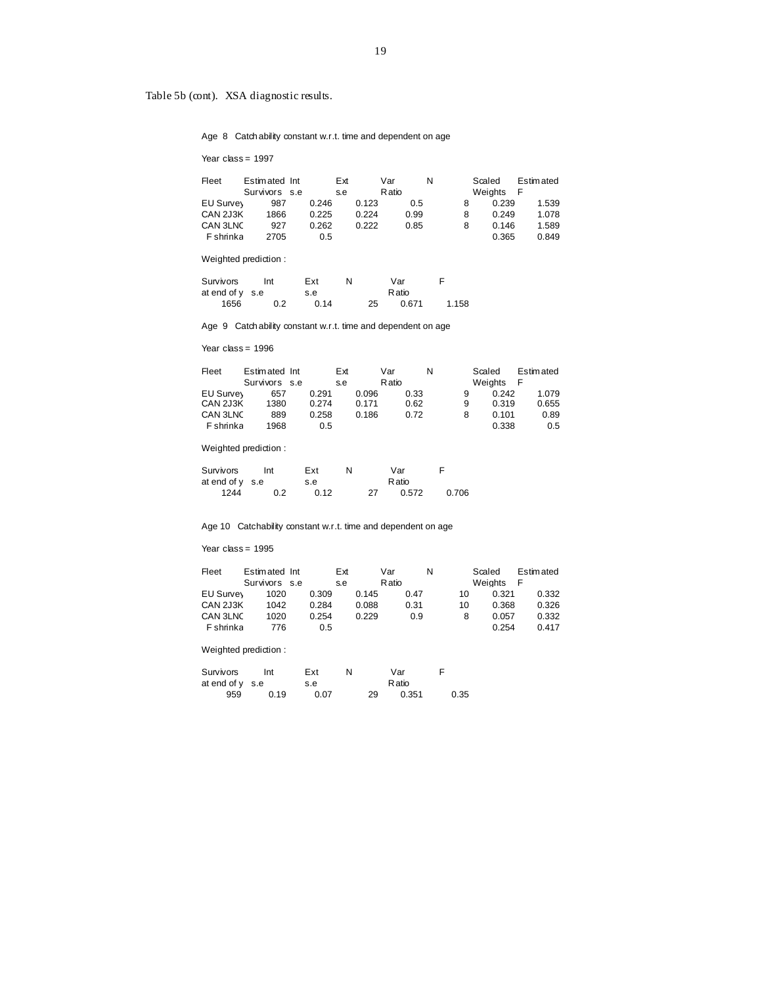Age 8 Catch ability constant w.r.t. time and dependent on age

Year class = 1997

| Fleet            | Estimated Int |       | Ext   | Var   | N | Scaled  | <b>Estimated</b> |
|------------------|---------------|-------|-------|-------|---|---------|------------------|
|                  | Survivors s.e |       | s.e   | Ratio |   | Weights |                  |
| <b>EU Survey</b> | 987           | 0.246 | 0.123 | 0.5   | 8 | 0.239   | 1.539            |
| CAN 2J3K         | 1866          | 0.225 | 0.224 | 0.99  | 8 | 0.249   | 1.078            |
| CAN 3LNC         | 927           | 0.262 | 0.222 | 0.85  | 8 | 0.146   | 1.589            |
| <b>F</b> shrinka | 2705          |       | 0.5   |       |   | 0.365   | 0.849            |

Weighted prediction :

| Survivors       | Int | Ext  | N |    | Var    |       |
|-----------------|-----|------|---|----|--------|-------|
| at end of v s.e |     | s.e  |   |    | R atio |       |
| 1656            | 0.2 | 0.14 |   | 25 | 0.671  | 1.158 |

Age 9 Catch ability constant w.r.t. time and dependent on age

Year class = 1996

| Fleet            | Estimated Int |       | Ext |       | Var   |      | N |   | Scaled  | Estimated |
|------------------|---------------|-------|-----|-------|-------|------|---|---|---------|-----------|
|                  | Survivors s.e |       | s.e |       | Ratio |      |   |   | Weights |           |
| EU Survey        | 657           | 0.291 |     | 0.096 |       | 0.33 |   | 9 | 0.242   | 1.079     |
| CAN 2J3K         | 1380          | 0.274 |     | 0.171 |       | 0.62 |   | 9 | 0.319   | 0.655     |
| CAN 3LNC         | 889           | 0.258 |     | 0.186 |       | 0.72 |   | 8 | 0.101   | 0.89      |
| <b>F</b> shrinka | 1968          | 0.5   |     |       |       |      |   |   | 0.338   | 0.5       |

Weighted prediction :

| Survivors         | Int | Ext  |    | Var   |       |
|-------------------|-----|------|----|-------|-------|
| at end of $y$ s.e |     | s.e  |    | Ratio |       |
| 1244              | 0.2 | 0.12 | 27 | 0.572 | 0.706 |

Age 10 Catchability constant w.r.t. time and dependent on age

Year class = 1995

| Fleet            | Estimated Int | Ext   |       | Var   |      | N |    | Scaled  | <b>Estimated</b> |
|------------------|---------------|-------|-------|-------|------|---|----|---------|------------------|
|                  | Survivors s.e | s.e   |       | Ratio |      |   |    | Weights | F                |
| <b>EU Survey</b> | 1020          | 0.309 | 0.145 |       | 0.47 |   | 10 | 0.321   | 0.332            |
| CAN 2J3K         | 1042          | 0.284 | 0.088 |       | 0.31 |   | 10 | 0.368   | 0.326            |
| CAN 3LNC         | 1020          | 0.254 | 0.229 |       | 0.9  |   | 8  | 0.057   | 0.332            |
| <b>F</b> shrinka | 776           | 0.5   |       |       |      |   |    | 0.254   | 0.417            |

Weighted prediction :

| Survivors         | Int  | Ext  |    | Var    |      |
|-------------------|------|------|----|--------|------|
| at end of $y$ s.e |      | s.e  |    | R atio |      |
| 959               | 0.19 | 0.07 | 29 | 0.351  | 0.35 |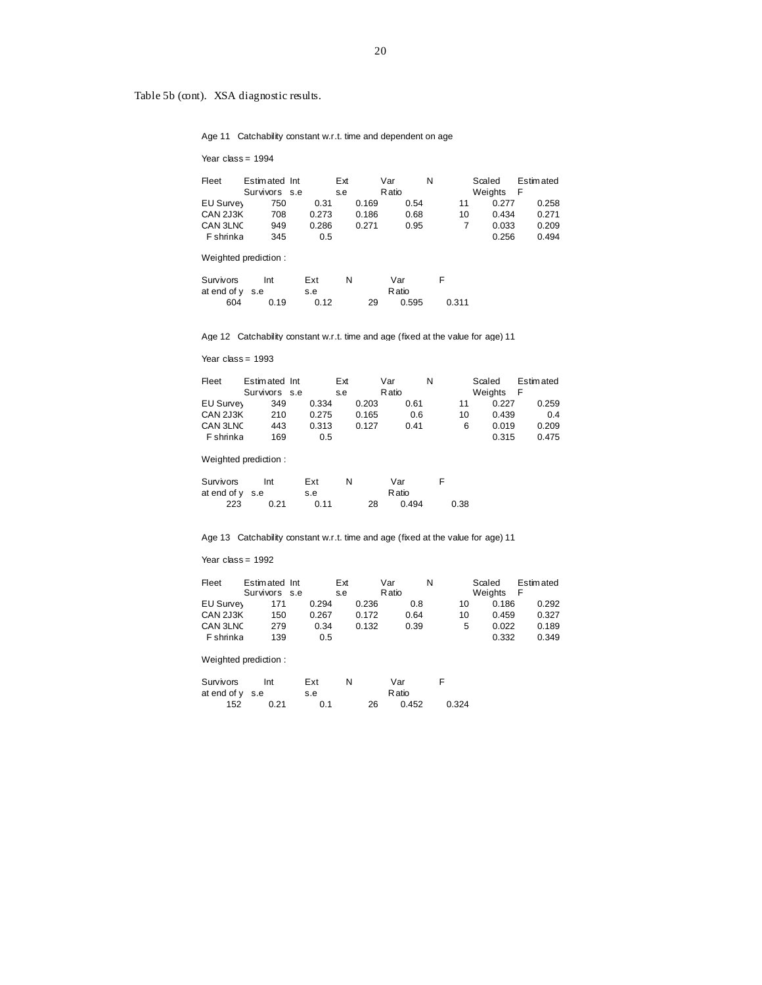Age 11 Catchability constant w.r.t. time and dependent on age

Year class = 1994

| Fleet            | Estimated Int |       | Ext   | Var   | N  | Scaled  | <b>Estimated</b> |
|------------------|---------------|-------|-------|-------|----|---------|------------------|
|                  | Survivors s.e |       | s.e   | Ratio |    | Weights |                  |
| EU Survey        | 750           | 0.31  | 0.169 | 0.54  | 11 | 0.277   | 0.258            |
| CAN 2J3K         | 708           | 0.273 | 0.186 | 0.68  | 10 | 0.434   | 0.271            |
| CAN 3LNC         | 949           | 0.286 | 0.271 | 0.95  |    | 0.033   | 0.209            |
| <b>F</b> shrinka | 345           | 0.5   |       |       |    | 0.256   | 0.494            |

Weighted prediction :

| Survivors         | Int  | Ext  | N |    | Var    |       |
|-------------------|------|------|---|----|--------|-------|
| at end of $y$ s.e |      | s.e  |   |    | R atio |       |
| 604               | 0.19 | 0.12 |   | 29 | 0.595  | 0.311 |

Age 12 Catchability constant w.r.t. time and age (fixed at the value for age) 11

Year class = 1993

| Fleet            | Estimated Int | Ext   |       | Var   |      | N |    | Scaled  | <b>Estimated</b> |
|------------------|---------------|-------|-------|-------|------|---|----|---------|------------------|
|                  | Survivors s.e | s.e   |       | Ratio |      |   |    | Weights | F                |
| EU Survey        | 349           | 0.334 | 0.203 |       | 0.61 |   | 11 | 0.227   | 0.259            |
| CAN 2J3K         | 210           | 0.275 | 0.165 |       | 0.6  |   | 10 | 0.439   | 0.4              |
| CAN 3LNC         | 443           | 0.313 | 0.127 |       | 0.41 |   | 6  | 0.019   | 0.209            |
| <b>F</b> shrinka | 169           | 0.5   |       |       |      |   |    | 0.315   | 0.475            |

Weighted prediction :

| Survivors       | Int  | Ext  | N |    | Var    |      |
|-----------------|------|------|---|----|--------|------|
| at end of v s.e |      | s.e  |   |    | R atio |      |
| 223             | 0.21 | 0.11 |   | 28 | 0.494  | 0.38 |

Age 13 Catchability constant w.r.t. time and age (fixed at the value for age) 11

Year class = 1992

| Fleet            | Estimated Int | Ext   |       | Var   |      |    | Scaled  | Estimated |
|------------------|---------------|-------|-------|-------|------|----|---------|-----------|
|                  | Survivors s.e | s.e   |       | Ratio |      |    | Weights | F         |
| EU Survey        | 171           | 0.294 | 0.236 |       | 0.8  | 10 | 0.186   | 0.292     |
| CAN 2J3K         | 150           | 0.267 | 0.172 |       | 0.64 | 10 | 0.459   | 0.327     |
| CAN 3LNC         | 279           | 0.34  | 0.132 |       | 0.39 | 5  | 0.022   | 0.189     |
| <b>F</b> shrinka | 139           | 0.5   |       |       |      |    | 0.332   | 0.349     |

Weighted prediction :

| Survivors       | Int  | Ext |    | Var   |       |
|-----------------|------|-----|----|-------|-------|
| at end of v s.e |      | s.e |    | Ratio |       |
| 152             | 0.21 | 0.1 | 26 | 0.452 | 0.324 |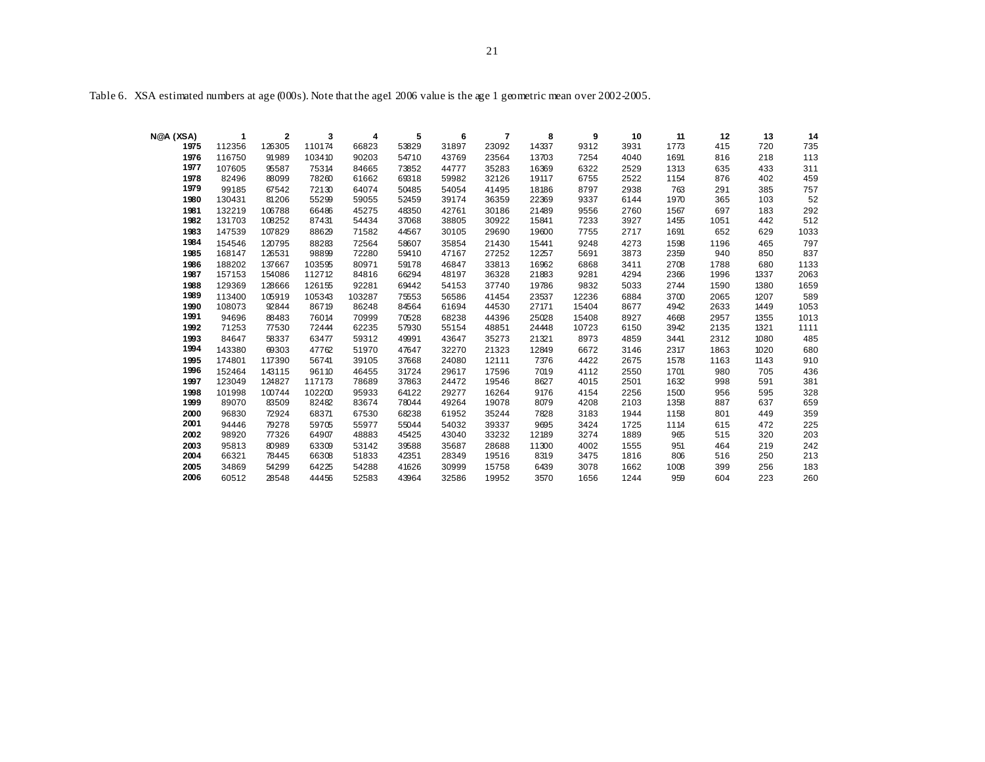Table 6. XSA estimated numbers at age (000s). Note that the agel 2006 value is the age 1 geometric mean over 2002-2005.

| N@A (XSA)    |                  | $\overline{\mathbf{2}}$ | 3               | 4              | 5              | 6              | 7              | 8            | 9            | 10           | 11           | 12         | 13         | 14         |
|--------------|------------------|-------------------------|-----------------|----------------|----------------|----------------|----------------|--------------|--------------|--------------|--------------|------------|------------|------------|
| 1975         | 112356           | 126305                  | 110174          | 66823          | 53829          | 31897          | 23092          | 14337        | 9312         | 3931         | 1773         | 415        | 720        | 735        |
| 1976         | 116750           | 91989                   | 103410          | 90203          | 54710          | 43769          | 23564          | 13703        | 7254         | 4040         | 1691         | 816        | 218        | 113        |
| 1977         | 107605           | 95587                   | 75314           | 84665          | 73852          | 44777          | 35283          | 16369        | 6322         | 2529         | 1313         | 635        | 433        | 311        |
| 1978         | 82496            | 88099                   | 78260           | 61662          | 69318          | 59982          | 32126          | 19117        | 6755         | 2522         | 1154         | 876        | 402        | 459        |
| 1979         | 99185            | 67542                   | 72130           | 64074          | 50485          | 54054          | 41495          | 18186        | 8797         | 2938         | 763          | 291        | 385        | 757        |
| 1980         | 130431           | 81206                   | 55299           | 59055          | 52459          | 39174          | 36359          | 22369        | 9337         | 6144         | 1970         | 365        | 103        | 52         |
| 1981         | 132219           | 106788                  | 66486           | 45275          | 48350          | 42761          | 30186          | 21489        | 9556         | 2760         | 1567         | 697        | 183        | 292        |
| 1982         | 131703           | 108252                  | 87431           | 54434          | 37068          | 38805          | 30922          | 15841        | 7233         | 3927         | 1455         | 1051       | 442        | 512        |
| 1983         | 147539           | 107829                  | 88629           | 71582          | 44567          | 30105          | 29690          | 19600        | 7755         | 2717         | 1691         | 652        | 629        | 1033       |
| 1984         | 154546           | 120795                  | 88283           | 72564          | 58607          | 35854          | 21430          | 15441        | 9248         | 4273         | 1598         | 1196       | 465        | 797        |
| 1985         | 168147           | 126531                  | 98899           | 72280          | 59410          | 47167          | 27252          | 12257        | 5691         | 3873         | 2359         | 940        | 850        | 837        |
| 1986         | 188202           | 137667                  | 103595          | 80971          | 59178          | 46847          | 33813          | 16962        | 6868         | 3411         | 2708         | 1788       | 680        | 1133       |
| 1987         | 157153           | 154086                  | 112712          | 84816          | 66294          | 48197          | 36328          | 21883        | 9281         | 4294         | 2366         | 1996       | 1337       | 2063       |
| 1988         | 129369           | 128666                  | 126155          | 92281          | 69442          | 54153          | 37740          | 19786        | 9832         | 5033         | 2744         | 1590       | 1380       | 1659       |
| 1989         | 113400           | 105919                  | 105343          | 103287         | 75553          | 56586          | 41454          | 23537        | 12236        | 6884         | 3700         | 2065       | 1207       | 589        |
| 1990         | 108073           | 92844                   | 86719           | 86248          | 84564          | 61694          | 44530          | 27171        | 15404        | 8677         | 4942         | 2633       | 1449       | 1053       |
| 1991         | 94696            | 88483                   | 76014           | 70999          | 70528          | 68238          | 44396          | 25028        | 15408        | 8927         | 4668         | 2957       | 1355       | 1013       |
| 1992         | 71253            | 77530                   | 72444           | 62235          | 57930          | 55154          | 48851          | 24448        | 10723        | 6150         | 3942         | 2135       | 1321       | 1111       |
| 1993         | 84647            | 58337                   | 63477           | 59312          | 49991          | 43647          | 35273          | 21321        | 8973         | 4859         | 3441         | 2312       | 1080       | 485        |
| 1994         | 143380           | 69303                   | 47762           | 51970          | 47647          | 32270          | 21323          | 12849        | 6672         | 3146         | 2317         | 1863       | 1020       | 680        |
| 1995<br>1996 | 174801           | 117390                  | 56741           | 39105          | 37668          | 24080          | 12111          | 7376         | 4422         | 2675         | 1578         | 1163       | 1143       | 910        |
| 1997         | 152464<br>123049 | 143115<br>124827        | 96110<br>117173 | 46455<br>78689 | 31724<br>37863 | 29617<br>24472 | 17596<br>19546 | 7019<br>8627 | 4112<br>4015 | 2550<br>2501 | 1701<br>1632 | 980<br>998 | 705<br>591 | 436<br>381 |
| 1998         | 101998           | 100744                  | 102200          | 95933          | 64122          | 29277          | 16264          | 9176         | 4154         | 2256         | 1500         | 956        | 595        | 328        |
| 1999         | 89070            | 83509                   | 82482           | 83674          | 78044          | 49264          | 19078          | 8079         | 4208         | 2103         | 1358         | 887        | 637        | 659        |
| 2000         | 96830            | 72924                   | 68371           | 67530          | 68238          | 61952          | 35244          | 7828         | 3183         | 1944         | 1158         | 801        | 449        | 359        |
| 2001         | 94446            | 79278                   | 59705           | 55977          | 55044          | 54032          | 39337          | 9695         | 3424         | 1725         | 1114         | 615        | 472        | 225        |
| 2002         | 98920            | 77326                   | 64907           | 48883          | 45425          | 43040          | 33232          | 12189        | 3274         | 1889         | 965          | 515        | 320        | 203        |
| 2003         | 95813            | 80989                   | 63309           | 53142          | 39588          | 35687          | 28688          | 11300        | 4002         | 1555         | 951          | 464        | 219        | 242        |
| 2004         | 66321            | 78445                   | 66308           | 51833          | 42351          | 28349          | 19516          | 8319         | 3475         | 1816         | 806          | 516        | 250        | 213        |
| 2005         | 34869            | 54299                   | 64225           | 54288          | 41626          | 30999          | 15758          | 6439         | 3078         | 1662         | 1008         | 399        | 256        | 183        |
| 2006         | 60512            | 28548                   | 44456           | 52583          | 43964          | 32586          | 19952          | 3570         | 1656         | 1244         | 959          | 604        | 223        | 260        |
|              |                  |                         |                 |                |                |                |                |              |              |              |              |            |            |            |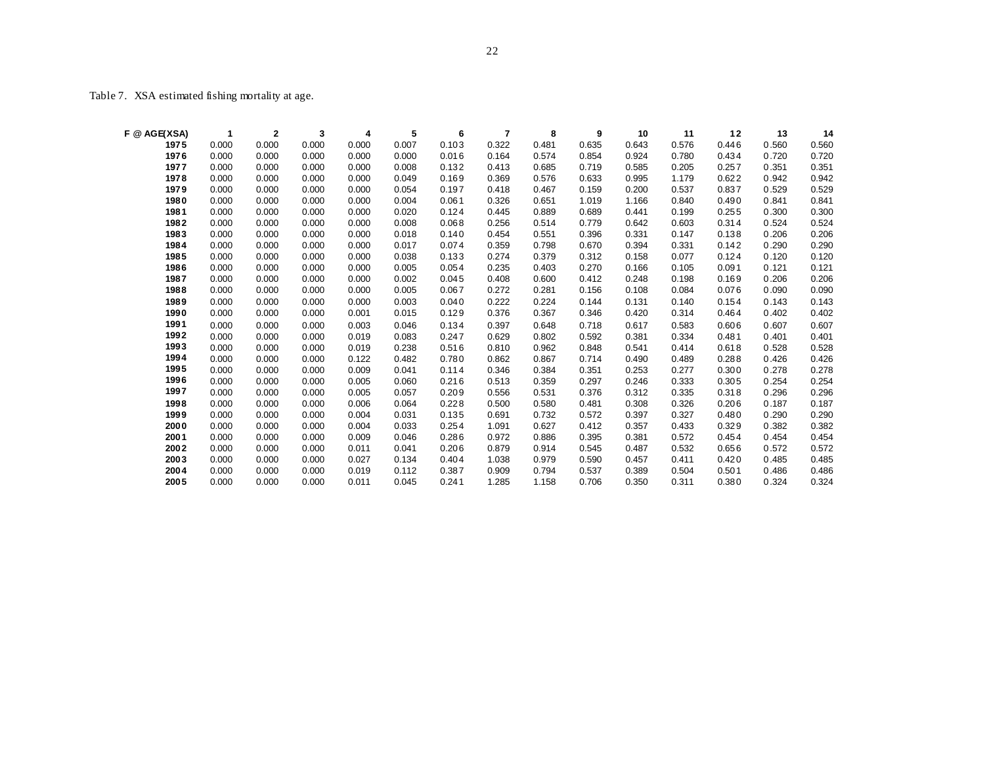Table 7. XSA estimated fishing mortality at age.

| F @ AGE(XSA) | 1     | $\mathbf{2}$ | 3     | 4     | 5     | 6     | 7     | 8     | 9     | 10    | 11    | 12    | 13    | 14    |
|--------------|-------|--------------|-------|-------|-------|-------|-------|-------|-------|-------|-------|-------|-------|-------|
| 1975         | 0.000 | 0.000        | 0.000 | 0.000 | 0.007 | 0.103 | 0.322 | 0.481 | 0.635 | 0.643 | 0.576 | 0.446 | 0.560 | 0.560 |
| 1976         | 0.000 | 0.000        | 0.000 | 0.000 | 0.000 | 0.016 | 0.164 | 0.574 | 0.854 | 0.924 | 0.780 | 0.434 | 0.720 | 0.720 |
| 1977         | 0.000 | 0.000        | 0.000 | 0.000 | 0.008 | 0.132 | 0.413 | 0.685 | 0.719 | 0.585 | 0.205 | 0.257 | 0.351 | 0.351 |
| 1978         | 0.000 | 0.000        | 0.000 | 0.000 | 0.049 | 0.169 | 0.369 | 0.576 | 0.633 | 0.995 | 1.179 | 0.622 | 0.942 | 0.942 |
| 1979         | 0.000 | 0.000        | 0.000 | 0.000 | 0.054 | 0.197 | 0.418 | 0.467 | 0.159 | 0.200 | 0.537 | 0.837 | 0.529 | 0.529 |
| 1980         | 0.000 | 0.000        | 0.000 | 0.000 | 0.004 | 0.061 | 0.326 | 0.651 | 1.019 | 1.166 | 0.840 | 0.490 | 0.841 | 0.841 |
| 1981         | 0.000 | 0.000        | 0.000 | 0.000 | 0.020 | 0.124 | 0.445 | 0.889 | 0.689 | 0.441 | 0.199 | 0.255 | 0.300 | 0.300 |
| 1982         | 0.000 | 0.000        | 0.000 | 0.000 | 0.008 | 0.068 | 0.256 | 0.514 | 0.779 | 0.642 | 0.603 | 0.314 | 0.524 | 0.524 |
| 1983         | 0.000 | 0.000        | 0.000 | 0.000 | 0.018 | 0.140 | 0.454 | 0.551 | 0.396 | 0.331 | 0.147 | 0.138 | 0.206 | 0.206 |
| 1984         | 0.000 | 0.000        | 0.000 | 0.000 | 0.017 | 0.074 | 0.359 | 0.798 | 0.670 | 0.394 | 0.331 | 0.142 | 0.290 | 0.290 |
| 1985         | 0.000 | 0.000        | 0.000 | 0.000 | 0.038 | 0.133 | 0.274 | 0.379 | 0.312 | 0.158 | 0.077 | 0.124 | 0.120 | 0.120 |
| 1986         | 0.000 | 0.000        | 0.000 | 0.000 | 0.005 | 0.054 | 0.235 | 0.403 | 0.270 | 0.166 | 0.105 | 0.091 | 0.121 | 0.121 |
| 1987         | 0.000 | 0.000        | 0.000 | 0.000 | 0.002 | 0.045 | 0.408 | 0.600 | 0.412 | 0.248 | 0.198 | 0.169 | 0.206 | 0.206 |
| 1988         | 0.000 | 0.000        | 0.000 | 0.000 | 0.005 | 0.067 | 0.272 | 0.281 | 0.156 | 0.108 | 0.084 | 0.076 | 0.090 | 0.090 |
| 1989         | 0.000 | 0.000        | 0.000 | 0.000 | 0.003 | 0.040 | 0.222 | 0.224 | 0.144 | 0.131 | 0.140 | 0.154 | 0.143 | 0.143 |
| 1990         | 0.000 | 0.000        | 0.000 | 0.001 | 0.015 | 0.129 | 0.376 | 0.367 | 0.346 | 0.420 | 0.314 | 0.464 | 0.402 | 0.402 |
| 1991         | 0.000 | 0.000        | 0.000 | 0.003 | 0.046 | 0.134 | 0.397 | 0.648 | 0.718 | 0.617 | 0.583 | 0.606 | 0.607 | 0.607 |
| 1992         | 0.000 | 0.000        | 0.000 | 0.019 | 0.083 | 0.247 | 0.629 | 0.802 | 0.592 | 0.381 | 0.334 | 0.481 | 0.401 | 0.401 |
| 1993         | 0.000 | 0.000        | 0.000 | 0.019 | 0.238 | 0.516 | 0.810 | 0.962 | 0.848 | 0.541 | 0.414 | 0.618 | 0.528 | 0.528 |
| 1994         | 0.000 | 0.000        | 0.000 | 0.122 | 0.482 | 0.780 | 0.862 | 0.867 | 0.714 | 0.490 | 0.489 | 0.288 | 0.426 | 0.426 |
| 1995         | 0.000 | 0.000        | 0.000 | 0.009 | 0.041 | 0.114 | 0.346 | 0.384 | 0.351 | 0.253 | 0.277 | 0.300 | 0.278 | 0.278 |
| 1996         | 0.000 | 0.000        | 0.000 | 0.005 | 0.060 | 0.216 | 0.513 | 0.359 | 0.297 | 0.246 | 0.333 | 0.305 | 0.254 | 0.254 |
| 1997         | 0.000 | 0.000        | 0.000 | 0.005 | 0.057 | 0.209 | 0.556 | 0.531 | 0.376 | 0.312 | 0.335 | 0.318 | 0.296 | 0.296 |
| 1998         | 0.000 | 0.000        | 0.000 | 0.006 | 0.064 | 0.228 | 0.500 | 0.580 | 0.481 | 0.308 | 0.326 | 0.206 | 0.187 | 0.187 |
| 1999         | 0.000 | 0.000        | 0.000 | 0.004 | 0.031 | 0.135 | 0.691 | 0.732 | 0.572 | 0.397 | 0.327 | 0.480 | 0.290 | 0.290 |
| 2000         | 0.000 | 0.000        | 0.000 | 0.004 | 0.033 | 0.254 | 1.091 | 0.627 | 0.412 | 0.357 | 0.433 | 0.329 | 0.382 | 0.382 |
| 2001         | 0.000 | 0.000        | 0.000 | 0.009 | 0.046 | 0.286 | 0.972 | 0.886 | 0.395 | 0.381 | 0.572 | 0.454 | 0.454 | 0.454 |
| 2002         | 0.000 | 0.000        | 0.000 | 0.011 | 0.041 | 0.206 | 0.879 | 0.914 | 0.545 | 0.487 | 0.532 | 0.656 | 0.572 | 0.572 |
| 2003         | 0.000 | 0.000        | 0.000 | 0.027 | 0.134 | 0.404 | 1.038 | 0.979 | 0.590 | 0.457 | 0.411 | 0.420 | 0.485 | 0.485 |
| 2004         | 0.000 | 0.000        | 0.000 | 0.019 | 0.112 | 0.387 | 0.909 | 0.794 | 0.537 | 0.389 | 0.504 | 0.501 | 0.486 | 0.486 |
| 2005         | 0.000 | 0.000        | 0.000 | 0.011 | 0.045 | 0.241 | 1.285 | 1.158 | 0.706 | 0.350 | 0.311 | 0.380 | 0.324 | 0.324 |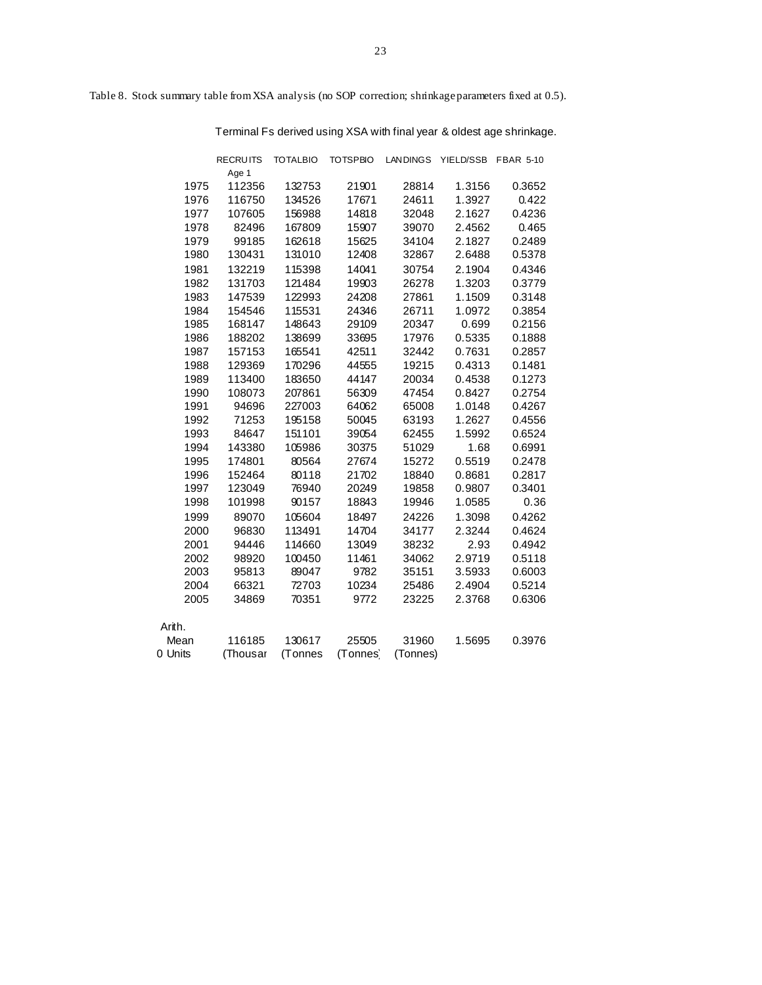Table 8. Stock summary table from XSA analysis (no SOP correction; shrinkage parameters fixed at 0.5).

Terminal Fs derived using XSA with final year & oldest age shrinkage.

|         | <b>RECRUITS</b> | <b>TOTALBIO</b> | <b>TOTSPBIO</b> | <b>LANDINGS</b> | YIELD/SSB | <b>FBAR 5-10</b> |
|---------|-----------------|-----------------|-----------------|-----------------|-----------|------------------|
|         | Age 1           |                 |                 |                 |           |                  |
| 1975    | 112356          | 132753          | 21901           | 28814           | 1.3156    | 0.3652           |
| 1976    | 116750          | 134526          | 17671           | 24611           | 1.3927    | 0.422            |
| 1977    | 107605          | 156988          | 14818           | 32048           | 2.1627    | 0.4236           |
| 1978    | 82496           | 167809          | 15907           | 39070           | 2.4562    | 0.465            |
| 1979    | 99185           | 162618          | 15625           | 34104           | 2.1827    | 0.2489           |
| 1980    | 130431          | 131010          | 12408           | 32867           | 2.6488    | 0.5378           |
| 1981    | 132219          | 115398          | 14041           | 30754           | 2.1904    | 0.4346           |
| 1982    | 131703          | 121484          | 19903           | 26278           | 1.3203    | 0.3779           |
| 1983    | 147539          | 122993          | 24208           | 27861           | 1.1509    | 0.3148           |
| 1984    | 154546          | 115531          | 24346           | 26711           | 1.0972    | 0.3854           |
| 1985    | 168147          | 148643          | 29109           | 20347           | 0.699     | 0.2156           |
| 1986    | 188202          | 138699          | 33695           | 17976           | 0.5335    | 0.1888           |
| 1987    | 157153          | 165541          | 42511           | 32442           | 0.7631    | 0.2857           |
| 1988    | 129369          | 170296          | 44555           | 19215           | 0.4313    | 0.1481           |
| 1989    | 113400          | 183650          | 44147           | 20034           | 0.4538    | 0.1273           |
| 1990    | 108073          | 207861          | 56309           | 47454           | 0.8427    | 0.2754           |
| 1991    | 94696           | 227003          | 64062           | 65008           | 1.0148    | 0.4267           |
| 1992    | 71253           | 195158          | 50045           | 63193           | 1.2627    | 0.4556           |
| 1993    | 84647           | 151101          | 39054           | 62455           | 1.5992    | 0.6524           |
| 1994    | 143380          | 105986          | 30375           | 51029           | 1.68      | 0.6991           |
| 1995    | 174801          | 80564           | 27674           | 15272           | 0.5519    | 0.2478           |
| 1996    | 152464          | 80118           | 21702           | 18840           | 0.8681    | 0.2817           |
| 1997    | 123049          | 76940           | 20249           | 19858           | 0.9807    | 0.3401           |
| 1998    | 101998          | 90157           | 18843           | 19946           | 1.0585    | 0.36             |
| 1999    | 89070           | 105604          | 18497           | 24226           | 1.3098    | 0.4262           |
| 2000    | 96830           | 113491          | 14704           | 34177           | 2.3244    | 0.4624           |
| 2001    | 94446           | 114660          | 13049           | 38232           | 2.93      | 0.4942           |
| 2002    | 98920           | 100450          | 11461           | 34062           | 2.9719    | 0.5118           |
| 2003    | 95813           | 89047           | 9782            | 35151           | 3.5933    | 0.6003           |
| 2004    | 66321           | 72703           | 10234           | 25486           | 2.4904    | 0.5214           |
| 2005    | 34869           | 70351           | 9772            | 23225           | 2.3768    | 0.6306           |
| Arith.  |                 |                 |                 |                 |           |                  |
| Mean    | 116185          | 130617          | 25505           | 31960           | 1.5695    | 0.3976           |
| 0 Units | (Thousar        | (Tonnes         | (Tonnes)        | (Tonnes)        |           |                  |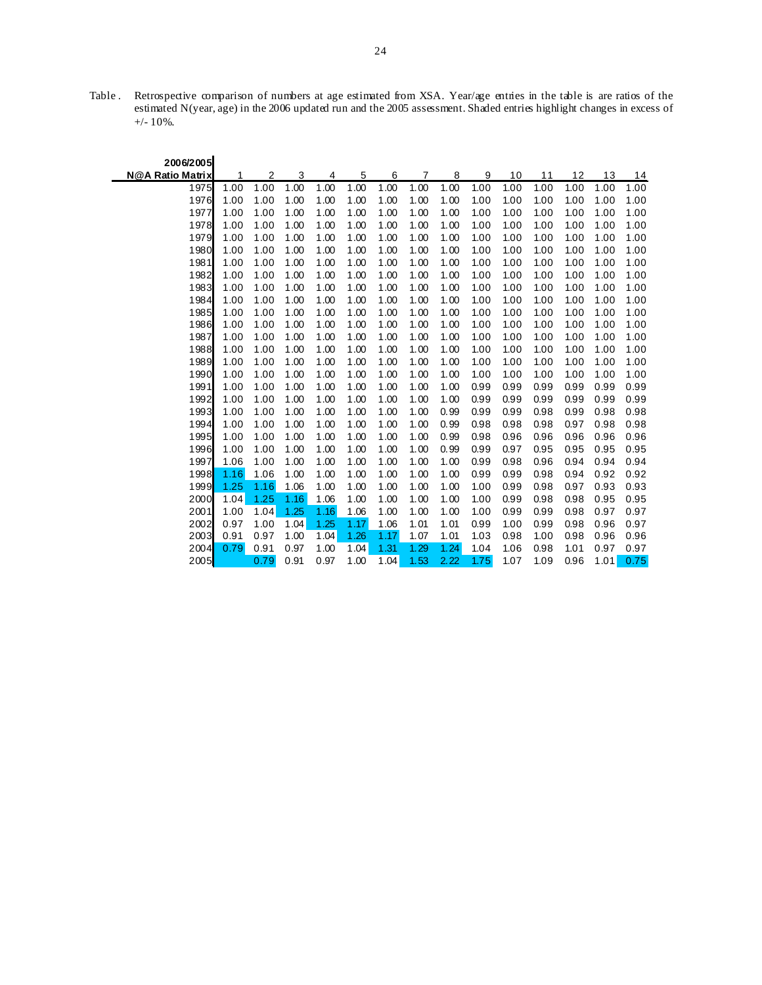Table . Retrospective comparison of numbers at age estimated from XSA. Year/age entries in the table is are ratios of the estimated N(year, age) in the 2006 updated run and the 2005 assessment. Shaded entries highlight changes in excess of +/- 10%.

<u>—</u>

| 2006/2005        |      |      |      |      |      |      |      |      |      |      |      |      |      |      |
|------------------|------|------|------|------|------|------|------|------|------|------|------|------|------|------|
| N@A Ratio Matrix | 1    | 2    | 3    | 4    | 5    | 6    | 7    | 8    | 9    | 10   | 11   | 12   | 13   | 14   |
| 1975             | 1.00 | 1.00 | 1.00 | 1.00 | 1.00 | 1.00 | 1.00 | 1.00 | 1.00 | 1.00 | 1.00 | 1.00 | 1.00 | 1.00 |
| 1976             | 1.00 | 1.00 | 1.00 | 1.00 | 1.00 | 1.00 | 1.00 | 1.00 | 1.00 | 1.00 | 1.00 | 1.00 | 1.00 | 1.00 |
| 1977             | 1.00 | 1.00 | 1.00 | 1.00 | 1.00 | 1.00 | 1.00 | 1.00 | 1.00 | 1.00 | 1.00 | 1.00 | 1.00 | 1.00 |
| 1978             | 1.00 | 1.00 | 1.00 | 1.00 | 1.00 | 1.00 | 1.00 | 1.00 | 1.00 | 1.00 | 1.00 | 1.00 | 1.00 | 1.00 |
| 1979             | 1.00 | 1.00 | 1.00 | 1.00 | 1.00 | 1.00 | 1.00 | 1.00 | 1.00 | 1.00 | 1.00 | 1.00 | 1.00 | 1.00 |
| 1980             | 1.00 | 1.00 | 1.00 | 1.00 | 1.00 | 1.00 | 1.00 | 1.00 | 1.00 | 1.00 | 1.00 | 1.00 | 1.00 | 1.00 |
| 1981             | 1.00 | 1.00 | 1.00 | 1.00 | 1.00 | 1.00 | 1.00 | 1.00 | 1.00 | 1.00 | 1.00 | 1.00 | 1.00 | 1.00 |
| 1982             | 1.00 | 1.00 | 1.00 | 1.00 | 1.00 | 1.00 | 1.00 | 1.00 | 1.00 | 1.00 | 1.00 | 1.00 | 1.00 | 1.00 |
| 1983             | 1.00 | 1.00 | 1.00 | 1.00 | 1.00 | 1.00 | 1.00 | 1.00 | 1.00 | 1.00 | 1.00 | 1.00 | 1.00 | 1.00 |
| 1984             | 1.00 | 1.00 | 1.00 | 1.00 | 1.00 | 1.00 | 1.00 | 1.00 | 1.00 | 1.00 | 1.00 | 1.00 | 1.00 | 1.00 |
| 1985             | 1.00 | 1.00 | 1.00 | 1.00 | 1.00 | 1.00 | 1.00 | 1.00 | 1.00 | 1.00 | 1.00 | 1.00 | 1.00 | 1.00 |
| 1986             | 1.00 | 1.00 | 1.00 | 1.00 | 1.00 | 1.00 | 1.00 | 1.00 | 1.00 | 1.00 | 1.00 | 1.00 | 1.00 | 1.00 |
| 1987             | 1.00 | 1.00 | 1.00 | 1.00 | 1.00 | 1.00 | 1.00 | 1.00 | 1.00 | 1.00 | 1.00 | 1.00 | 1.00 | 1.00 |
| 1988             | 1.00 | 1.00 | 1.00 | 1.00 | 1.00 | 1.00 | 1.00 | 1.00 | 1.00 | 1.00 | 1.00 | 1.00 | 1.00 | 1.00 |
| 1989             | 1.00 | 1.00 | 1.00 | 1.00 | 1.00 | 1.00 | 1.00 | 1.00 | 1.00 | 1.00 | 1.00 | 1.00 | 1.00 | 1.00 |
| 1990             | 1.00 | 1.00 | 1.00 | 1.00 | 1.00 | 1.00 | 1.00 | 1.00 | 1.00 | 1.00 | 1.00 | 1.00 | 1.00 | 1.00 |
| 1991             | 1.00 | 1.00 | 1.00 | 1.00 | 1.00 | 1.00 | 1.00 | 1.00 | 0.99 | 0.99 | 0.99 | 0.99 | 0.99 | 0.99 |
| 1992             | 1.00 | 1.00 | 1.00 | 1.00 | 1.00 | 1.00 | 1.00 | 1.00 | 0.99 | 0.99 | 0.99 | 0.99 | 0.99 | 0.99 |
| 1993             | 1.00 | 1.00 | 1.00 | 1.00 | 1.00 | 1.00 | 1.00 | 0.99 | 0.99 | 0.99 | 0.98 | 0.99 | 0.98 | 0.98 |
| 1994             | 1.00 | 1.00 | 1.00 | 1.00 | 1.00 | 1.00 | 1.00 | 0.99 | 0.98 | 0.98 | 0.98 | 0.97 | 0.98 | 0.98 |
| 1995             | 1.00 | 1.00 | 1.00 | 1.00 | 1.00 | 1.00 | 1.00 | 0.99 | 0.98 | 0.96 | 0.96 | 0.96 | 0.96 | 0.96 |
| 1996             | 1.00 | 1.00 | 1.00 | 1.00 | 1.00 | 1.00 | 1.00 | 0.99 | 0.99 | 0.97 | 0.95 | 0.95 | 0.95 | 0.95 |
| 1997             | 1.06 | 1.00 | 1.00 | 1.00 | 1.00 | 1.00 | 1.00 | 1.00 | 0.99 | 0.98 | 0.96 | 0.94 | 0.94 | 0.94 |
| 1998             | 1.16 | 1.06 | 1.00 | 1.00 | 1.00 | 1.00 | 1.00 | 1.00 | 0.99 | 0.99 | 0.98 | 0.94 | 0.92 | 0.92 |
| 1999             | 1.25 | 1.16 | 1.06 | 1.00 | 1.00 | 1.00 | 1.00 | 1.00 | 1.00 | 0.99 | 0.98 | 0.97 | 0.93 | 0.93 |
| 2000             | 1.04 | 1.25 | 1.16 | 1.06 | 1.00 | 1.00 | 1.00 | 1.00 | 1.00 | 0.99 | 0.98 | 0.98 | 0.95 | 0.95 |
| 2001             | 1.00 | 1.04 | 1.25 | 1.16 | 1.06 | 1.00 | 1.00 | 1.00 | 1.00 | 0.99 | 0.99 | 0.98 | 0.97 | 0.97 |
| 2002             | 0.97 | 1.00 | 1.04 | 1.25 | 1.17 | 1.06 | 1.01 | 1.01 | 0.99 | 1.00 | 0.99 | 0.98 | 0.96 | 0.97 |
| 2003             | 0.91 | 0.97 | 1.00 | 1.04 | 1.26 | 1.17 | 1.07 | 1.01 | 1.03 | 0.98 | 1.00 | 0.98 | 0.96 | 0.96 |
| 2004             | 0.79 | 0.91 | 0.97 | 1.00 | 1.04 | 1.31 | 1.29 | 1.24 | 1.04 | 1.06 | 0.98 | 1.01 | 0.97 | 0.97 |
| 2005             |      | 0.79 | 0.91 | 0.97 | 1.00 | 1.04 | 1.53 | 2.22 | 1.75 | 1.07 | 1.09 | 0.96 | 1.01 | 0.75 |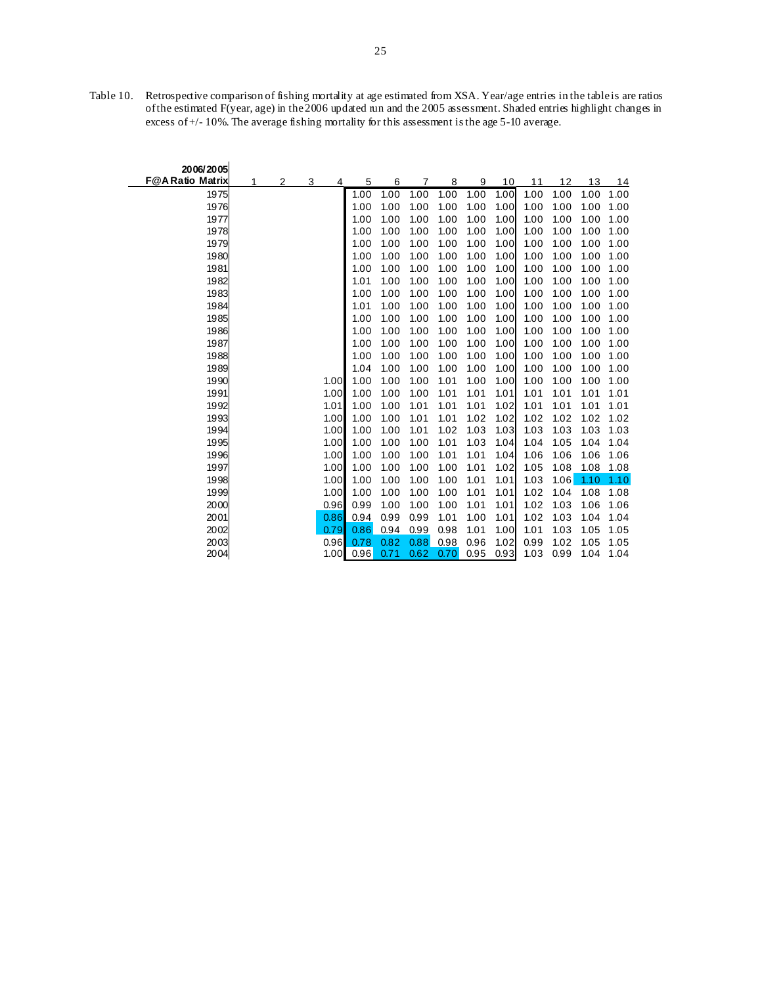Table 10. Retrospective comparison of fishing mortality at age estimated from XSA. Year/age entries in the table is are ratios of the estimated F(year, age) in the 2006 updated run and the 2005 assessment. Shaded entries highlight changes in excess of +/- 10%. The average fishing mortality for this assessment is the age 5-10 average.

| 2006/2005              |   |   |   |      |      |      |      |      |      |      |      |      |      |      |
|------------------------|---|---|---|------|------|------|------|------|------|------|------|------|------|------|
| <b>F@ARatio Matrix</b> | 1 | 2 | 3 | 4    | 5    | 6    | 7    | 8    | 9    | 10   | 11   | 12   | 13   | 14   |
| 1975                   |   |   |   |      | 1.00 | 1.00 | 1.00 | 1.00 | 1.00 | 1.00 | 1.00 | 1.00 | 1.00 | 1.00 |
| 1976                   |   |   |   |      | 1.00 | 1.00 | 1.00 | 1.00 | 1.00 | 1.00 | 1.00 | 1.00 | 1.00 | 1.00 |
| 1977                   |   |   |   |      | 1.00 | 1.00 | 1.00 | 1.00 | 1.00 | 1.00 | 1.00 | 1.00 | 1.00 | 1.00 |
| 1978                   |   |   |   |      | 1.00 | 1.00 | 1.00 | 1.00 | 1.00 | 1.00 | 1.00 | 1.00 | 1.00 | 1.00 |
| 1979                   |   |   |   |      | 1.00 | 1.00 | 1.00 | 1.00 | 1.00 | 1.00 | 1.00 | 1.00 | 1.00 | 1.00 |
| 1980                   |   |   |   |      | 1.00 | 1.00 | 1.00 | 1.00 | 1.00 | 1.00 | 1.00 | 1.00 | 1.00 | 1.00 |
| 1981                   |   |   |   |      | 1.00 | 1.00 | 1.00 | 1.00 | 1.00 | 1.00 | 1.00 | 1.00 | 1.00 | 1.00 |
| 1982                   |   |   |   |      | 1.01 | 1.00 | 1.00 | 1.00 | 1.00 | 1.00 | 1.00 | 1.00 | 1.00 | 1.00 |
| 1983                   |   |   |   |      | 1.00 | 1.00 | 1.00 | 1.00 | 1.00 | 1.00 | 1.00 | 1.00 | 1.00 | 1.00 |
| 1984                   |   |   |   |      | 1.01 | 1.00 | 1.00 | 1.00 | 1.00 | 1.00 | 1.00 | 1.00 | 1.00 | 1.00 |
| 1985                   |   |   |   |      | 1.00 | 1.00 | 1.00 | 1.00 | 1.00 | 1.00 | 1.00 | 1.00 | 1.00 | 1.00 |
| 1986                   |   |   |   |      | 1.00 | 1.00 | 1.00 | 1.00 | 1.00 | 1.00 | 1.00 | 1.00 | 1.00 | 1.00 |
| 1987                   |   |   |   |      | 1.00 | 1.00 | 1.00 | 1.00 | 1.00 | 1.00 | 1.00 | 1.00 | 1.00 | 1.00 |
| 1988                   |   |   |   |      | 1.00 | 1.00 | 1.00 | 1.00 | 1.00 | 1.00 | 1.00 | 1.00 | 1.00 | 1.00 |
| 1989                   |   |   |   |      | 1.04 | 1.00 | 1.00 | 1.00 | 1.00 | 1.00 | 1.00 | 1.00 | 1.00 | 1.00 |
| 1990                   |   |   |   | 1.00 | 1.00 | 1.00 | 1.00 | 1.01 | 1.00 | 1.00 | 1.00 | 1.00 | 1.00 | 1.00 |
| 1991                   |   |   |   | 1.00 | 1.00 | 1.00 | 1.00 | 1.01 | 1.01 | 1.01 | 1.01 | 1.01 | 1.01 | 1.01 |
| 1992                   |   |   |   | 1.01 | 1.00 | 1.00 | 1.01 | 1.01 | 1.01 | 1.02 | 1.01 | 1.01 | 1.01 | 1.01 |
| 1993                   |   |   |   | 1.00 | 1.00 | 1.00 | 1.01 | 1.01 | 1.02 | 1.02 | 1.02 | 1.02 | 1.02 | 1.02 |
| 1994                   |   |   |   | 1.00 | 1.00 | 1.00 | 1.01 | 1.02 | 1.03 | 1.03 | 1.03 | 1.03 | 1.03 | 1.03 |
| 1995                   |   |   |   | 1.00 | 1.00 | 1.00 | 1.00 | 1.01 | 1.03 | 1.04 | 1.04 | 1.05 | 1.04 | 1.04 |
| 1996                   |   |   |   | 1.00 | 1.00 | 1.00 | 1.00 | 1.01 | 1.01 | 1.04 | 1.06 | 1.06 | 1.06 | 1.06 |
| 1997                   |   |   |   | 1.00 | 1.00 | 1.00 | 1.00 | 1.00 | 1.01 | 1.02 | 1.05 | 1.08 | 1.08 | 1.08 |
| 1998                   |   |   |   | 1.00 | 1.00 | 1.00 | 1.00 | 1.00 | 1.01 | 1.01 | 1.03 | 1.06 | 1.10 | 1.10 |
| 1999                   |   |   |   | 1.00 | 1.00 | 1.00 | 1.00 | 1.00 | 1.01 | 1.01 | 1.02 | 1.04 | 1.08 | 1.08 |
| 2000                   |   |   |   | 0.96 | 0.99 | 1.00 | 1.00 | 1.00 | 1.01 | 1.01 | 1.02 | 1.03 | 1.06 | 1.06 |
| 2001                   |   |   |   | 0.86 | 0.94 | 0.99 | 0.99 | 1.01 | 1.00 | 1.01 | 1.02 | 1.03 | 1.04 | 1.04 |
| 2002                   |   |   |   | 0.79 | 0.86 | 0.94 | 0.99 | 0.98 | 1.01 | 1.00 | 1.01 | 1.03 | 1.05 | 1.05 |
| 2003                   |   |   |   | 0.96 | 0.78 | 0.82 | 0.88 | 0.98 | 0.96 | 1.02 | 0.99 | 1.02 | 1.05 | 1.05 |
| 2004                   |   |   |   | 1.00 | 0.96 | 0.71 | 0.62 | 0.70 | 0.95 | 0.93 | 1.03 | 0.99 | 1.04 | 1.04 |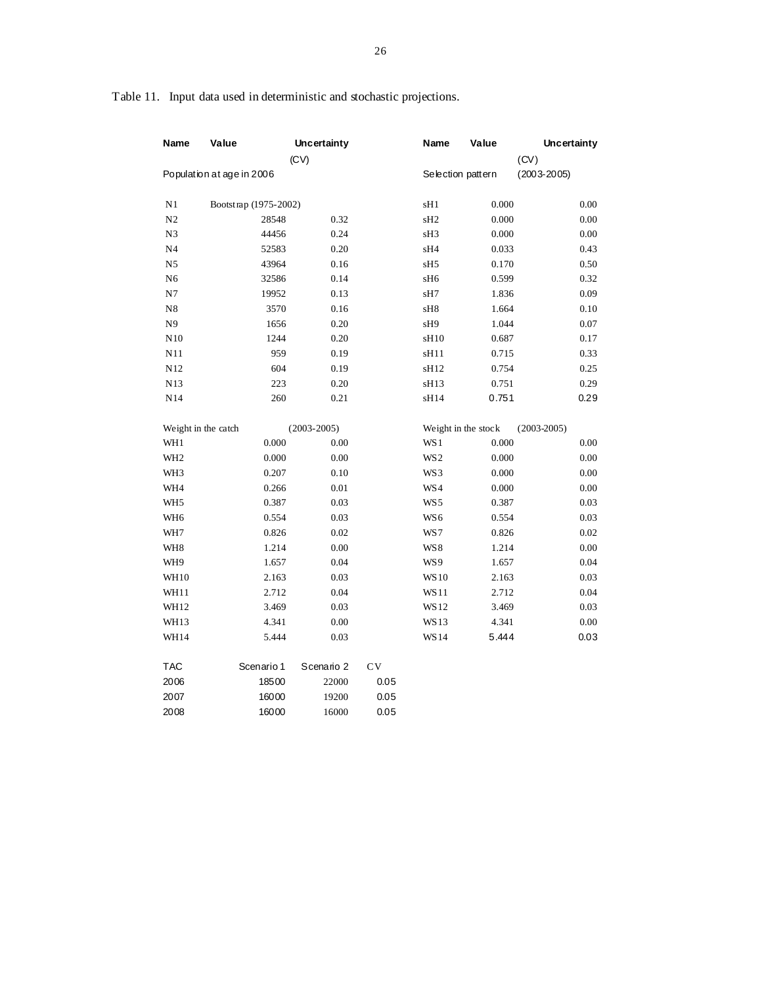| Name                | Value                     | <b>Uncertainty</b><br>(CV) |            | Name              | Value               | <b>Uncertainty</b><br>(CV) |
|---------------------|---------------------------|----------------------------|------------|-------------------|---------------------|----------------------------|
|                     | Population at age in 2006 |                            |            | Selection pattern |                     | $(2003 - 2005)$            |
| N1                  | Bootstrap (1975-2002)     |                            |            | sH1               | 0.000               | 0.00                       |
| N <sub>2</sub>      | 28548                     | 0.32                       |            | sH <sub>2</sub>   | 0.000               | $0.00\,$                   |
| N3                  | 44456                     | 0.24                       |            | sH3               | 0.000               | 0.00                       |
| N4                  | 52583                     | 0.20                       |            | sH4               | 0.033               | 0.43                       |
| N <sub>5</sub>      | 43964                     | 0.16                       |            | sH <sub>5</sub>   | 0.170               | 0.50                       |
| N <sub>6</sub>      | 32586                     | 0.14                       |            | sH6               | 0.599               | 0.32                       |
| N7                  | 19952                     | 0.13                       |            | sH7               | 1.836               | 0.09                       |
| N8                  | 3570                      | 0.16                       |            | sH8               | 1.664               | 0.10                       |
| N9                  | 1656                      | 0.20                       |            | sH9               | 1.044               | 0.07                       |
| N10                 | 1244                      | 0.20                       |            | sH10              | 0.687               | 0.17                       |
| N11                 | 959                       | 0.19                       |            | sH11              | 0.715               | 0.33                       |
| N12                 | 604                       | 0.19                       |            | sH <sub>12</sub>  | 0.754               | 0.25                       |
| N13                 | 223                       | 0.20                       |            | sH13              | 0.751               | 0.29                       |
| N14                 | 260                       | 0.21                       |            | sH14              | 0.751               | 0.29                       |
| Weight in the catch |                           | $(2003 - 2005)$            |            |                   | Weight in the stock | $(2003 - 2005)$            |
| WH1                 | 0.000                     | 0.00                       |            | WS 1              | 0.000               | 0.00                       |
| WH <sub>2</sub>     | 0.000                     | 0.00                       |            | WS <sub>2</sub>   | 0.000               | 0.00                       |
| WH3                 | 0.207                     | 0.10                       |            | WS3               | 0.000               | 0.00                       |
| WH4                 | 0.266                     | 0.01                       |            | WS4               | 0.000               | 0.00                       |
| WH <sub>5</sub>     | 0.387                     | 0.03                       |            | WS 5              | 0.387               | 0.03                       |
| WH <sub>6</sub>     | 0.554                     | 0.03                       |            | WS <sub>6</sub>   | 0.554               | 0.03                       |
| WH7                 | 0.826                     | 0.02                       |            | WS7               | 0.826               | $0.02\,$                   |
| WH8                 | 1.214                     | 0.00                       |            | WS8               | 1.214               | $0.00\,$                   |
| WH9                 | 1.657                     | 0.04                       |            | WS9               | 1.657               | 0.04                       |
| WH10                | 2.163                     | 0.03                       |            | <b>WS10</b>       | 2.163               | 0.03                       |
| WH11                | 2.712                     | 0.04                       |            | WS11              | 2.712               | 0.04                       |
| WH12                | 3.469                     | 0.03                       |            | WS12              | 3.469               | 0.03                       |
| WH13                | 4.341                     | 0.00                       |            | WS13              | 4.341               | 0.00                       |
| <b>WH14</b>         | 5.444                     | 0.03                       |            | <b>WS14</b>       | 5.444               | 0.03                       |
| <b>TAC</b>          | Scenario 1                | Scenario 2                 | ${\rm CV}$ |                   |                     |                            |
| 2006                | 18500                     | 22000                      | 0.05       |                   |                     |                            |
| 2007                | 16000                     | 19200                      | 0.05       |                   |                     |                            |
| 2008                | 16000                     | 16000                      | 0.05       |                   |                     |                            |

Table 11. Input data used in deterministic and stochastic projections.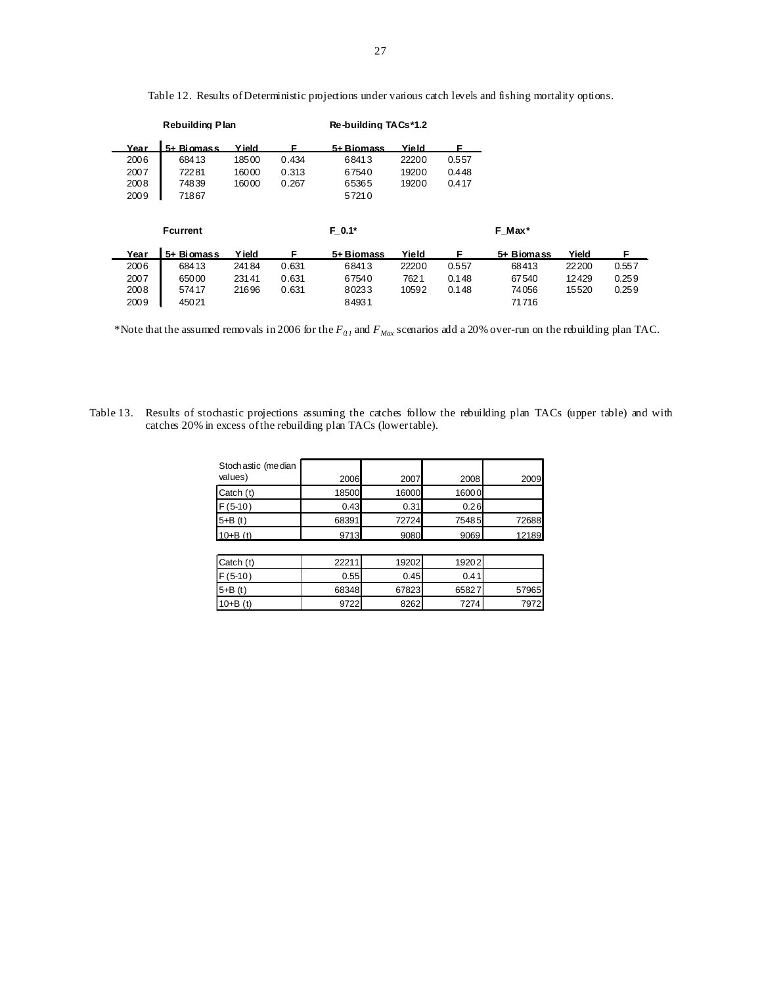| <b>Rebuilding Plan</b> |            |               |          | Re-building TACs*1.2 |       |        |            |       |       |
|------------------------|------------|---------------|----------|----------------------|-------|--------|------------|-------|-------|
| Year                   | 5+ Biomass | <b>Y</b> ield | F        | 5+ Biomass           | Yield | F      |            |       |       |
| 2006                   | 68413      | 18500         | 0.434    | 68413                | 22200 | 0.557  |            |       |       |
| 2007                   | 72281      | 16000         | 0.313    | 67540                | 19200 | 0.448  |            |       |       |
| 2008                   | 74839      | 16000         | 0.267    | 65365                | 19200 | 0.417  |            |       |       |
| 2009                   | 71867      |               |          | 57210                |       |        |            |       |       |
|                        |            |               |          |                      |       |        |            |       |       |
| <b>Fcurrent</b>        |            |               | $F 0.1*$ |                      |       | F Max* |            |       |       |
| Year                   | 5+ Biomass | <b>Yield</b>  | F        | 5+ Biomass           | Yield | F      | 5+ Biomass | Yield | F.    |
| 2006                   | 68413      | 24184         | 0.631    | 68413                | 22200 | 0.557  | 68413      | 22200 | 0.557 |
| 2007                   | 65000      | 23141         | 0.631    | 67540                | 7621  | 0.148  | 67540      | 12429 | 0.259 |
| 2008                   | 57417      | 21696         | 0.631    | 80233                | 10592 | 0.148  | 74056      | 15520 | 0.259 |
| 2009                   | 45021      |               |          | 84931                |       |        | 71716      |       |       |

Table 12. Results of Deterministic projections under various catch levels and fishing mortality options.

\*Note that the assumed removals in 2006 for the *F0.1* and *FMax* scenarios add a 20% over-run on the rebuilding plan TAC.

Table 13. Results of stochastic projections assuming the catches follow the rebuilding plan TACs (upper table) and with catches 20% in excess of the rebuilding plan TACs (lower table).

| Stoch astic (me dian<br>values) | 2006  | 2007  | 2008  | 2009  |
|---------------------------------|-------|-------|-------|-------|
|                                 |       |       |       |       |
| Catch (t)                       | 18500 | 16000 | 16000 |       |
| $F(5-10)$                       | 0.43  | 0.31  | 0.26  |       |
| $5 + B(t)$                      | 68391 | 72724 | 75485 | 72688 |
| $10 + B(t)$                     | 9713  | 9080  | 9069  | 12189 |
|                                 |       |       |       |       |
| Catch (t)                       | 22211 | 19202 | 19202 |       |
| $F(5-10)$                       | 0.55  | 0.45  | 0.41  |       |
| $5 + B(t)$                      | 68348 | 67823 | 65827 | 57965 |
| $10 + B(t)$                     | 9722  | 8262  | 7274  | 7972  |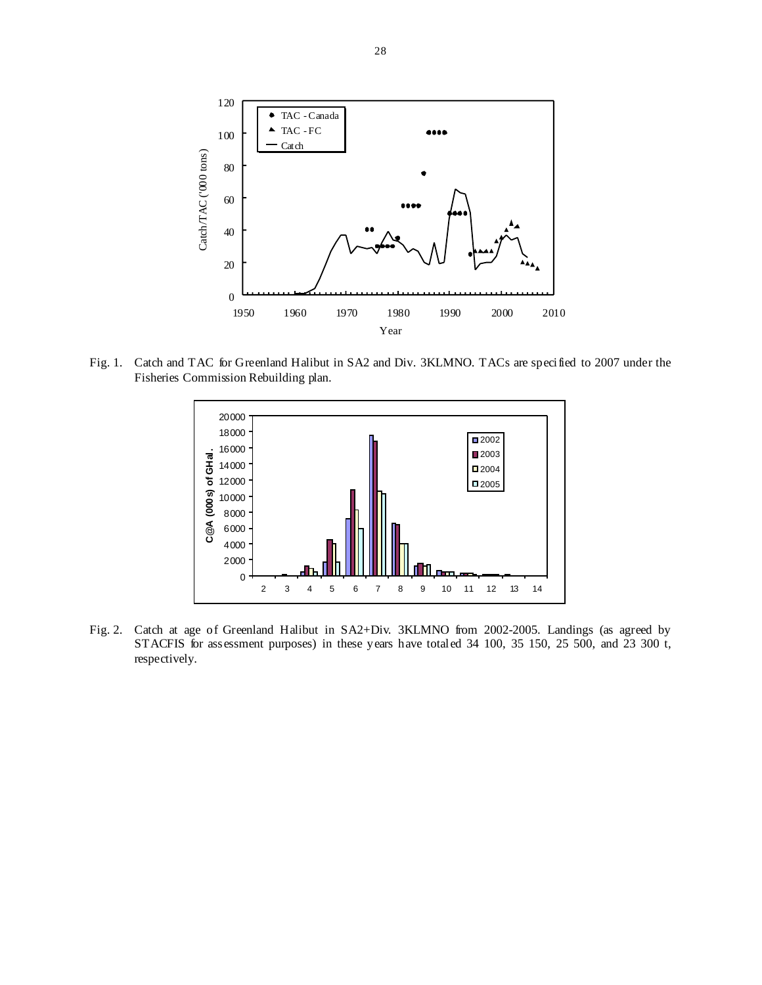

Fig. 1. Catch and TAC for Greenland Halibut in SA2 and Div. 3KLMNO. TACs are specified to 2007 under the Fisheries Commission Rebuilding plan.



Fig. 2. Catch at age of Greenland Halibut in SA2+Div. 3KLMNO from 2002-2005. Landings (as agreed by STACFIS for assessment purposes) in these years have totaled 34 100, 35 150, 25 500, and 23 300 t, respectively.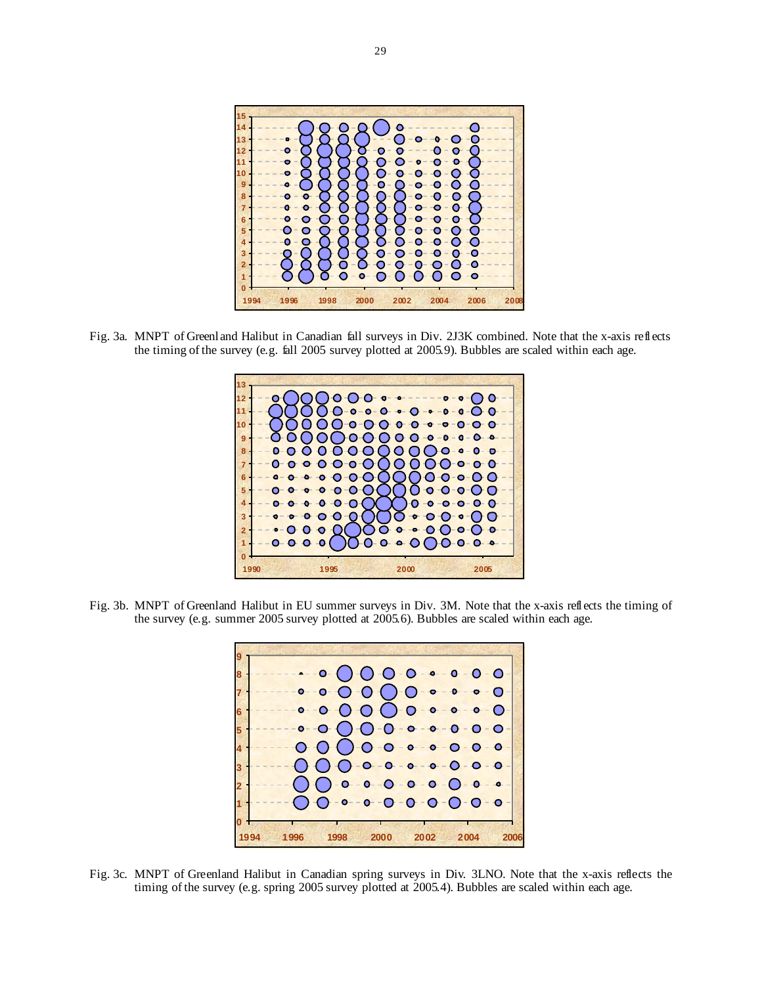

Fig. 3a. MNPT of Greenland Halibut in Canadian fall surveys in Div. 2J3K combined. Note that the x-axis reflects the timing of the survey (e.g. fall 2005 survey plotted at 2005.9). Bubbles are scaled within each age.



Fig. 3b. MNPT of Greenland Halibut in EU summer surveys in Div. 3M. Note that the x-axis reflects the timing of the survey (e.g. summer 2005 survey plotted at 2005.6). Bubbles are scaled within each age.



Fig. 3c. MNPT of Greenland Halibut in Canadian spring surveys in Div. 3LNO. Note that the x-axis reflects the timing of the survey (e.g. spring 2005 survey plotted at 2005.4). Bubbles are scaled within each age.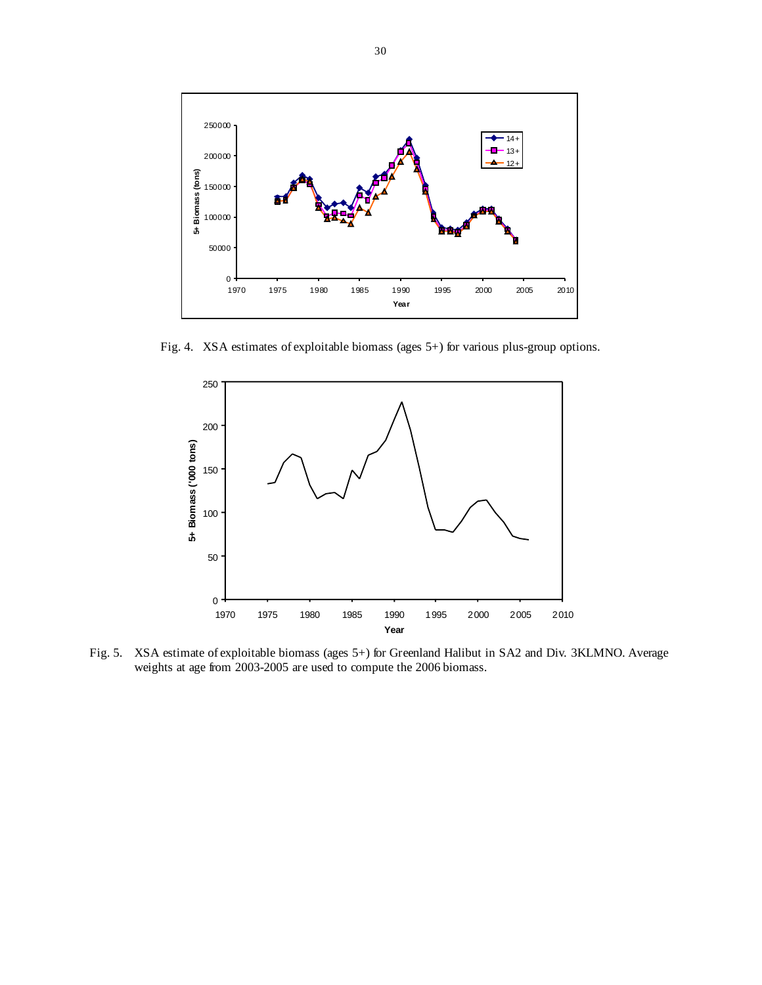

Fig. 4. XSA estimates of exploitable biomass (ages 5+) for various plus-group options.



Fig. 5. XSA estimate of exploitable biomass (ages 5+) for Greenland Halibut in SA2 and Div. 3KLMNO. Average weights at age from 2003-2005 are used to compute the 2006 biomass.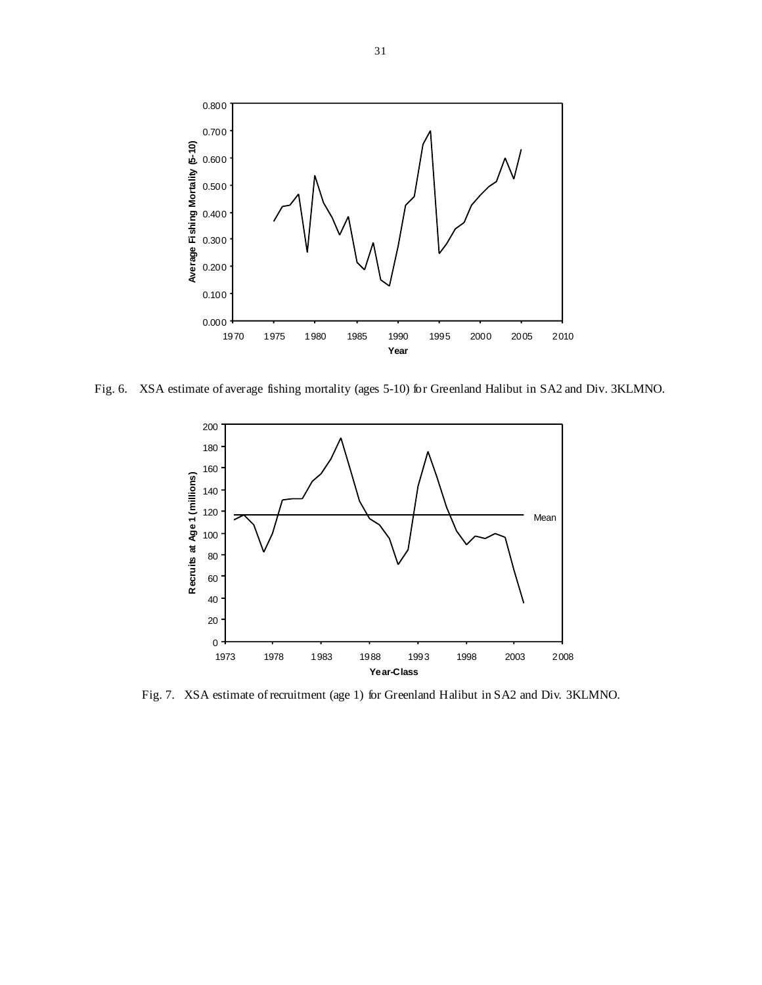

Fig. 6. XSA estimate of average fishing mortality (ages 5-10) for Greenland Halibut in SA2 and Div. 3KLMNO.



Fig. 7. XSA estimate of recruitment (age 1) for Greenland Halibut in SA2 and Div. 3KLMNO.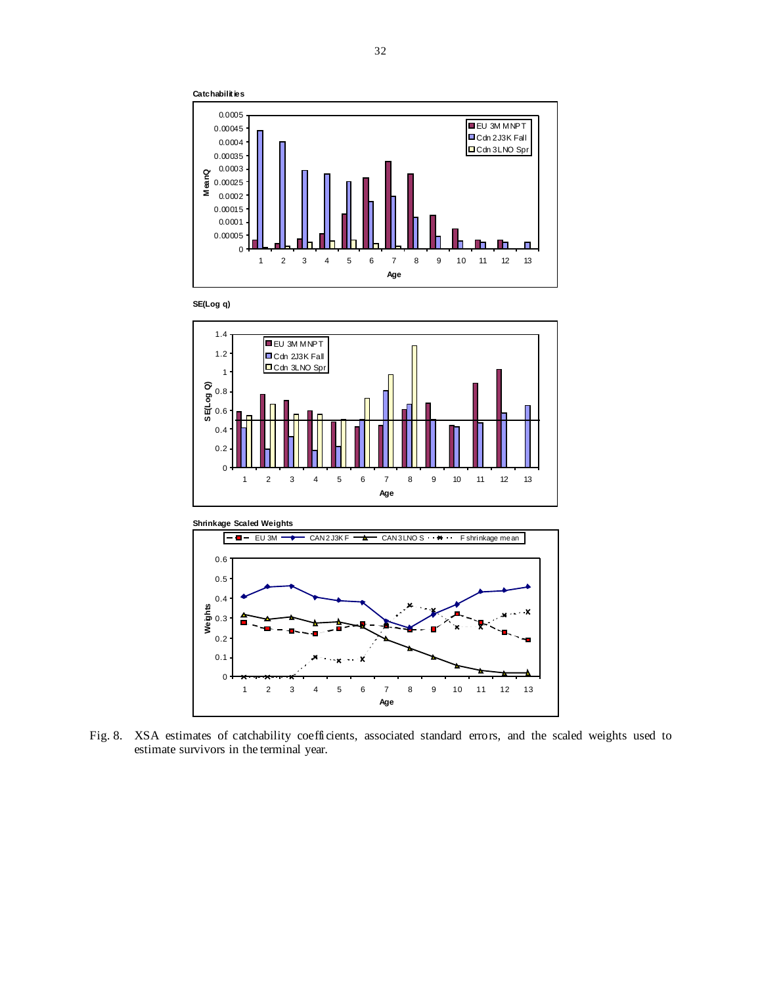









Fig. 8. XSA estimates of catchability coefficients, associated standard errors, and the scaled weights used to estimate survivors in the terminal year.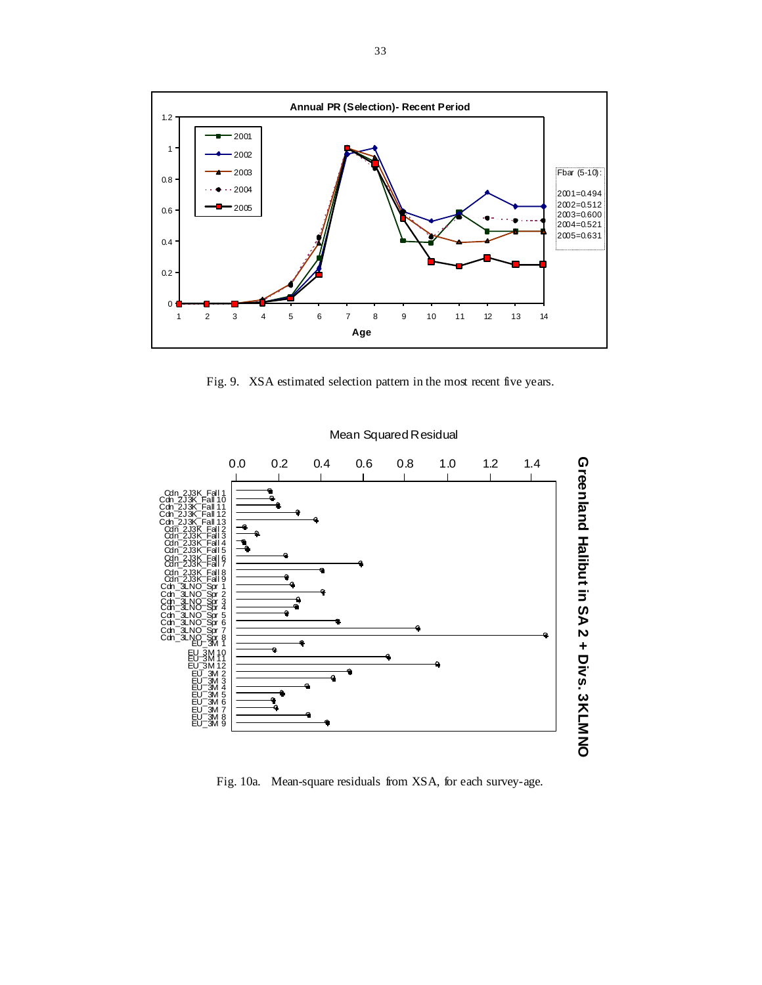

Fig. 9. XSA estimated selection pattern in the most recent five years.



Mean Squared Residual

Fig. 10a. Mean-square residuals from XSA, for each survey-age.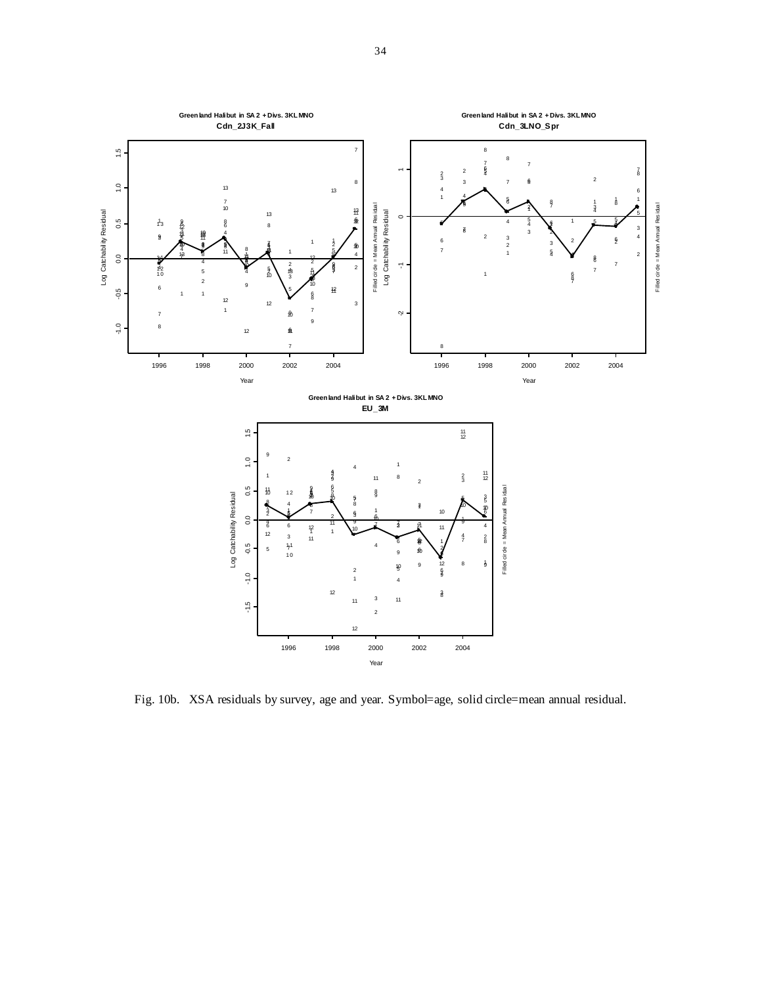

Fig. 10b. XSA residuals by survey, age and year. Symbol=age, solid circle=mean annual residual.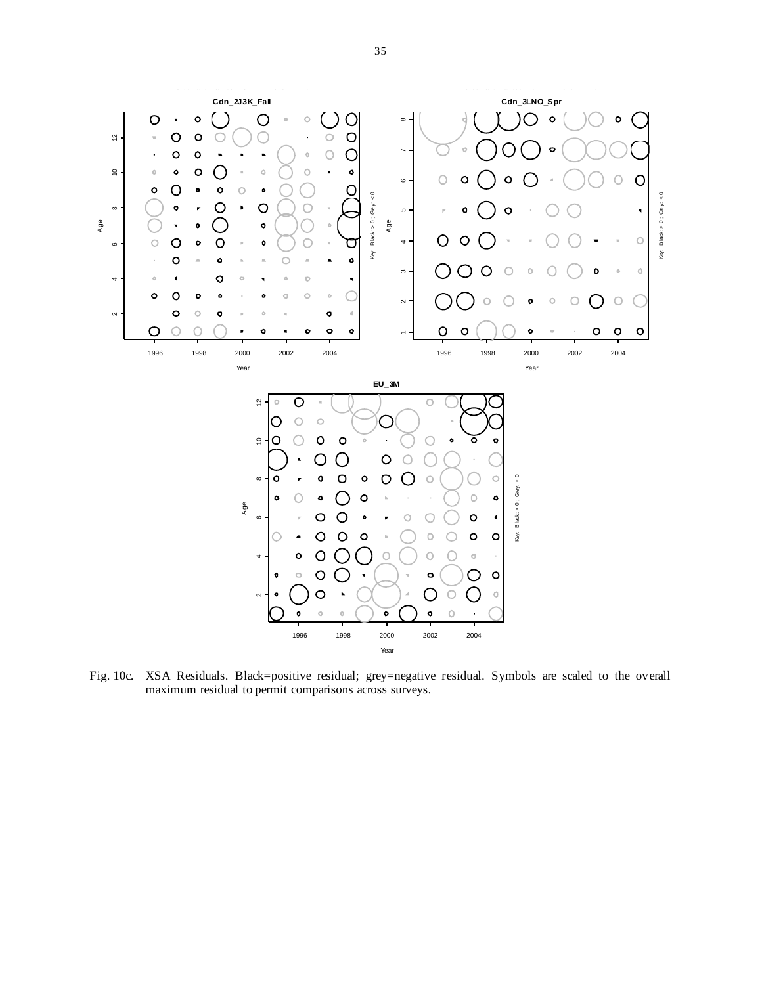

Fig. 10c. XSA Residuals. Black=positive residual; grey=negative residual. Symbols are scaled to the overall maximum residual to permit comparisons across surveys.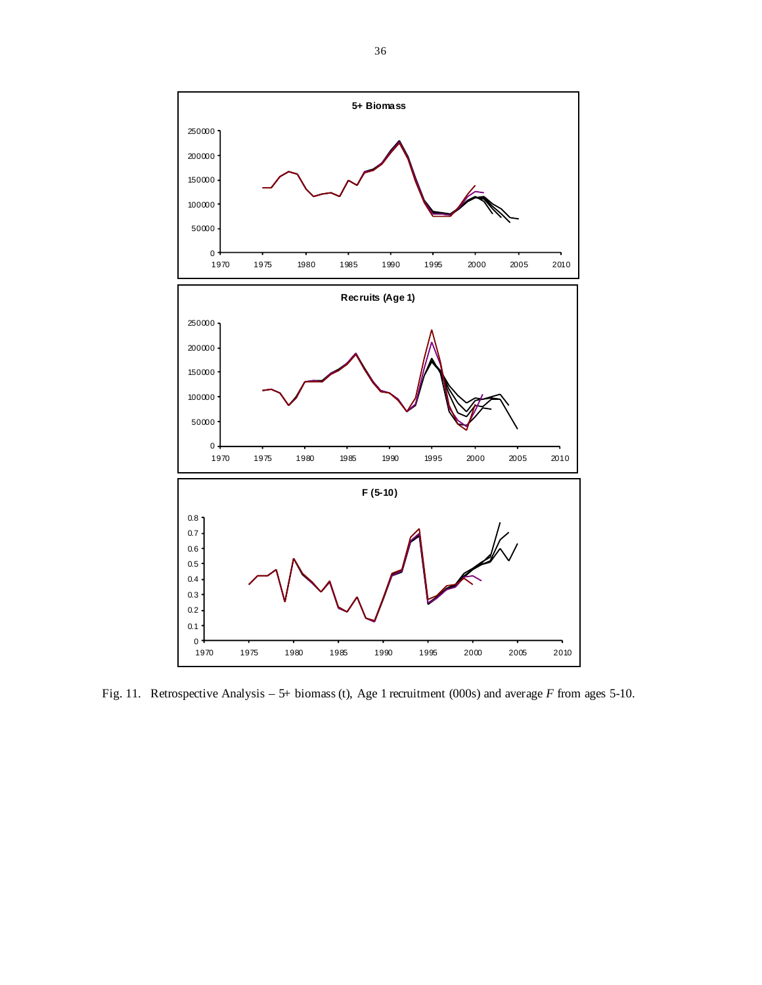

Fig. 11. Retrospective Analysis – 5+ biomass (t), Age 1 recruitment (000s) and average *F* from ages 5-10.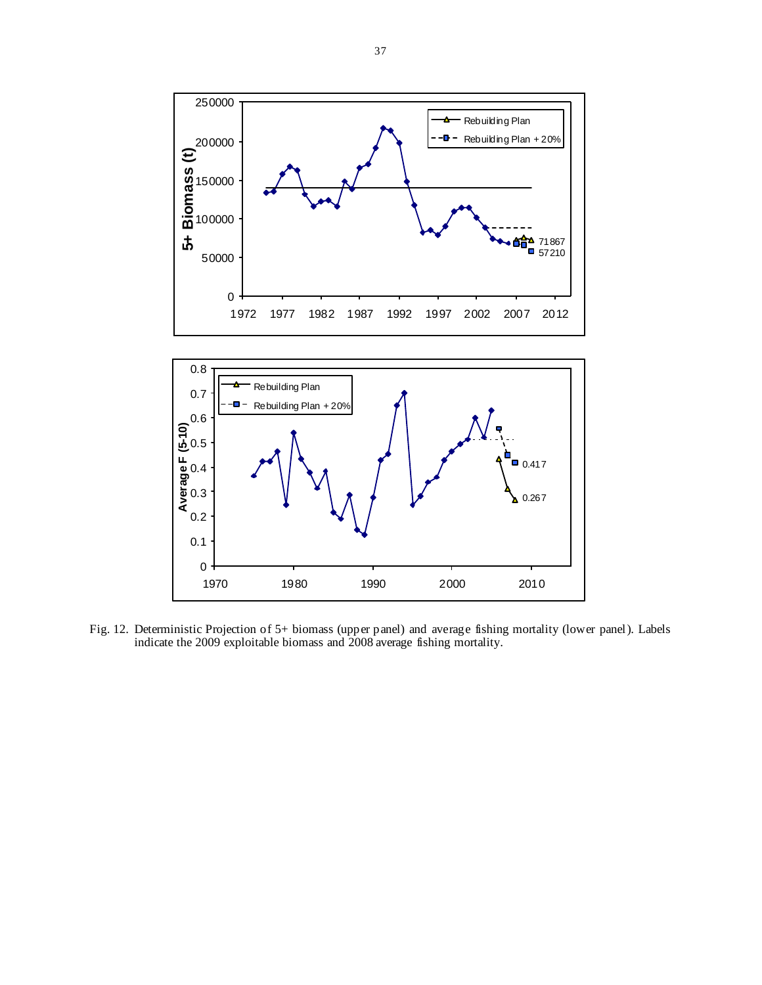

Fig. 12. Deterministic Projection of 5+ biomass (upper panel) and average fishing mortality (lower panel). Labels indicate the 2009 exploitable biomass and 2008 average fishing mortality.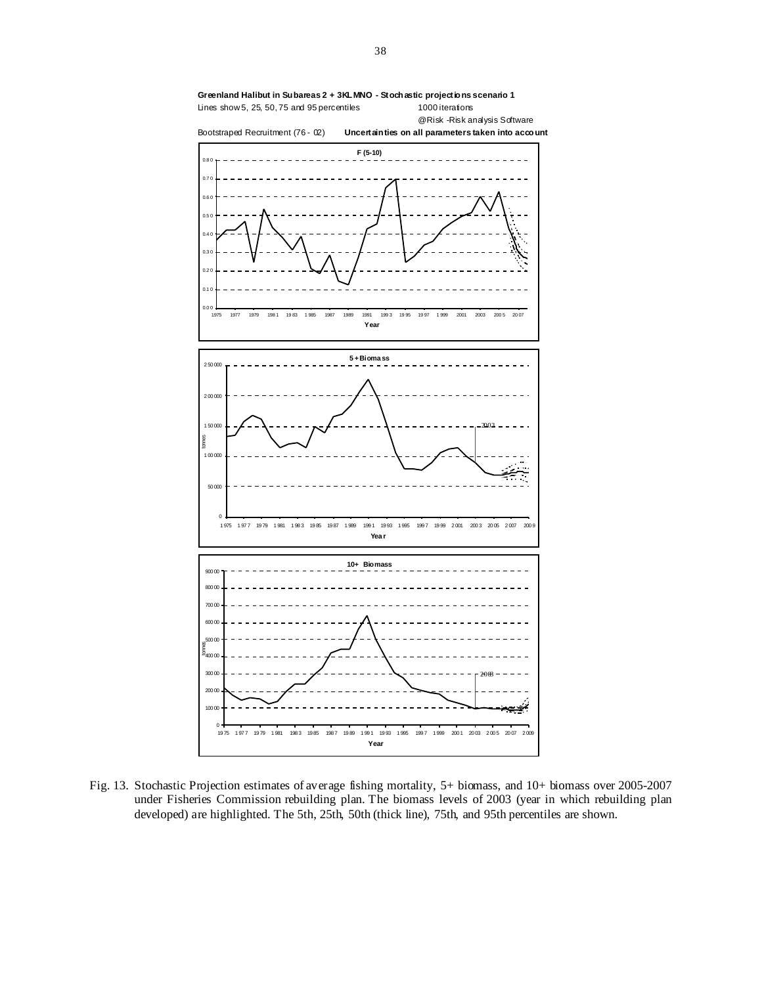

Fig. 13. Stochastic Projection estimates of average fishing mortality, 5+ biomass, and 10+ biomass over 2005-2007 under Fisheries Commission rebuilding plan. The biomass levels of 2003 (year in which rebuilding plan developed) are highlighted. The 5th, 25th, 50th (thick line), 75th, and 95th percentiles are shown.